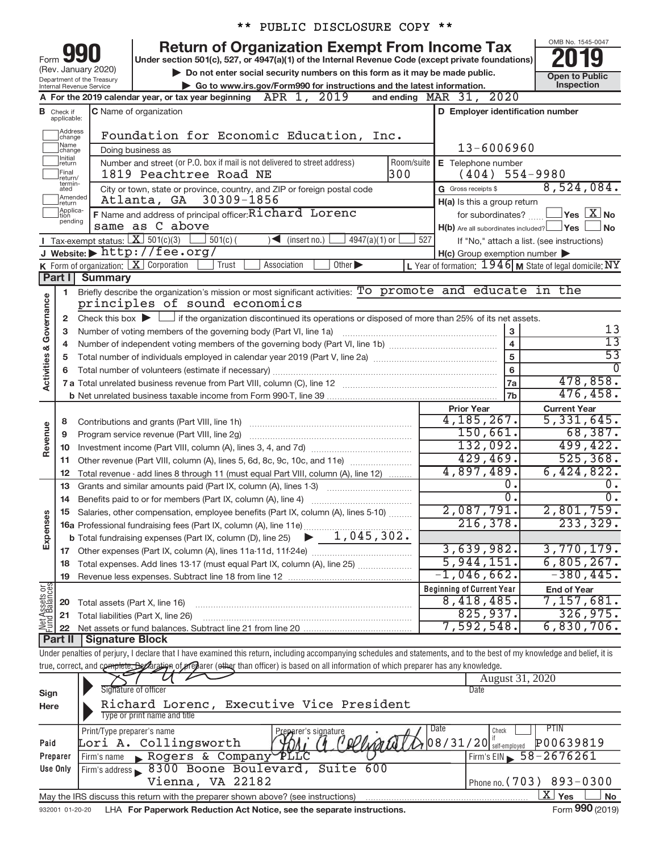|                                |                                                                                                                                                                                                                                                                                                                                                                                                                                                                          |                                        |                                                                                                                                                           | * *        |  |                     |  | PUBLIC DISCLOSURE COPY **        |            |     |                                                                                                                                           |                 |                                                                                                                                                                            |
|--------------------------------|--------------------------------------------------------------------------------------------------------------------------------------------------------------------------------------------------------------------------------------------------------------------------------------------------------------------------------------------------------------------------------------------------------------------------------------------------------------------------|----------------------------------------|-----------------------------------------------------------------------------------------------------------------------------------------------------------|------------|--|---------------------|--|----------------------------------|------------|-----|-------------------------------------------------------------------------------------------------------------------------------------------|-----------------|----------------------------------------------------------------------------------------------------------------------------------------------------------------------------|
|                                | OMB No. 1545-0047<br><b>Return of Organization Exempt From Income Tax</b><br>Under section 501(c), 527, or 4947(a)(1) of the Internal Revenue Code (except private foundations)<br>Form<br>(Rev. January 2020)<br>Do not enter social security numbers on this form as it may be made public.<br><b>Open to Public</b><br>Department of the Treasury<br>Inspection<br>Go to www.irs.gov/Form990 for instructions and the latest information.<br>Internal Revenue Service |                                        |                                                                                                                                                           |            |  |                     |  |                                  |            |     |                                                                                                                                           |                 |                                                                                                                                                                            |
|                                |                                                                                                                                                                                                                                                                                                                                                                                                                                                                          |                                        | A For the 2019 calendar year, or tax year beginning                                                                                                       |            |  | APR 1, 2019         |  |                                  |            |     | and ending $\n  MAR\n  31, 2020\n$                                                                                                        |                 |                                                                                                                                                                            |
|                                |                                                                                                                                                                                                                                                                                                                                                                                                                                                                          |                                        | <b>C</b> Name of organization                                                                                                                             |            |  |                     |  |                                  |            |     | D Employer identification number                                                                                                          |                 |                                                                                                                                                                            |
|                                | <b>B</b> Check if applicable:                                                                                                                                                                                                                                                                                                                                                                                                                                            |                                        |                                                                                                                                                           |            |  |                     |  |                                  |            |     |                                                                                                                                           |                 |                                                                                                                                                                            |
|                                | ]Address<br>]change                                                                                                                                                                                                                                                                                                                                                                                                                                                      |                                        | Foundation for Economic Education, Inc.                                                                                                                   |            |  |                     |  |                                  |            |     |                                                                                                                                           |                 |                                                                                                                                                                            |
|                                | Name<br>change                                                                                                                                                                                                                                                                                                                                                                                                                                                           |                                        | Doing business as                                                                                                                                         |            |  |                     |  |                                  |            |     | 13-6006960                                                                                                                                |                 |                                                                                                                                                                            |
|                                | Initial<br>return                                                                                                                                                                                                                                                                                                                                                                                                                                                        |                                        | Number and street (or P.O. box if mail is not delivered to street address)                                                                                |            |  |                     |  |                                  | Room/suite |     | E Telephone number                                                                                                                        |                 |                                                                                                                                                                            |
|                                | Final<br>return/                                                                                                                                                                                                                                                                                                                                                                                                                                                         |                                        | 1819 Peachtree Road NE                                                                                                                                    |            |  |                     |  |                                  | 300        |     | (404)                                                                                                                                     |                 | 554-9980                                                                                                                                                                   |
|                                | termin-<br>ated                                                                                                                                                                                                                                                                                                                                                                                                                                                          |                                        | City or town, state or province, country, and ZIP or foreign postal code                                                                                  |            |  |                     |  |                                  |            |     | G Gross receipts \$                                                                                                                       |                 | 8,524,084.                                                                                                                                                                 |
|                                | Amended<br> return                                                                                                                                                                                                                                                                                                                                                                                                                                                       |                                        | Atlanta, GA                                                                                                                                               | 30309-1856 |  |                     |  |                                  |            |     | H(a) Is this a group return                                                                                                               |                 |                                                                                                                                                                            |
|                                | Applica-<br>Ition<br>pending                                                                                                                                                                                                                                                                                                                                                                                                                                             |                                        | F Name and address of principal officer: Richard Lorenc                                                                                                   |            |  |                     |  |                                  |            |     | for subordinates?                                                                                                                         |                 | $\overline{\ }$ Yes $\overline{\rm X}$ No                                                                                                                                  |
|                                |                                                                                                                                                                                                                                                                                                                                                                                                                                                                          |                                        | same as C above                                                                                                                                           |            |  |                     |  |                                  |            |     | $H(b)$ Are all subordinates included? $\Box$ Yes                                                                                          |                 | ⊿No                                                                                                                                                                        |
|                                |                                                                                                                                                                                                                                                                                                                                                                                                                                                                          | Tax-exempt status: $X \over 301(c)(3)$ |                                                                                                                                                           | $501(c)$ ( |  | $\sum$ (insert no.) |  | $4947(a)(1)$ or                  |            | 527 |                                                                                                                                           |                 | If "No," attach a list. (see instructions)                                                                                                                                 |
|                                |                                                                                                                                                                                                                                                                                                                                                                                                                                                                          |                                        | J Website: http://fee.org/<br><b>K</b> Form of organization: $X$ Corporation                                                                              | Trust      |  | Association         |  | Other                            |            |     | $H(c)$ Group exemption number $\blacktriangleright$                                                                                       |                 | L Year of formation: $1946$ M State of legal domicile: NY                                                                                                                  |
|                                | Part I                                                                                                                                                                                                                                                                                                                                                                                                                                                                   | <b>Summary</b>                         |                                                                                                                                                           |            |  |                     |  |                                  |            |     |                                                                                                                                           |                 |                                                                                                                                                                            |
|                                | 1.                                                                                                                                                                                                                                                                                                                                                                                                                                                                       |                                        |                                                                                                                                                           |            |  |                     |  |                                  |            |     | Briefly describe the organization's mission or most significant activities: To promote and educate in the                                 |                 |                                                                                                                                                                            |
|                                |                                                                                                                                                                                                                                                                                                                                                                                                                                                                          |                                        | principles of sound economics                                                                                                                             |            |  |                     |  |                                  |            |     |                                                                                                                                           |                 |                                                                                                                                                                            |
| Activities & Governance        | 2                                                                                                                                                                                                                                                                                                                                                                                                                                                                        |                                        |                                                                                                                                                           |            |  |                     |  |                                  |            |     | Check this box $\blacktriangleright \Box$ if the organization discontinued its operations or disposed of more than 25% of its net assets. |                 |                                                                                                                                                                            |
|                                | 3                                                                                                                                                                                                                                                                                                                                                                                                                                                                        |                                        | Number of voting members of the governing body (Part VI, line 1a)                                                                                         |            |  |                     |  |                                  |            |     |                                                                                                                                           | 3               | 13                                                                                                                                                                         |
|                                | 4                                                                                                                                                                                                                                                                                                                                                                                                                                                                        |                                        |                                                                                                                                                           |            |  |                     |  |                                  |            |     |                                                                                                                                           | $\overline{4}$  | $\overline{13}$                                                                                                                                                            |
|                                | 5                                                                                                                                                                                                                                                                                                                                                                                                                                                                        |                                        |                                                                                                                                                           |            |  |                     |  |                                  |            |     |                                                                                                                                           | $\overline{5}$  | $\overline{53}$                                                                                                                                                            |
|                                | 6                                                                                                                                                                                                                                                                                                                                                                                                                                                                        |                                        |                                                                                                                                                           |            |  |                     |  |                                  |            |     |                                                                                                                                           | 6               |                                                                                                                                                                            |
|                                |                                                                                                                                                                                                                                                                                                                                                                                                                                                                          |                                        |                                                                                                                                                           |            |  |                     |  |                                  |            |     |                                                                                                                                           | 7a              | 478,858.                                                                                                                                                                   |
|                                |                                                                                                                                                                                                                                                                                                                                                                                                                                                                          |                                        |                                                                                                                                                           |            |  |                     |  |                                  |            |     |                                                                                                                                           | <b>7b</b>       | 476, 458.                                                                                                                                                                  |
|                                |                                                                                                                                                                                                                                                                                                                                                                                                                                                                          |                                        |                                                                                                                                                           |            |  |                     |  |                                  |            |     | <b>Prior Year</b>                                                                                                                         |                 | <b>Current Year</b>                                                                                                                                                        |
|                                | 8                                                                                                                                                                                                                                                                                                                                                                                                                                                                        |                                        | Contributions and grants (Part VIII, line 1h)                                                                                                             |            |  |                     |  |                                  |            |     | 4, 185, 267.                                                                                                                              |                 | 5,331,645.                                                                                                                                                                 |
| Revenue                        | 9                                                                                                                                                                                                                                                                                                                                                                                                                                                                        |                                        | Program service revenue (Part VIII, line 2g)                                                                                                              |            |  |                     |  |                                  |            |     | 150,661.                                                                                                                                  |                 | 68,387.                                                                                                                                                                    |
|                                | 10                                                                                                                                                                                                                                                                                                                                                                                                                                                                       |                                        |                                                                                                                                                           |            |  |                     |  |                                  |            |     | 132,092.                                                                                                                                  |                 | 499,422.                                                                                                                                                                   |
|                                | 11                                                                                                                                                                                                                                                                                                                                                                                                                                                                       |                                        | Other revenue (Part VIII, column (A), lines 5, 6d, 8c, 9c, 10c, and 11e)                                                                                  |            |  |                     |  |                                  |            |     | 429,469.                                                                                                                                  |                 | 525, 368.                                                                                                                                                                  |
|                                | 12                                                                                                                                                                                                                                                                                                                                                                                                                                                                       |                                        | Total revenue - add lines 8 through 11 (must equal Part VIII, column (A), line 12)                                                                        |            |  |                     |  |                                  |            |     | 4,897,489.                                                                                                                                |                 | 6,424,822.                                                                                                                                                                 |
|                                | 13                                                                                                                                                                                                                                                                                                                                                                                                                                                                       |                                        | Grants and similar amounts paid (Part IX, column (A), lines 1-3)                                                                                          |            |  |                     |  |                                  |            |     |                                                                                                                                           | о.<br>σ.        | 0.<br>$\overline{0}$ .                                                                                                                                                     |
|                                | 14                                                                                                                                                                                                                                                                                                                                                                                                                                                                       |                                        | Benefits paid to or for members (Part IX, column (A), line 4)                                                                                             |            |  |                     |  |                                  |            |     |                                                                                                                                           |                 | 2,801,759.                                                                                                                                                                 |
| Expenses                       |                                                                                                                                                                                                                                                                                                                                                                                                                                                                          |                                        | 15 Salaries, other compensation, employee benefits (Part IX, column (A), lines 5-10)<br>16a Professional fundraising fees (Part IX, column (A), line 11e) |            |  |                     |  |                                  |            |     | $\frac{2,087,791}{216,378}$                                                                                                               |                 | 233, 329.                                                                                                                                                                  |
|                                |                                                                                                                                                                                                                                                                                                                                                                                                                                                                          |                                        | <b>b</b> Total fundraising expenses (Part IX, column (D), line 25)                                                                                        |            |  |                     |  | $\blacktriangleright$ 1,045,302. |            |     |                                                                                                                                           |                 |                                                                                                                                                                            |
|                                |                                                                                                                                                                                                                                                                                                                                                                                                                                                                          |                                        |                                                                                                                                                           |            |  |                     |  |                                  |            |     | 3,639,982.                                                                                                                                |                 | 3,770,179.                                                                                                                                                                 |
|                                |                                                                                                                                                                                                                                                                                                                                                                                                                                                                          |                                        | 18 Total expenses. Add lines 13-17 (must equal Part IX, column (A), line 25)                                                                              |            |  |                     |  |                                  |            |     | 5,944,151.                                                                                                                                |                 | 6,805,267.                                                                                                                                                                 |
|                                | 19                                                                                                                                                                                                                                                                                                                                                                                                                                                                       |                                        |                                                                                                                                                           |            |  |                     |  |                                  |            |     | $-1,046,662$ .                                                                                                                            |                 | $-380, 445.$                                                                                                                                                               |
|                                |                                                                                                                                                                                                                                                                                                                                                                                                                                                                          |                                        |                                                                                                                                                           |            |  |                     |  |                                  |            |     | <b>Beginning of Current Year</b>                                                                                                          |                 | <b>End of Year</b>                                                                                                                                                         |
| Net Assets or<br>Fund Balances | 20                                                                                                                                                                                                                                                                                                                                                                                                                                                                       | Total assets (Part X, line 16)         |                                                                                                                                                           |            |  |                     |  |                                  |            |     | 8,418,485.                                                                                                                                |                 | 7,157,681.                                                                                                                                                                 |
|                                | 21                                                                                                                                                                                                                                                                                                                                                                                                                                                                       |                                        | Total liabilities (Part X, line 26)                                                                                                                       |            |  |                     |  |                                  |            |     | 825,937.                                                                                                                                  |                 | 326,975.                                                                                                                                                                   |
|                                | 22                                                                                                                                                                                                                                                                                                                                                                                                                                                                       |                                        |                                                                                                                                                           |            |  |                     |  |                                  |            |     | 7,592,548.                                                                                                                                |                 | 6,830,706.                                                                                                                                                                 |
|                                | Part II                                                                                                                                                                                                                                                                                                                                                                                                                                                                  | Signature Block                        |                                                                                                                                                           |            |  |                     |  |                                  |            |     |                                                                                                                                           |                 |                                                                                                                                                                            |
|                                |                                                                                                                                                                                                                                                                                                                                                                                                                                                                          |                                        |                                                                                                                                                           |            |  |                     |  |                                  |            |     |                                                                                                                                           |                 | Under penalties of perjury, I declare that I have examined this return, including accompanying schedules and statements, and to the best of my knowledge and belief, it is |
|                                |                                                                                                                                                                                                                                                                                                                                                                                                                                                                          |                                        | true, correct, and complete, Bockration of preparer (ether than officer) is based on all information of which preparer has any knowledge.                 |            |  |                     |  |                                  |            |     |                                                                                                                                           |                 |                                                                                                                                                                            |
|                                |                                                                                                                                                                                                                                                                                                                                                                                                                                                                          |                                        |                                                                                                                                                           |            |  |                     |  |                                  |            |     |                                                                                                                                           | August 31, 2020 |                                                                                                                                                                            |
| Sign                           |                                                                                                                                                                                                                                                                                                                                                                                                                                                                          |                                        | Signature of officer                                                                                                                                      |            |  |                     |  |                                  |            |     | Date                                                                                                                                      |                 |                                                                                                                                                                            |
| Here                           |                                                                                                                                                                                                                                                                                                                                                                                                                                                                          |                                        | Richard Lorenc, Executive Vice President<br>Type or print name and title                                                                                  |            |  |                     |  |                                  |            |     |                                                                                                                                           |                 |                                                                                                                                                                            |
|                                |                                                                                                                                                                                                                                                                                                                                                                                                                                                                          | Print/Type preparer's name             |                                                                                                                                                           |            |  |                     |  | Preparer's signature             |            |     | Date<br>Check                                                                                                                             |                 | PTIN                                                                                                                                                                       |

|          | Print/Type preparer's name                                                        | Preparer's signature<br><u>Luu</u> | .                                       |
|----------|-----------------------------------------------------------------------------------|------------------------------------|-----------------------------------------|
| Paid     | Lori A. Collingsworth                                                             | 08/31/20                           | P00639819                               |
| Preparer | Firm's name Rogers & Company PLLC                                                 |                                    | $F$ Firm's EIN $\frac{58 - 2676261}{F}$ |
| Use Only | Firm's address 8300 Boone Boulevard, Suite 600                                    |                                    |                                         |
|          | Vienna, VA 22182                                                                  |                                    | I Phone no. $(703)$ 893-0300            |
|          | May the IRS discuss this return with the preparer shown above? (see instructions) |                                    | <b>No</b><br><b>Yes</b>                 |

932001 01-20-20 LHA For Paperwork Reduction Act Notice, see the separate instructions. Form 990 (2019)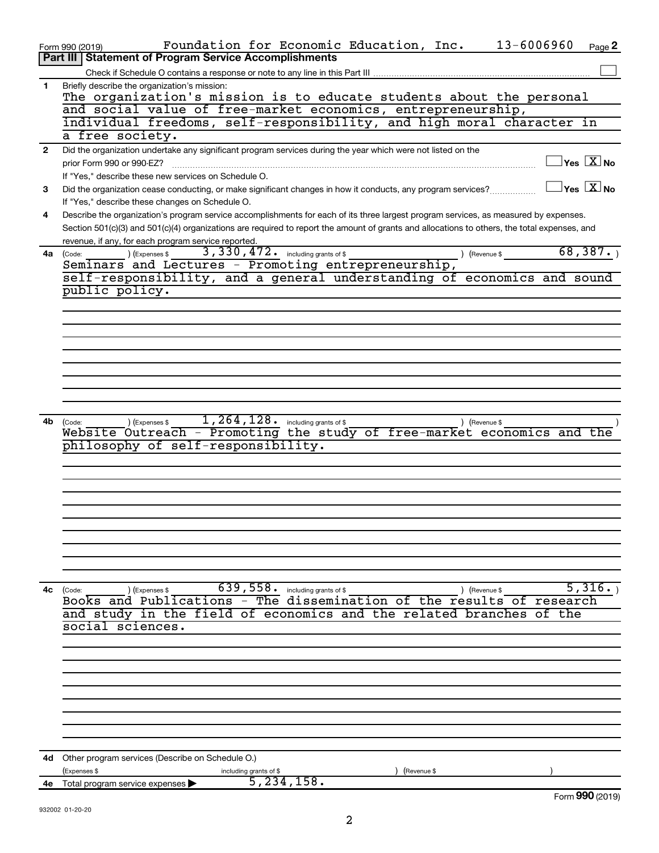| Briefly describe the organization's mission:<br>1<br>The organization's mission is to educate students about the personal<br>and social value of free-market economics, entrepreneurship,<br>individual freedoms, self-responsibility, and high moral character in<br>a free society.<br>Did the organization undertake any significant program services during the year which were not listed on the<br>$\mathbf{2}$<br>$\sqrt{\mathsf{Yes}\ \mathbb{X}}$ No<br>prior Form 990 or 990-EZ?<br>If "Yes," describe these new services on Schedule O.<br>$\overline{\mathsf{Yes} \ \mathbb{X}}$ No<br>Did the organization cease conducting, or make significant changes in how it conducts, any program services?<br>3<br>If "Yes," describe these changes on Schedule O.<br>Describe the organization's program service accomplishments for each of its three largest program services, as measured by expenses.<br>4<br>Section 501(c)(3) and 501(c)(4) organizations are required to report the amount of grants and allocations to others, the total expenses, and<br>revenue, if any, for each program service reported.<br>68,387.<br>3, 330, 472. including grants of \$<br>) (Expenses \$<br>4a<br>(Code:<br>) (Revenue \$<br>Seminars and Lectures - Promoting entrepreneurship,<br>self-responsibility, and a general understanding of economics and sound<br>public policy.<br>1, 264, 128. including grants of \$<br>) (Expenses \$<br>4b<br>) (Revenue \$<br>(Code:<br>Website Outreach - Promoting the study of free-market economics and the<br>philosophy of self-responsibility.<br>639, 558. including grants of \$<br>5,316.<br>4с<br>) (Revenue \$<br>(Code:<br>(Expenses \$<br>Books and Publications - The dissemination of the results of research<br>and study in the field of economics and the related branches<br>of the<br>social sciences.<br><b>4d</b> Other program services (Describe on Schedule O.)<br>(Expenses \$<br>(Revenue \$<br>including grants of \$<br>5, 234, 158.<br>Total program service expenses<br>4е<br>Form 990 (2019) | 13-6006960<br>Foundation for Economic Education, Inc.<br>Page 2<br>Form 990 (2019)<br><b>Part III   Statement of Program Service Accomplishments</b> |
|-------------------------------------------------------------------------------------------------------------------------------------------------------------------------------------------------------------------------------------------------------------------------------------------------------------------------------------------------------------------------------------------------------------------------------------------------------------------------------------------------------------------------------------------------------------------------------------------------------------------------------------------------------------------------------------------------------------------------------------------------------------------------------------------------------------------------------------------------------------------------------------------------------------------------------------------------------------------------------------------------------------------------------------------------------------------------------------------------------------------------------------------------------------------------------------------------------------------------------------------------------------------------------------------------------------------------------------------------------------------------------------------------------------------------------------------------------------------------------------------------------------------------------------------------------------------------------------------------------------------------------------------------------------------------------------------------------------------------------------------------------------------------------------------------------------------------------------------------------------------------------------------------------------------------------------------------------------------------------------------------------------------------------------------------------------------------|------------------------------------------------------------------------------------------------------------------------------------------------------|
|                                                                                                                                                                                                                                                                                                                                                                                                                                                                                                                                                                                                                                                                                                                                                                                                                                                                                                                                                                                                                                                                                                                                                                                                                                                                                                                                                                                                                                                                                                                                                                                                                                                                                                                                                                                                                                                                                                                                                                                                                                                                         |                                                                                                                                                      |
|                                                                                                                                                                                                                                                                                                                                                                                                                                                                                                                                                                                                                                                                                                                                                                                                                                                                                                                                                                                                                                                                                                                                                                                                                                                                                                                                                                                                                                                                                                                                                                                                                                                                                                                                                                                                                                                                                                                                                                                                                                                                         |                                                                                                                                                      |
|                                                                                                                                                                                                                                                                                                                                                                                                                                                                                                                                                                                                                                                                                                                                                                                                                                                                                                                                                                                                                                                                                                                                                                                                                                                                                                                                                                                                                                                                                                                                                                                                                                                                                                                                                                                                                                                                                                                                                                                                                                                                         |                                                                                                                                                      |
|                                                                                                                                                                                                                                                                                                                                                                                                                                                                                                                                                                                                                                                                                                                                                                                                                                                                                                                                                                                                                                                                                                                                                                                                                                                                                                                                                                                                                                                                                                                                                                                                                                                                                                                                                                                                                                                                                                                                                                                                                                                                         |                                                                                                                                                      |
|                                                                                                                                                                                                                                                                                                                                                                                                                                                                                                                                                                                                                                                                                                                                                                                                                                                                                                                                                                                                                                                                                                                                                                                                                                                                                                                                                                                                                                                                                                                                                                                                                                                                                                                                                                                                                                                                                                                                                                                                                                                                         |                                                                                                                                                      |
|                                                                                                                                                                                                                                                                                                                                                                                                                                                                                                                                                                                                                                                                                                                                                                                                                                                                                                                                                                                                                                                                                                                                                                                                                                                                                                                                                                                                                                                                                                                                                                                                                                                                                                                                                                                                                                                                                                                                                                                                                                                                         |                                                                                                                                                      |
|                                                                                                                                                                                                                                                                                                                                                                                                                                                                                                                                                                                                                                                                                                                                                                                                                                                                                                                                                                                                                                                                                                                                                                                                                                                                                                                                                                                                                                                                                                                                                                                                                                                                                                                                                                                                                                                                                                                                                                                                                                                                         |                                                                                                                                                      |
|                                                                                                                                                                                                                                                                                                                                                                                                                                                                                                                                                                                                                                                                                                                                                                                                                                                                                                                                                                                                                                                                                                                                                                                                                                                                                                                                                                                                                                                                                                                                                                                                                                                                                                                                                                                                                                                                                                                                                                                                                                                                         |                                                                                                                                                      |
|                                                                                                                                                                                                                                                                                                                                                                                                                                                                                                                                                                                                                                                                                                                                                                                                                                                                                                                                                                                                                                                                                                                                                                                                                                                                                                                                                                                                                                                                                                                                                                                                                                                                                                                                                                                                                                                                                                                                                                                                                                                                         |                                                                                                                                                      |
|                                                                                                                                                                                                                                                                                                                                                                                                                                                                                                                                                                                                                                                                                                                                                                                                                                                                                                                                                                                                                                                                                                                                                                                                                                                                                                                                                                                                                                                                                                                                                                                                                                                                                                                                                                                                                                                                                                                                                                                                                                                                         |                                                                                                                                                      |
|                                                                                                                                                                                                                                                                                                                                                                                                                                                                                                                                                                                                                                                                                                                                                                                                                                                                                                                                                                                                                                                                                                                                                                                                                                                                                                                                                                                                                                                                                                                                                                                                                                                                                                                                                                                                                                                                                                                                                                                                                                                                         |                                                                                                                                                      |
|                                                                                                                                                                                                                                                                                                                                                                                                                                                                                                                                                                                                                                                                                                                                                                                                                                                                                                                                                                                                                                                                                                                                                                                                                                                                                                                                                                                                                                                                                                                                                                                                                                                                                                                                                                                                                                                                                                                                                                                                                                                                         |                                                                                                                                                      |
|                                                                                                                                                                                                                                                                                                                                                                                                                                                                                                                                                                                                                                                                                                                                                                                                                                                                                                                                                                                                                                                                                                                                                                                                                                                                                                                                                                                                                                                                                                                                                                                                                                                                                                                                                                                                                                                                                                                                                                                                                                                                         |                                                                                                                                                      |
|                                                                                                                                                                                                                                                                                                                                                                                                                                                                                                                                                                                                                                                                                                                                                                                                                                                                                                                                                                                                                                                                                                                                                                                                                                                                                                                                                                                                                                                                                                                                                                                                                                                                                                                                                                                                                                                                                                                                                                                                                                                                         |                                                                                                                                                      |
|                                                                                                                                                                                                                                                                                                                                                                                                                                                                                                                                                                                                                                                                                                                                                                                                                                                                                                                                                                                                                                                                                                                                                                                                                                                                                                                                                                                                                                                                                                                                                                                                                                                                                                                                                                                                                                                                                                                                                                                                                                                                         |                                                                                                                                                      |
|                                                                                                                                                                                                                                                                                                                                                                                                                                                                                                                                                                                                                                                                                                                                                                                                                                                                                                                                                                                                                                                                                                                                                                                                                                                                                                                                                                                                                                                                                                                                                                                                                                                                                                                                                                                                                                                                                                                                                                                                                                                                         |                                                                                                                                                      |
|                                                                                                                                                                                                                                                                                                                                                                                                                                                                                                                                                                                                                                                                                                                                                                                                                                                                                                                                                                                                                                                                                                                                                                                                                                                                                                                                                                                                                                                                                                                                                                                                                                                                                                                                                                                                                                                                                                                                                                                                                                                                         |                                                                                                                                                      |
|                                                                                                                                                                                                                                                                                                                                                                                                                                                                                                                                                                                                                                                                                                                                                                                                                                                                                                                                                                                                                                                                                                                                                                                                                                                                                                                                                                                                                                                                                                                                                                                                                                                                                                                                                                                                                                                                                                                                                                                                                                                                         |                                                                                                                                                      |
|                                                                                                                                                                                                                                                                                                                                                                                                                                                                                                                                                                                                                                                                                                                                                                                                                                                                                                                                                                                                                                                                                                                                                                                                                                                                                                                                                                                                                                                                                                                                                                                                                                                                                                                                                                                                                                                                                                                                                                                                                                                                         |                                                                                                                                                      |
|                                                                                                                                                                                                                                                                                                                                                                                                                                                                                                                                                                                                                                                                                                                                                                                                                                                                                                                                                                                                                                                                                                                                                                                                                                                                                                                                                                                                                                                                                                                                                                                                                                                                                                                                                                                                                                                                                                                                                                                                                                                                         |                                                                                                                                                      |
|                                                                                                                                                                                                                                                                                                                                                                                                                                                                                                                                                                                                                                                                                                                                                                                                                                                                                                                                                                                                                                                                                                                                                                                                                                                                                                                                                                                                                                                                                                                                                                                                                                                                                                                                                                                                                                                                                                                                                                                                                                                                         |                                                                                                                                                      |
|                                                                                                                                                                                                                                                                                                                                                                                                                                                                                                                                                                                                                                                                                                                                                                                                                                                                                                                                                                                                                                                                                                                                                                                                                                                                                                                                                                                                                                                                                                                                                                                                                                                                                                                                                                                                                                                                                                                                                                                                                                                                         |                                                                                                                                                      |
|                                                                                                                                                                                                                                                                                                                                                                                                                                                                                                                                                                                                                                                                                                                                                                                                                                                                                                                                                                                                                                                                                                                                                                                                                                                                                                                                                                                                                                                                                                                                                                                                                                                                                                                                                                                                                                                                                                                                                                                                                                                                         |                                                                                                                                                      |
|                                                                                                                                                                                                                                                                                                                                                                                                                                                                                                                                                                                                                                                                                                                                                                                                                                                                                                                                                                                                                                                                                                                                                                                                                                                                                                                                                                                                                                                                                                                                                                                                                                                                                                                                                                                                                                                                                                                                                                                                                                                                         |                                                                                                                                                      |
|                                                                                                                                                                                                                                                                                                                                                                                                                                                                                                                                                                                                                                                                                                                                                                                                                                                                                                                                                                                                                                                                                                                                                                                                                                                                                                                                                                                                                                                                                                                                                                                                                                                                                                                                                                                                                                                                                                                                                                                                                                                                         |                                                                                                                                                      |
|                                                                                                                                                                                                                                                                                                                                                                                                                                                                                                                                                                                                                                                                                                                                                                                                                                                                                                                                                                                                                                                                                                                                                                                                                                                                                                                                                                                                                                                                                                                                                                                                                                                                                                                                                                                                                                                                                                                                                                                                                                                                         |                                                                                                                                                      |
|                                                                                                                                                                                                                                                                                                                                                                                                                                                                                                                                                                                                                                                                                                                                                                                                                                                                                                                                                                                                                                                                                                                                                                                                                                                                                                                                                                                                                                                                                                                                                                                                                                                                                                                                                                                                                                                                                                                                                                                                                                                                         |                                                                                                                                                      |
|                                                                                                                                                                                                                                                                                                                                                                                                                                                                                                                                                                                                                                                                                                                                                                                                                                                                                                                                                                                                                                                                                                                                                                                                                                                                                                                                                                                                                                                                                                                                                                                                                                                                                                                                                                                                                                                                                                                                                                                                                                                                         |                                                                                                                                                      |
|                                                                                                                                                                                                                                                                                                                                                                                                                                                                                                                                                                                                                                                                                                                                                                                                                                                                                                                                                                                                                                                                                                                                                                                                                                                                                                                                                                                                                                                                                                                                                                                                                                                                                                                                                                                                                                                                                                                                                                                                                                                                         |                                                                                                                                                      |
|                                                                                                                                                                                                                                                                                                                                                                                                                                                                                                                                                                                                                                                                                                                                                                                                                                                                                                                                                                                                                                                                                                                                                                                                                                                                                                                                                                                                                                                                                                                                                                                                                                                                                                                                                                                                                                                                                                                                                                                                                                                                         |                                                                                                                                                      |
|                                                                                                                                                                                                                                                                                                                                                                                                                                                                                                                                                                                                                                                                                                                                                                                                                                                                                                                                                                                                                                                                                                                                                                                                                                                                                                                                                                                                                                                                                                                                                                                                                                                                                                                                                                                                                                                                                                                                                                                                                                                                         |                                                                                                                                                      |
|                                                                                                                                                                                                                                                                                                                                                                                                                                                                                                                                                                                                                                                                                                                                                                                                                                                                                                                                                                                                                                                                                                                                                                                                                                                                                                                                                                                                                                                                                                                                                                                                                                                                                                                                                                                                                                                                                                                                                                                                                                                                         |                                                                                                                                                      |
|                                                                                                                                                                                                                                                                                                                                                                                                                                                                                                                                                                                                                                                                                                                                                                                                                                                                                                                                                                                                                                                                                                                                                                                                                                                                                                                                                                                                                                                                                                                                                                                                                                                                                                                                                                                                                                                                                                                                                                                                                                                                         |                                                                                                                                                      |
|                                                                                                                                                                                                                                                                                                                                                                                                                                                                                                                                                                                                                                                                                                                                                                                                                                                                                                                                                                                                                                                                                                                                                                                                                                                                                                                                                                                                                                                                                                                                                                                                                                                                                                                                                                                                                                                                                                                                                                                                                                                                         |                                                                                                                                                      |
|                                                                                                                                                                                                                                                                                                                                                                                                                                                                                                                                                                                                                                                                                                                                                                                                                                                                                                                                                                                                                                                                                                                                                                                                                                                                                                                                                                                                                                                                                                                                                                                                                                                                                                                                                                                                                                                                                                                                                                                                                                                                         |                                                                                                                                                      |
|                                                                                                                                                                                                                                                                                                                                                                                                                                                                                                                                                                                                                                                                                                                                                                                                                                                                                                                                                                                                                                                                                                                                                                                                                                                                                                                                                                                                                                                                                                                                                                                                                                                                                                                                                                                                                                                                                                                                                                                                                                                                         |                                                                                                                                                      |
|                                                                                                                                                                                                                                                                                                                                                                                                                                                                                                                                                                                                                                                                                                                                                                                                                                                                                                                                                                                                                                                                                                                                                                                                                                                                                                                                                                                                                                                                                                                                                                                                                                                                                                                                                                                                                                                                                                                                                                                                                                                                         |                                                                                                                                                      |
|                                                                                                                                                                                                                                                                                                                                                                                                                                                                                                                                                                                                                                                                                                                                                                                                                                                                                                                                                                                                                                                                                                                                                                                                                                                                                                                                                                                                                                                                                                                                                                                                                                                                                                                                                                                                                                                                                                                                                                                                                                                                         |                                                                                                                                                      |
|                                                                                                                                                                                                                                                                                                                                                                                                                                                                                                                                                                                                                                                                                                                                                                                                                                                                                                                                                                                                                                                                                                                                                                                                                                                                                                                                                                                                                                                                                                                                                                                                                                                                                                                                                                                                                                                                                                                                                                                                                                                                         |                                                                                                                                                      |
|                                                                                                                                                                                                                                                                                                                                                                                                                                                                                                                                                                                                                                                                                                                                                                                                                                                                                                                                                                                                                                                                                                                                                                                                                                                                                                                                                                                                                                                                                                                                                                                                                                                                                                                                                                                                                                                                                                                                                                                                                                                                         |                                                                                                                                                      |
|                                                                                                                                                                                                                                                                                                                                                                                                                                                                                                                                                                                                                                                                                                                                                                                                                                                                                                                                                                                                                                                                                                                                                                                                                                                                                                                                                                                                                                                                                                                                                                                                                                                                                                                                                                                                                                                                                                                                                                                                                                                                         |                                                                                                                                                      |
|                                                                                                                                                                                                                                                                                                                                                                                                                                                                                                                                                                                                                                                                                                                                                                                                                                                                                                                                                                                                                                                                                                                                                                                                                                                                                                                                                                                                                                                                                                                                                                                                                                                                                                                                                                                                                                                                                                                                                                                                                                                                         |                                                                                                                                                      |
|                                                                                                                                                                                                                                                                                                                                                                                                                                                                                                                                                                                                                                                                                                                                                                                                                                                                                                                                                                                                                                                                                                                                                                                                                                                                                                                                                                                                                                                                                                                                                                                                                                                                                                                                                                                                                                                                                                                                                                                                                                                                         |                                                                                                                                                      |
|                                                                                                                                                                                                                                                                                                                                                                                                                                                                                                                                                                                                                                                                                                                                                                                                                                                                                                                                                                                                                                                                                                                                                                                                                                                                                                                                                                                                                                                                                                                                                                                                                                                                                                                                                                                                                                                                                                                                                                                                                                                                         |                                                                                                                                                      |
|                                                                                                                                                                                                                                                                                                                                                                                                                                                                                                                                                                                                                                                                                                                                                                                                                                                                                                                                                                                                                                                                                                                                                                                                                                                                                                                                                                                                                                                                                                                                                                                                                                                                                                                                                                                                                                                                                                                                                                                                                                                                         |                                                                                                                                                      |
|                                                                                                                                                                                                                                                                                                                                                                                                                                                                                                                                                                                                                                                                                                                                                                                                                                                                                                                                                                                                                                                                                                                                                                                                                                                                                                                                                                                                                                                                                                                                                                                                                                                                                                                                                                                                                                                                                                                                                                                                                                                                         |                                                                                                                                                      |
|                                                                                                                                                                                                                                                                                                                                                                                                                                                                                                                                                                                                                                                                                                                                                                                                                                                                                                                                                                                                                                                                                                                                                                                                                                                                                                                                                                                                                                                                                                                                                                                                                                                                                                                                                                                                                                                                                                                                                                                                                                                                         |                                                                                                                                                      |
|                                                                                                                                                                                                                                                                                                                                                                                                                                                                                                                                                                                                                                                                                                                                                                                                                                                                                                                                                                                                                                                                                                                                                                                                                                                                                                                                                                                                                                                                                                                                                                                                                                                                                                                                                                                                                                                                                                                                                                                                                                                                         |                                                                                                                                                      |
|                                                                                                                                                                                                                                                                                                                                                                                                                                                                                                                                                                                                                                                                                                                                                                                                                                                                                                                                                                                                                                                                                                                                                                                                                                                                                                                                                                                                                                                                                                                                                                                                                                                                                                                                                                                                                                                                                                                                                                                                                                                                         |                                                                                                                                                      |
|                                                                                                                                                                                                                                                                                                                                                                                                                                                                                                                                                                                                                                                                                                                                                                                                                                                                                                                                                                                                                                                                                                                                                                                                                                                                                                                                                                                                                                                                                                                                                                                                                                                                                                                                                                                                                                                                                                                                                                                                                                                                         |                                                                                                                                                      |
|                                                                                                                                                                                                                                                                                                                                                                                                                                                                                                                                                                                                                                                                                                                                                                                                                                                                                                                                                                                                                                                                                                                                                                                                                                                                                                                                                                                                                                                                                                                                                                                                                                                                                                                                                                                                                                                                                                                                                                                                                                                                         |                                                                                                                                                      |
|                                                                                                                                                                                                                                                                                                                                                                                                                                                                                                                                                                                                                                                                                                                                                                                                                                                                                                                                                                                                                                                                                                                                                                                                                                                                                                                                                                                                                                                                                                                                                                                                                                                                                                                                                                                                                                                                                                                                                                                                                                                                         |                                                                                                                                                      |
|                                                                                                                                                                                                                                                                                                                                                                                                                                                                                                                                                                                                                                                                                                                                                                                                                                                                                                                                                                                                                                                                                                                                                                                                                                                                                                                                                                                                                                                                                                                                                                                                                                                                                                                                                                                                                                                                                                                                                                                                                                                                         |                                                                                                                                                      |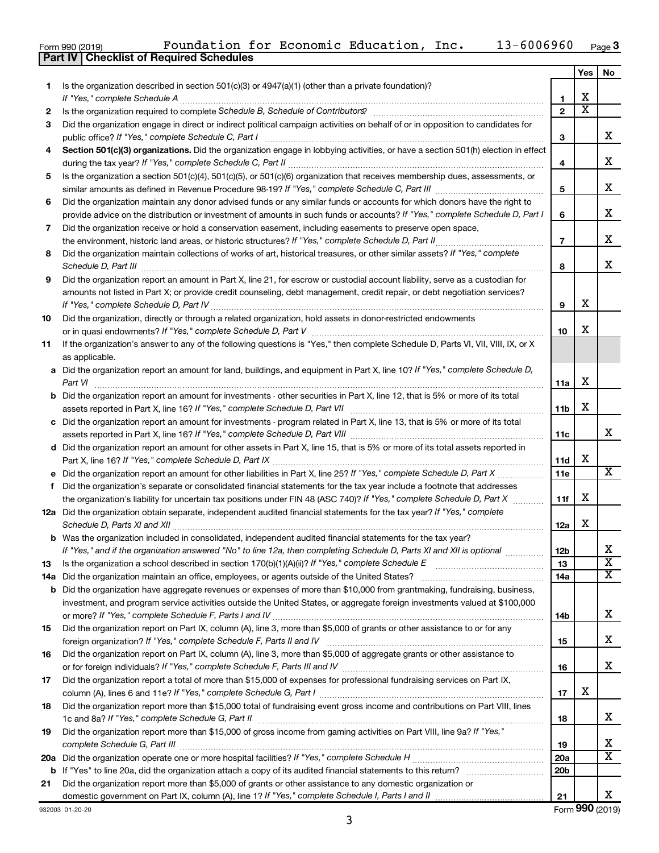|  | Form 990 (2019) |
|--|-----------------|
|  |                 |

|           |                                                                                                                                                                 |                 | Yes                   | No                            |
|-----------|-----------------------------------------------------------------------------------------------------------------------------------------------------------------|-----------------|-----------------------|-------------------------------|
| 1.        | Is the organization described in section $501(c)(3)$ or $4947(a)(1)$ (other than a private foundation)?                                                         |                 |                       |                               |
|           | If "Yes," complete Schedule A                                                                                                                                   | 1               | х                     |                               |
| 2         | Is the organization required to complete Schedule B, Schedule of Contributors? [11] the organization required to complete Schedule B, Schedule of Contributors? | $\overline{2}$  | $\overline{\text{x}}$ |                               |
| 3         | Did the organization engage in direct or indirect political campaign activities on behalf of or in opposition to candidates for                                 |                 |                       |                               |
|           | public office? If "Yes," complete Schedule C, Part I                                                                                                            | З               |                       | x                             |
| 4         | Section 501(c)(3) organizations. Did the organization engage in lobbying activities, or have a section 501(h) election in effect                                |                 |                       | X                             |
|           |                                                                                                                                                                 | 4               |                       |                               |
| 5         | Is the organization a section 501(c)(4), 501(c)(5), or 501(c)(6) organization that receives membership dues, assessments, or                                    | 5               |                       | х                             |
| 6         | Did the organization maintain any donor advised funds or any similar funds or accounts for which donors have the right to                                       |                 |                       |                               |
|           | provide advice on the distribution or investment of amounts in such funds or accounts? If "Yes," complete Schedule D, Part I                                    | 6               |                       | х                             |
| 7         | Did the organization receive or hold a conservation easement, including easements to preserve open space,                                                       |                 |                       |                               |
|           | the environment, historic land areas, or historic structures? If "Yes," complete Schedule D, Part II<br>.                                                       | $\overline{7}$  |                       | х                             |
| 8         | Did the organization maintain collections of works of art, historical treasures, or other similar assets? If "Yes," complete                                    |                 |                       |                               |
|           |                                                                                                                                                                 | 8               |                       | х                             |
| 9         | Did the organization report an amount in Part X, line 21, for escrow or custodial account liability, serve as a custodian for                                   |                 |                       |                               |
|           | amounts not listed in Part X; or provide credit counseling, debt management, credit repair, or debt negotiation services?                                       |                 |                       |                               |
|           | If "Yes," complete Schedule D, Part IV                                                                                                                          | 9               | х                     |                               |
| 10        | Did the organization, directly or through a related organization, hold assets in donor-restricted endowments                                                    |                 |                       |                               |
|           |                                                                                                                                                                 | 10              | х                     |                               |
| 11        | If the organization's answer to any of the following questions is "Yes," then complete Schedule D, Parts VI, VII, VIII, IX, or X                                |                 |                       |                               |
|           | as applicable.                                                                                                                                                  |                 |                       |                               |
|           | a Did the organization report an amount for land, buildings, and equipment in Part X, line 10? If "Yes," complete Schedule D,                                   |                 | х                     |                               |
|           | Part VI<br><b>b</b> Did the organization report an amount for investments - other securities in Part X, line 12, that is 5% or more of its total                | 11a             |                       |                               |
|           |                                                                                                                                                                 | 11b             | х                     |                               |
|           | c Did the organization report an amount for investments - program related in Part X, line 13, that is 5% or more of its total                                   |                 |                       |                               |
|           |                                                                                                                                                                 | 11c             |                       | х                             |
|           | d Did the organization report an amount for other assets in Part X, line 15, that is 5% or more of its total assets reported in                                 |                 |                       |                               |
|           |                                                                                                                                                                 | 11d             | х                     |                               |
|           |                                                                                                                                                                 | 11e             |                       | х                             |
| f         | Did the organization's separate or consolidated financial statements for the tax year include a footnote that addresses                                         |                 |                       |                               |
|           | the organization's liability for uncertain tax positions under FIN 48 (ASC 740)? If "Yes," complete Schedule D, Part X                                          | 11f             | х                     |                               |
|           | 12a Did the organization obtain separate, independent audited financial statements for the tax year? If "Yes," complete                                         |                 |                       |                               |
|           | Schedule D, Parts XI and XII                                                                                                                                    | 12a             | x                     |                               |
|           | <b>b</b> Was the organization included in consolidated, independent audited financial statements for the tax year?                                              |                 |                       |                               |
|           | If "Yes," and if the organization answered "No" to line 12a, then completing Schedule D, Parts XI and XII is optional www.                                      | 12b<br>13       |                       | ∡⊾<br>$\overline{\mathbf{X}}$ |
| 13<br>14a | Did the organization maintain an office, employees, or agents outside of the United States?                                                                     | 14a             |                       | X                             |
|           | <b>b</b> Did the organization have aggregate revenues or expenses of more than \$10,000 from grantmaking, fundraising, business,                                |                 |                       |                               |
|           | investment, and program service activities outside the United States, or aggregate foreign investments valued at \$100,000                                      |                 |                       |                               |
|           |                                                                                                                                                                 | 14b             |                       | x                             |
| 15        | Did the organization report on Part IX, column (A), line 3, more than \$5,000 of grants or other assistance to or for any                                       |                 |                       |                               |
|           |                                                                                                                                                                 | 15              |                       | x                             |
| 16        | Did the organization report on Part IX, column (A), line 3, more than \$5,000 of aggregate grants or other assistance to                                        |                 |                       |                               |
|           |                                                                                                                                                                 | 16              |                       | x                             |
| 17        | Did the organization report a total of more than \$15,000 of expenses for professional fundraising services on Part IX,                                         |                 |                       |                               |
|           |                                                                                                                                                                 | 17              | х                     |                               |
| 18        | Did the organization report more than \$15,000 total of fundraising event gross income and contributions on Part VIII, lines                                    |                 |                       | x                             |
| 19        | Did the organization report more than \$15,000 of gross income from gaming activities on Part VIII, line 9a? If "Yes,"                                          | 18              |                       |                               |
|           |                                                                                                                                                                 | 19              |                       | х                             |
| 20a       |                                                                                                                                                                 | 20a             |                       | $\overline{\textbf{x}}$       |
|           |                                                                                                                                                                 | 20 <sub>b</sub> |                       |                               |
| 21        | Did the organization report more than \$5,000 of grants or other assistance to any domestic organization or                                                     |                 |                       |                               |
|           |                                                                                                                                                                 | 21              |                       | x                             |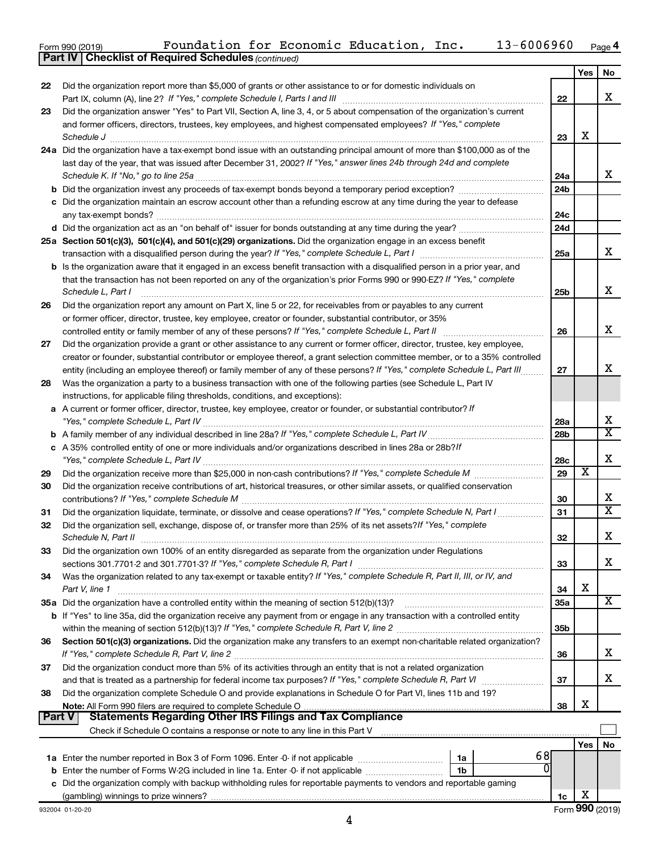| Form 990 (2019) | Foundation for Economic Education, |  | Inc. | $13 - 6006960$ | Page 4 |
|-----------------|------------------------------------|--|------|----------------|--------|
|                 |                                    |  |      |                |        |

*(continued)*

**Part IV Checklist of Required Schedules**

|               |                                                                                                                              |     | Yes | No                      |
|---------------|------------------------------------------------------------------------------------------------------------------------------|-----|-----|-------------------------|
| 22            | Did the organization report more than \$5,000 of grants or other assistance to or for domestic individuals on                |     |     |                         |
|               |                                                                                                                              | 22  |     | x                       |
| 23            | Did the organization answer "Yes" to Part VII, Section A, line 3, 4, or 5 about compensation of the organization's current   |     |     |                         |
|               | and former officers, directors, trustees, key employees, and highest compensated employees? If "Yes," complete               |     |     |                         |
|               | Schedule J <b>Production Construction Construction Construction Construction Construction</b>                                | 23  | x   |                         |
|               | 24a Did the organization have a tax-exempt bond issue with an outstanding principal amount of more than \$100,000 as of the  |     |     |                         |
|               | last day of the year, that was issued after December 31, 2002? If "Yes," answer lines 24b through 24d and complete           |     |     |                         |
|               | Schedule K. If "No," go to line 25a                                                                                          | 24a |     | x                       |
|               | <b>b</b> Did the organization invest any proceeds of tax-exempt bonds beyond a temporary period exception?                   | 24b |     |                         |
|               | c Did the organization maintain an escrow account other than a refunding escrow at any time during the year to defease       |     |     |                         |
|               |                                                                                                                              | 24c |     |                         |
|               |                                                                                                                              | 24d |     |                         |
|               | 25a Section 501(c)(3), 501(c)(4), and 501(c)(29) organizations. Did the organization engage in an excess benefit             |     |     |                         |
|               |                                                                                                                              | 25a |     | x                       |
|               | b Is the organization aware that it engaged in an excess benefit transaction with a disqualified person in a prior year, and |     |     |                         |
|               | that the transaction has not been reported on any of the organization's prior Forms 990 or 990-EZ? If "Yes," complete        |     |     | x                       |
|               | Schedule L, Part I                                                                                                           | 25b |     |                         |
| 26            | Did the organization report any amount on Part X, line 5 or 22, for receivables from or payables to any current              |     |     |                         |
|               | or former officer, director, trustee, key employee, creator or founder, substantial contributor, or 35%                      | 26  |     | x                       |
| 27            | Did the organization provide a grant or other assistance to any current or former officer, director, trustee, key employee,  |     |     |                         |
|               | creator or founder, substantial contributor or employee thereof, a grant selection committee member, or to a 35% controlled  |     |     |                         |
|               | entity (including an employee thereof) or family member of any of these persons? If "Yes," complete Schedule L, Part III.    | 27  |     | x                       |
| 28            | Was the organization a party to a business transaction with one of the following parties (see Schedule L, Part IV            |     |     |                         |
|               | instructions, for applicable filing thresholds, conditions, and exceptions):                                                 |     |     |                         |
|               | a A current or former officer, director, trustee, key employee, creator or founder, or substantial contributor? If           |     |     |                         |
|               |                                                                                                                              | 28a |     | х                       |
|               | b A family member of any individual described in line 28a? If "Yes," complete Schedule L, Part IV.                           | 28b |     | $\overline{\textbf{X}}$ |
|               | c A 35% controlled entity of one or more individuals and/or organizations described in lines 28a or 28b?If                   |     |     |                         |
|               |                                                                                                                              | 28c |     | x                       |
| 29            |                                                                                                                              | 29  | х   |                         |
| 30            | Did the organization receive contributions of art, historical treasures, or other similar assets, or qualified conservation  |     |     |                         |
|               |                                                                                                                              | 30  |     | x                       |
| 31            | Did the organization liquidate, terminate, or dissolve and cease operations? If "Yes," complete Schedule N, Part I           | 31  |     | X                       |
| 32            | Did the organization sell, exchange, dispose of, or transfer more than 25% of its net assets? If "Yes," complete             |     |     |                         |
|               |                                                                                                                              | 32  |     | x                       |
| 33            | Did the organization own 100% of an entity disregarded as separate from the organization under Regulations                   |     |     |                         |
|               | sections 301.7701-2 and 301.7701-3? If "Yes," complete Schedule R, Part I                                                    | 33  |     | x                       |
| 34            | Was the organization related to any tax-exempt or taxable entity? If "Yes," complete Schedule R, Part II, III, or IV, and    |     |     |                         |
|               | Part V, line 1                                                                                                               | 34  | х   |                         |
|               |                                                                                                                              | 35a |     | x                       |
|               | b If "Yes" to line 35a, did the organization receive any payment from or engage in any transaction with a controlled entity  |     |     |                         |
|               |                                                                                                                              | 35b |     |                         |
| 36            | Section 501(c)(3) organizations. Did the organization make any transfers to an exempt non-charitable related organization?   |     |     |                         |
|               | If "Yes," complete Schedule R, Part V, line 2                                                                                | 36  |     | X.                      |
| 37            | Did the organization conduct more than 5% of its activities through an entity that is not a related organization             |     |     |                         |
|               |                                                                                                                              | 37  |     | x                       |
| 38            | Did the organization complete Schedule O and provide explanations in Schedule O for Part VI, lines 11b and 19?               |     | х   |                         |
| <b>Part V</b> | <b>Statements Regarding Other IRS Filings and Tax Compliance</b>                                                             | 38  |     |                         |
|               |                                                                                                                              |     |     |                         |
|               |                                                                                                                              |     | Yes | No                      |
|               | 68<br>1a                                                                                                                     |     |     |                         |
|               | 0<br>1b                                                                                                                      |     |     |                         |
|               | c Did the organization comply with backup withholding rules for reportable payments to vendors and reportable gaming         |     |     |                         |
|               |                                                                                                                              | 1c  | x   |                         |
|               | 932004 01-20-20                                                                                                              |     |     | Form 990 (2019)         |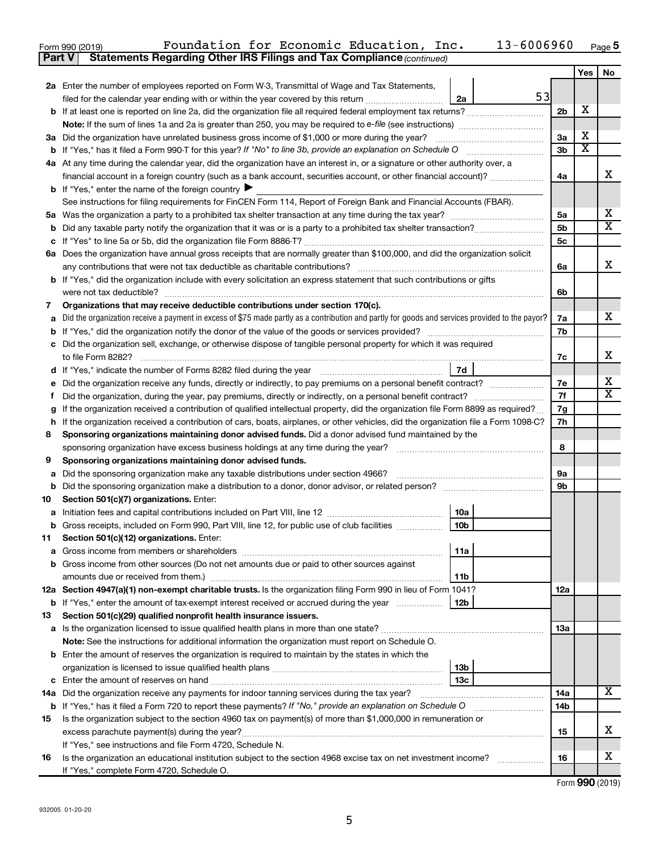| Form 990 (2019) | Foundation for Economic Education, Inc.                                             |  |  | $13 - 6006960$ Page 5 |  |
|-----------------|-------------------------------------------------------------------------------------|--|--|-----------------------|--|
|                 | <b>Part V</b> Statements Regarding Other IRS Filings and Tax Compliance (continued) |  |  |                       |  |

|        |                                                                                                                                                                               |                 |    |                 | Yes | No                           |
|--------|-------------------------------------------------------------------------------------------------------------------------------------------------------------------------------|-----------------|----|-----------------|-----|------------------------------|
|        | 2a Enter the number of employees reported on Form W-3, Transmittal of Wage and Tax Statements,                                                                                |                 |    |                 |     |                              |
|        | filed for the calendar year ending with or within the year covered by this return <i>manumumumum</i>                                                                          | 2a              | 53 |                 |     |                              |
|        |                                                                                                                                                                               |                 |    | 2 <sub>b</sub>  | х   |                              |
|        |                                                                                                                                                                               |                 |    |                 |     |                              |
|        | 3a Did the organization have unrelated business gross income of \$1,000 or more during the year?                                                                              |                 |    | 3a              | х   |                              |
|        |                                                                                                                                                                               |                 |    | 3 <sub>b</sub>  | x   |                              |
|        | 4a At any time during the calendar year, did the organization have an interest in, or a signature or other authority over, a                                                  |                 |    |                 |     |                              |
|        | financial account in a foreign country (such as a bank account, securities account, or other financial account)?                                                              |                 |    | 4a              |     | X                            |
|        | <b>b</b> If "Yes," enter the name of the foreign country $\blacktriangleright$                                                                                                |                 |    |                 |     |                              |
|        | See instructions for filing requirements for FinCEN Form 114, Report of Foreign Bank and Financial Accounts (FBAR).                                                           |                 |    |                 |     |                              |
|        |                                                                                                                                                                               |                 |    | 5a              |     | x<br>$\overline{\mathbf{X}}$ |
|        |                                                                                                                                                                               |                 |    | 5b              |     |                              |
|        |                                                                                                                                                                               |                 |    | 5c              |     |                              |
|        | 6a Does the organization have annual gross receipts that are normally greater than \$100,000, and did the organization solicit                                                |                 |    |                 |     | x                            |
|        | <b>b</b> If "Yes," did the organization include with every solicitation an express statement that such contributions or gifts                                                 |                 |    | 6a              |     |                              |
|        | were not tax deductible?                                                                                                                                                      |                 |    |                 |     |                              |
|        | Organizations that may receive deductible contributions under section 170(c).                                                                                                 |                 |    | 6b              |     |                              |
| 7<br>a | Did the organization receive a payment in excess of \$75 made partly as a contribution and partly for goods and services provided to the payor?                               |                 |    | 7a              |     | x                            |
|        |                                                                                                                                                                               |                 |    | 7b              |     |                              |
|        | c Did the organization sell, exchange, or otherwise dispose of tangible personal property for which it was required                                                           |                 |    |                 |     |                              |
|        |                                                                                                                                                                               |                 |    | 7с              |     | x                            |
|        |                                                                                                                                                                               |                 |    |                 |     |                              |
|        |                                                                                                                                                                               |                 |    | 7e              |     | x                            |
| f      | Did the organization, during the year, pay premiums, directly or indirectly, on a personal benefit contract?                                                                  |                 |    | 7f              |     | $\overline{\mathbf{X}}$      |
| g      | If the organization received a contribution of qualified intellectual property, did the organization file Form 8899 as required?                                              |                 |    | 7g              |     |                              |
|        | h If the organization received a contribution of cars, boats, airplanes, or other vehicles, did the organization file a Form 1098-C?                                          |                 |    | 7h              |     |                              |
| 8      | Sponsoring organizations maintaining donor advised funds. Did a donor advised fund maintained by the                                                                          |                 |    |                 |     |                              |
|        |                                                                                                                                                                               |                 |    | 8               |     |                              |
| 9      | Sponsoring organizations maintaining donor advised funds.                                                                                                                     |                 |    |                 |     |                              |
| a      | Did the sponsoring organization make any taxable distributions under section 4966?                                                                                            |                 |    | 9a              |     |                              |
|        |                                                                                                                                                                               |                 |    | 9b              |     |                              |
| 10     | Section 501(c)(7) organizations. Enter:                                                                                                                                       |                 |    |                 |     |                              |
|        |                                                                                                                                                                               | 10a             |    |                 |     |                              |
|        | <b>b</b> Gross receipts, included on Form 990, Part VIII, line 12, for public use of club facilities                                                                          | 10 <sub>b</sub> |    |                 |     |                              |
| 11.    | Section 501(c)(12) organizations. Enter:                                                                                                                                      |                 |    |                 |     |                              |
|        |                                                                                                                                                                               | 11a             |    |                 |     |                              |
|        | <b>b</b> Gross income from other sources (Do not net amounts due or paid to other sources against                                                                             |                 |    |                 |     |                              |
|        |                                                                                                                                                                               | 11 <sub>b</sub> |    |                 |     |                              |
|        | 12a Section 4947(a)(1) non-exempt charitable trusts. Is the organization filing Form 990 in lieu of Form 1041?                                                                |                 |    | 12a             |     |                              |
|        |                                                                                                                                                                               |                 |    |                 |     |                              |
| 13     | Section 501(c)(29) qualified nonprofit health insurance issuers.                                                                                                              |                 |    |                 |     |                              |
|        | a Is the organization licensed to issue qualified health plans in more than one state?                                                                                        |                 |    | 13a             |     |                              |
|        | Note: See the instructions for additional information the organization must report on Schedule O.                                                                             |                 |    |                 |     |                              |
|        | <b>b</b> Enter the amount of reserves the organization is required to maintain by the states in which the                                                                     |                 |    |                 |     |                              |
|        |                                                                                                                                                                               | 13b             |    |                 |     |                              |
|        |                                                                                                                                                                               | 13 <sub>c</sub> |    |                 |     | X                            |
|        | 14a Did the organization receive any payments for indoor tanning services during the tax year?                                                                                |                 |    | 14a             |     |                              |
|        | <b>b</b> If "Yes," has it filed a Form 720 to report these payments? If "No," provide an explanation on Schedule O                                                            |                 |    | 14 <sub>b</sub> |     |                              |
| 15     | Is the organization subject to the section 4960 tax on payment(s) of more than \$1,000,000 in remuneration or                                                                 |                 |    |                 |     | x                            |
|        |                                                                                                                                                                               |                 |    | 15              |     |                              |
| 16     | If "Yes," see instructions and file Form 4720, Schedule N.<br>Is the organization an educational institution subject to the section 4968 excise tax on net investment income? |                 |    | 16              |     | x                            |
|        | If "Yes," complete Form 4720, Schedule O.                                                                                                                                     |                 |    |                 |     |                              |
|        |                                                                                                                                                                               |                 |    |                 |     |                              |

| Form 990 (2019) |
|-----------------|
|-----------------|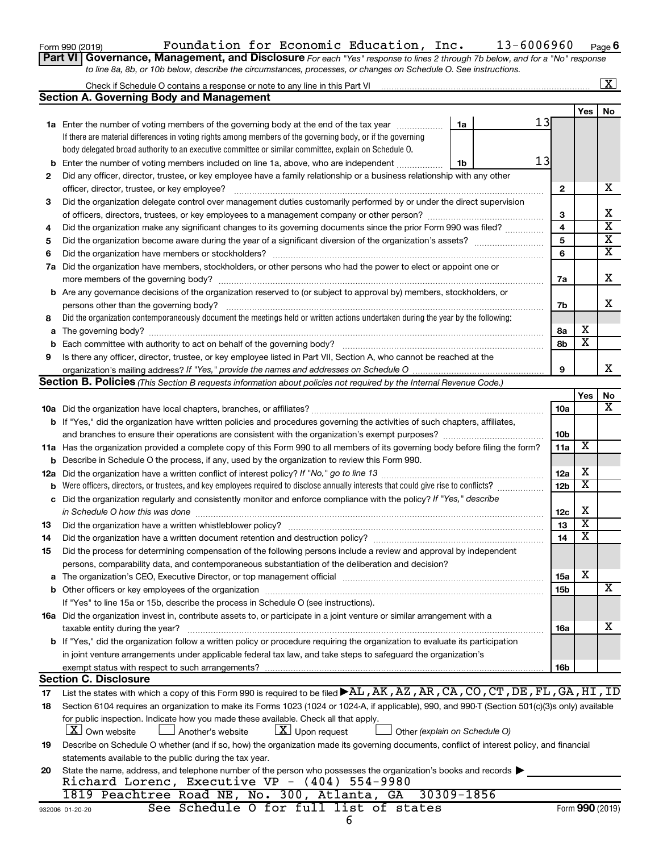| Form 990 (2019) |  |
|-----------------|--|
|-----------------|--|

### Form 990 (2019)  $\,$  Foundation for Economic Education, Inc.  $\,$  13-6006960  $\,$   $_{\rm Page}$

**6**

| Part VI   Governance, Management, and Disclosure For each "Yes" response to lines 2 through 7b below, and for a "No" response |
|-------------------------------------------------------------------------------------------------------------------------------|
| to line 8a, 8b, or 10b below, describe the circumstances, processes, or changes on Schedule O. See instructions.              |

|                                                                                                                                        |                                                                                                                                                                                                                                |    |                 |                         | $\overline{\mathbf{X}}$ |  |  |  |
|----------------------------------------------------------------------------------------------------------------------------------------|--------------------------------------------------------------------------------------------------------------------------------------------------------------------------------------------------------------------------------|----|-----------------|-------------------------|-------------------------|--|--|--|
|                                                                                                                                        | <b>Section A. Governing Body and Management</b>                                                                                                                                                                                |    |                 |                         |                         |  |  |  |
|                                                                                                                                        |                                                                                                                                                                                                                                |    |                 | Yes                     | No                      |  |  |  |
|                                                                                                                                        | <b>1a</b> Enter the number of voting members of the governing body at the end of the tax year<br>1a                                                                                                                            | 13 |                 |                         |                         |  |  |  |
|                                                                                                                                        | If there are material differences in voting rights among members of the governing body, or if the governing                                                                                                                    |    |                 |                         |                         |  |  |  |
|                                                                                                                                        | body delegated broad authority to an executive committee or similar committee, explain on Schedule O.                                                                                                                          |    |                 |                         |                         |  |  |  |
| b                                                                                                                                      | Enter the number of voting members included on line 1a, above, who are independent<br>1b                                                                                                                                       | 13 |                 |                         |                         |  |  |  |
| 2                                                                                                                                      | Did any officer, director, trustee, or key employee have a family relationship or a business relationship with any other                                                                                                       |    |                 |                         |                         |  |  |  |
|                                                                                                                                        | officer, director, trustee, or key employee?                                                                                                                                                                                   |    | $\mathbf{2}$    |                         | х                       |  |  |  |
| 3                                                                                                                                      | Did the organization delegate control over management duties customarily performed by or under the direct supervision                                                                                                          |    |                 |                         |                         |  |  |  |
|                                                                                                                                        |                                                                                                                                                                                                                                |    | 3               |                         | х                       |  |  |  |
| 4                                                                                                                                      | Did the organization make any significant changes to its governing documents since the prior Form 990 was filed?                                                                                                               |    | 4               |                         | $\overline{\mathbf{x}}$ |  |  |  |
| 5                                                                                                                                      |                                                                                                                                                                                                                                |    | 5               |                         | $\overline{\mathbf{x}}$ |  |  |  |
| 6                                                                                                                                      |                                                                                                                                                                                                                                |    | 6               |                         | $\overline{\mathbf{x}}$ |  |  |  |
|                                                                                                                                        | 7a Did the organization have members, stockholders, or other persons who had the power to elect or appoint one or                                                                                                              |    |                 |                         | х                       |  |  |  |
|                                                                                                                                        |                                                                                                                                                                                                                                |    |                 |                         |                         |  |  |  |
| <b>b</b> Are any governance decisions of the organization reserved to (or subject to approval by) members, stockholders, or            |                                                                                                                                                                                                                                |    |                 |                         |                         |  |  |  |
|                                                                                                                                        |                                                                                                                                                                                                                                |    |                 |                         |                         |  |  |  |
| Did the organization contemporaneously document the meetings held or written actions undertaken during the year by the following:<br>8 |                                                                                                                                                                                                                                |    |                 |                         |                         |  |  |  |
| a                                                                                                                                      | The governing body? [[11] notice is a construction of the construction of the construction of the construction of the construction of the construction of the construction of the construction of the construction of the cons |    | 8а              | х                       |                         |  |  |  |
| b                                                                                                                                      |                                                                                                                                                                                                                                |    | 8b              | $\overline{\textbf{x}}$ |                         |  |  |  |
| 9                                                                                                                                      | Is there any officer, director, trustee, or key employee listed in Part VII, Section A, who cannot be reached at the                                                                                                           |    |                 |                         |                         |  |  |  |
|                                                                                                                                        |                                                                                                                                                                                                                                |    | 9               |                         | x                       |  |  |  |
|                                                                                                                                        | <b>Section B. Policies</b> (This Section B requests information about policies not required by the Internal Revenue Code.)                                                                                                     |    |                 |                         |                         |  |  |  |
|                                                                                                                                        |                                                                                                                                                                                                                                |    |                 | Yes                     | No<br>x                 |  |  |  |
|                                                                                                                                        |                                                                                                                                                                                                                                |    | 10a             |                         |                         |  |  |  |
|                                                                                                                                        | b If "Yes," did the organization have written policies and procedures governing the activities of such chapters, affiliates,                                                                                                   |    |                 |                         |                         |  |  |  |
|                                                                                                                                        |                                                                                                                                                                                                                                |    | 10 <sub>b</sub> | $\overline{\textbf{x}}$ |                         |  |  |  |
|                                                                                                                                        | 11a Has the organization provided a complete copy of this Form 990 to all members of its governing body before filing the form?                                                                                                |    | 11a             |                         |                         |  |  |  |
|                                                                                                                                        | <b>b</b> Describe in Schedule O the process, if any, used by the organization to review this Form 990.                                                                                                                         |    | 12a             | х                       |                         |  |  |  |
| 12a                                                                                                                                    | Were officers, directors, or trustees, and key employees required to disclose annually interests that could give rise to conflicts?                                                                                            |    | 12 <sub>b</sub> | $\overline{\textbf{x}}$ |                         |  |  |  |
| b                                                                                                                                      | Did the organization regularly and consistently monitor and enforce compliance with the policy? If "Yes," describe                                                                                                             |    |                 |                         |                         |  |  |  |
| с                                                                                                                                      | in Schedule O how this was done                                                                                                                                                                                                |    | 12c             | X                       |                         |  |  |  |
| 13                                                                                                                                     |                                                                                                                                                                                                                                |    | 13              | $\overline{\textbf{x}}$ |                         |  |  |  |
| 14                                                                                                                                     |                                                                                                                                                                                                                                |    | 14              | $\overline{\textbf{x}}$ |                         |  |  |  |
| 15                                                                                                                                     | Did the process for determining compensation of the following persons include a review and approval by independent                                                                                                             |    |                 |                         |                         |  |  |  |
|                                                                                                                                        | persons, comparability data, and contemporaneous substantiation of the deliberation and decision?                                                                                                                              |    |                 |                         |                         |  |  |  |
| a                                                                                                                                      | The organization's CEO, Executive Director, or top management official manufactured content of the organization's CEO, Executive Director, or top management official manufactured content of the organization's CEO, Executiv |    | <b>15a</b>      | х                       |                         |  |  |  |
|                                                                                                                                        |                                                                                                                                                                                                                                |    | <b>15b</b>      |                         | х                       |  |  |  |
|                                                                                                                                        | If "Yes" to line 15a or 15b, describe the process in Schedule O (see instructions).                                                                                                                                            |    |                 |                         |                         |  |  |  |
|                                                                                                                                        | 16a Did the organization invest in, contribute assets to, or participate in a joint venture or similar arrangement with a                                                                                                      |    |                 |                         |                         |  |  |  |
|                                                                                                                                        | taxable entity during the year?                                                                                                                                                                                                |    | <b>16a</b>      |                         | х                       |  |  |  |
|                                                                                                                                        | b If "Yes," did the organization follow a written policy or procedure requiring the organization to evaluate its participation                                                                                                 |    |                 |                         |                         |  |  |  |
|                                                                                                                                        | in joint venture arrangements under applicable federal tax law, and take steps to safeguard the organization's                                                                                                                 |    |                 |                         |                         |  |  |  |
|                                                                                                                                        | exempt status with respect to such arrangements?                                                                                                                                                                               |    | 16b             |                         |                         |  |  |  |
|                                                                                                                                        | <b>Section C. Disclosure</b>                                                                                                                                                                                                   |    |                 |                         |                         |  |  |  |
| 17                                                                                                                                     | List the states with which a copy of this Form 990 is required to be filed AL, AK, AZ, AR, CA, CO, CT, DE, FL, GA, HI, ID                                                                                                      |    |                 |                         |                         |  |  |  |
| 18                                                                                                                                     | Section 6104 requires an organization to make its Forms 1023 (1024 or 1024-A, if applicable), 990, and 990-T (Section 501(c)(3)s only) available                                                                               |    |                 |                         |                         |  |  |  |
|                                                                                                                                        | for public inspection. Indicate how you made these available. Check all that apply.                                                                                                                                            |    |                 |                         |                         |  |  |  |
|                                                                                                                                        | <b>X</b> Own website<br>$\lfloor x \rfloor$ Upon request<br>Another's website<br>Other (explain on Schedule O)                                                                                                                 |    |                 |                         |                         |  |  |  |
| 19                                                                                                                                     | Describe on Schedule O whether (and if so, how) the organization made its governing documents, conflict of interest policy, and financial                                                                                      |    |                 |                         |                         |  |  |  |
|                                                                                                                                        | statements available to the public during the tax year.                                                                                                                                                                        |    |                 |                         |                         |  |  |  |
| 20                                                                                                                                     | State the name, address, and telephone number of the person who possesses the organization's books and records                                                                                                                 |    |                 |                         |                         |  |  |  |
|                                                                                                                                        | Richard Lorenc, Executive VP - $(404)$ 554-9980                                                                                                                                                                                |    |                 |                         |                         |  |  |  |
|                                                                                                                                        | 1819 Peachtree Road NE, No. 300, Atlanta, GA<br>30309-1856                                                                                                                                                                     |    |                 |                         |                         |  |  |  |
|                                                                                                                                        | See Schedule O for full list of states<br>932006 01-20-20                                                                                                                                                                      |    |                 |                         | Form 990 (2019)         |  |  |  |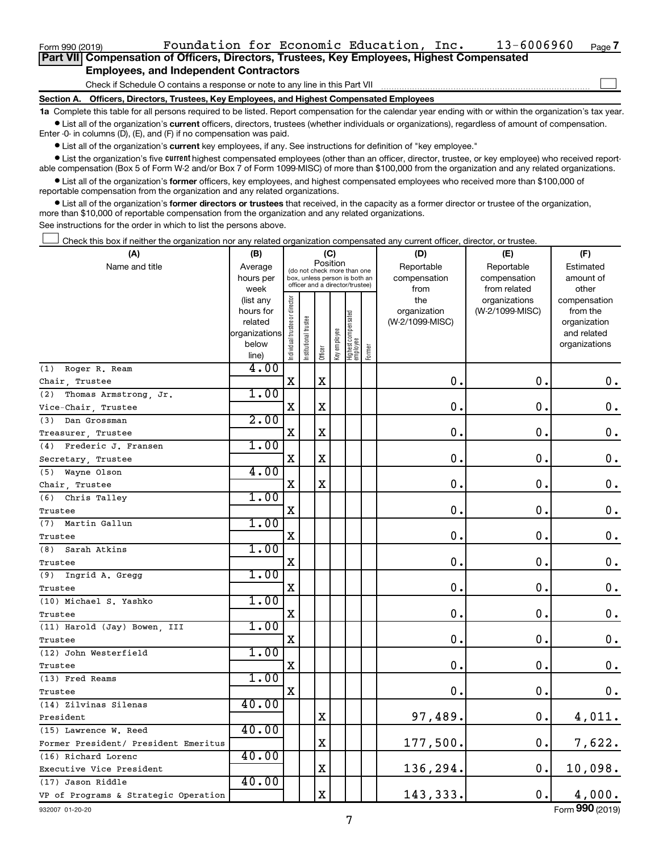**Section A. Officers, Directors, Trustees, Key Employees, and Highest Compensated Employees**

**1a**  Complete this table for all persons required to be listed. Report compensation for the calendar year ending with or within the organization's tax year.  $\bullet$  List all of the organization's current officers, directors, trustees (whether individuals or organizations), regardless of amount of compensation.

Enter -0- in columns (D), (E), and (F) if no compensation was paid.

**•** List all of the organization's current key employees, if any. See instructions for definition of "key employee."

• List the organization's five *current* highest compensated employees (other than an officer, director, trustee, or key employee) who received reportable compensation (Box 5 of Form W-2 and/or Box 7 of Form 1099-MISC) of more than \$100,000 from the organization and any related organizations.

 $\bullet$  List all of the organization's former officers, key employees, and highest compensated employees who received more than \$100,000 of reportable compensation from the organization and any related organizations.

**•** List all of the organization's former directors or trustees that received, in the capacity as a former director or trustee of the organization, more than \$10,000 of reportable compensation from the organization and any related organizations.

See instructions for the order in which to list the persons above.

Check this box if neither the organization nor any related organization compensated any current officer, director, or trustee.  $\Box$ 

| (A)                                  | (B)                    |                                                                          |                                 | (C)         |              |                                 |        | (D)                 | (E)                              | (F)                      |
|--------------------------------------|------------------------|--------------------------------------------------------------------------|---------------------------------|-------------|--------------|---------------------------------|--------|---------------------|----------------------------------|--------------------------|
| Name and title                       | Average                | Position<br>(do not check more than one<br>box, unless person is both an |                                 | Reportable  | Reportable   | Estimated                       |        |                     |                                  |                          |
|                                      | hours per              |                                                                          | officer and a director/trustee) |             |              |                                 |        | compensation        | compensation                     | amount of                |
|                                      | week                   |                                                                          |                                 |             |              |                                 |        | from                | from related                     | other                    |
|                                      | (list any<br>hours for |                                                                          |                                 |             |              |                                 |        | the<br>organization | organizations<br>(W-2/1099-MISC) | compensation<br>from the |
|                                      | related                |                                                                          |                                 |             |              |                                 |        | (W-2/1099-MISC)     |                                  | organization             |
|                                      | organizations          |                                                                          |                                 |             |              |                                 |        |                     |                                  | and related              |
|                                      | below                  | Individual trustee or director                                           | Institutional trustee           |             | Key employee | Highest compensated<br>employee |        |                     |                                  | organizations            |
|                                      | line)                  |                                                                          |                                 | Officer     |              |                                 | Former |                     |                                  |                          |
| Roger R. Ream<br>(1)                 | 4.00                   |                                                                          |                                 |             |              |                                 |        |                     |                                  |                          |
| Chair, Trustee                       |                        | X                                                                        |                                 | х           |              |                                 |        | $\mathbf 0$ .       | $\mathbf 0$ .                    | $0$ .                    |
| (2)<br>Thomas Armstrong, Jr.         | 1.00                   |                                                                          |                                 |             |              |                                 |        |                     |                                  |                          |
| Vice-Chair, Trustee                  |                        | X                                                                        |                                 | $\mathbf X$ |              |                                 |        | 0                   | $\mathbf 0$ .                    | 0.                       |
| Dan Grossman<br>(3)                  | 2.00                   |                                                                          |                                 |             |              |                                 |        |                     |                                  |                          |
| Treasurer, Trustee                   |                        | X                                                                        |                                 | $\mathbf X$ |              |                                 |        | $\mathbf 0$ .       | 0.                               | $\mathbf 0$ .            |
| Frederic J. Fransen<br>(4)           | 1.00                   |                                                                          |                                 |             |              |                                 |        |                     |                                  |                          |
| Secretary, Trustee                   |                        | $\mathbf X$                                                              |                                 | $\mathbf X$ |              |                                 |        | $\mathbf 0$ .       | $\mathbf 0$ .                    | $\mathbf 0$ .            |
| (5) Wayne Olson                      | 4.00                   |                                                                          |                                 |             |              |                                 |        |                     |                                  |                          |
| Chair, Trustee                       |                        | $\mathbf X$                                                              |                                 | $\mathbf X$ |              |                                 |        | $\mathbf 0$ .       | $\mathbf 0$ .                    | $\mathbf 0$ .            |
| Chris Talley<br>(6)                  | 1.00                   |                                                                          |                                 |             |              |                                 |        |                     |                                  |                          |
| Trustee                              |                        | $\mathbf X$                                                              |                                 |             |              |                                 |        | 0.                  | $\mathbf 0$ .                    | $\mathbf 0$ .            |
| (7) Martin Gallun                    | 1.00                   |                                                                          |                                 |             |              |                                 |        |                     |                                  |                          |
| Trustee                              |                        | X                                                                        |                                 |             |              |                                 |        | $\mathbf 0$         | $\mathbf 0$ .                    | $\mathbf 0$ .            |
| (8)<br>Sarah Atkins                  | 1.00                   |                                                                          |                                 |             |              |                                 |        |                     |                                  |                          |
| Trustee                              |                        | $\mathbf X$                                                              |                                 |             |              |                                 |        | $\mathbf 0$ .       | 0.                               | $\mathbf 0$ .            |
| Ingrid A. Gregg<br>(9)               | 1.00                   |                                                                          |                                 |             |              |                                 |        |                     |                                  |                          |
| Trustee                              |                        | X                                                                        |                                 |             |              |                                 |        | $\mathbf 0$         | $\mathbf 0$ .                    | $\boldsymbol{0}$ .       |
| (10) Michael S. Yashko               | 1.00                   |                                                                          |                                 |             |              |                                 |        |                     |                                  |                          |
| Trustee                              |                        | $\mathbf X$                                                              |                                 |             |              |                                 |        | 0                   | $\mathbf 0$ .                    | $\mathbf 0$ .            |
| (11) Harold (Jay) Bowen, III         | 1.00                   |                                                                          |                                 |             |              |                                 |        |                     |                                  |                          |
| Trustee                              |                        | X                                                                        |                                 |             |              |                                 |        | 0.                  | $\mathbf 0$ .                    | 0.                       |
| (12) John Westerfield                | 1.00                   |                                                                          |                                 |             |              |                                 |        |                     |                                  |                          |
| Trustee                              |                        | X                                                                        |                                 |             |              |                                 |        | $\mathbf 0$         | $\mathbf 0$ .                    | 0.                       |
| (13) Fred Reams                      | 1.00                   |                                                                          |                                 |             |              |                                 |        |                     |                                  |                          |
| Trustee                              |                        | $\mathbf X$                                                              |                                 |             |              |                                 |        | 0.                  | 0.                               | 0.                       |
| (14) Zilvinas Silenas                | 40.00                  |                                                                          |                                 |             |              |                                 |        |                     |                                  |                          |
| President                            |                        |                                                                          |                                 | $\mathbf X$ |              |                                 |        | 97,489.             | 0.                               | 4,011.                   |
| (15) Lawrence W. Reed                | 40.00                  |                                                                          |                                 |             |              |                                 |        |                     |                                  |                          |
| Former President/ President Emeritus |                        |                                                                          |                                 | $\mathbf X$ |              |                                 |        | 177,500.            | 0.                               | 7,622.                   |
| (16) Richard Lorenc                  | 40.00                  |                                                                          |                                 |             |              |                                 |        |                     |                                  |                          |
| Executive Vice President             |                        |                                                                          |                                 | $\mathbf X$ |              |                                 |        | 136,294.            | 0.                               | 10,098.                  |
| (17) Jason Riddle                    | 40.00                  |                                                                          |                                 |             |              |                                 |        |                     |                                  |                          |
| VP of Programs & Strategic Operation |                        |                                                                          |                                 | $\mathbf X$ |              |                                 |        | 143,333.            | $\mathbf 0$ .                    | 4,000.                   |

932007 01-20-20

Form (2019) **990**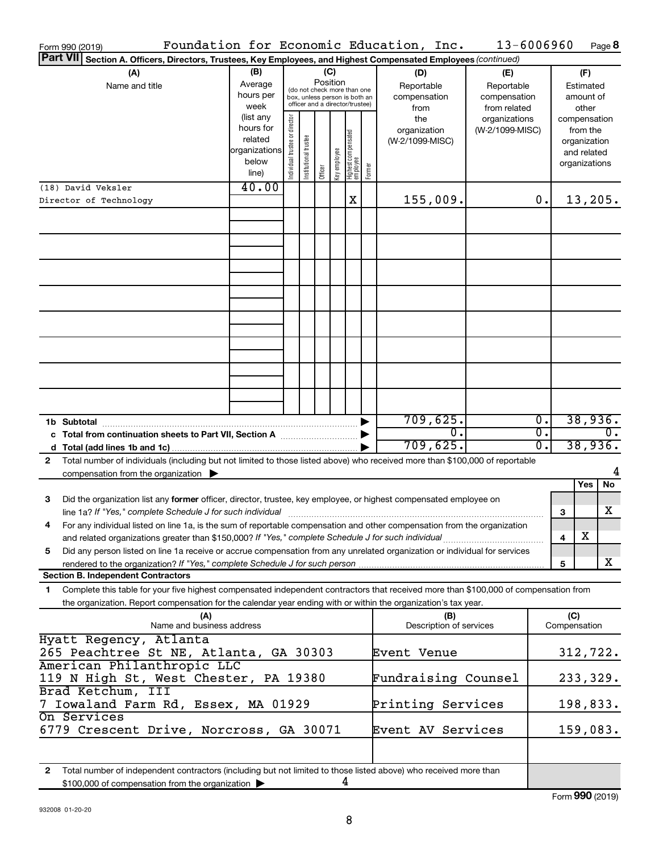| Form 990 (2019)                                                                                                                            |                        |                                                                  |                       |          |              |                                   |        | Foundation for Economic Education, Inc. | 13-6006960      |                  |              |                          | Page 8           |
|--------------------------------------------------------------------------------------------------------------------------------------------|------------------------|------------------------------------------------------------------|-----------------------|----------|--------------|-----------------------------------|--------|-----------------------------------------|-----------------|------------------|--------------|--------------------------|------------------|
| <b>Part VII</b><br>Section A. Officers, Directors, Trustees, Key Employees, and Highest Compensated Employees (continued)                  |                        |                                                                  |                       |          |              |                                   |        |                                         |                 |                  |              |                          |                  |
| (A)                                                                                                                                        | (B)                    |                                                                  |                       | (C)      |              |                                   |        | (D)                                     | (E)             |                  |              | (F)                      |                  |
| Name and title                                                                                                                             | Average                |                                                                  |                       | Position |              | (do not check more than one       |        | Reportable                              | Reportable      |                  |              | Estimated                |                  |
|                                                                                                                                            | hours per              | box, unless person is both an<br>officer and a director/trustee) |                       |          |              |                                   |        | compensation                            | compensation    |                  |              | amount of                |                  |
|                                                                                                                                            | week                   |                                                                  |                       |          |              |                                   | from   | from related                            |                 |                  | other        |                          |                  |
|                                                                                                                                            | (list any<br>hours for |                                                                  |                       |          |              |                                   |        | the                                     | organizations   |                  |              | compensation             |                  |
|                                                                                                                                            | related                |                                                                  |                       |          |              |                                   |        | organization<br>(W-2/1099-MISC)         | (W-2/1099-MISC) |                  |              | from the<br>organization |                  |
|                                                                                                                                            | organizations          |                                                                  |                       |          |              |                                   |        |                                         |                 |                  |              | and related              |                  |
|                                                                                                                                            | below                  | Individual trustee or director                                   | Institutional trustee |          |              |                                   |        |                                         |                 |                  |              | organizations            |                  |
|                                                                                                                                            | line)                  |                                                                  |                       | Officer  | Key employee | Highest compensated<br>  employee | Former |                                         |                 |                  |              |                          |                  |
| (18) David Veksler                                                                                                                         | 40.00                  |                                                                  |                       |          |              |                                   |        |                                         |                 |                  |              |                          |                  |
| Director of Technology                                                                                                                     |                        |                                                                  |                       |          |              | X                                 |        | 155,009.                                |                 | 0.               |              | 13,205.                  |                  |
|                                                                                                                                            |                        |                                                                  |                       |          |              |                                   |        |                                         |                 |                  |              |                          |                  |
|                                                                                                                                            |                        |                                                                  |                       |          |              |                                   |        |                                         |                 |                  |              |                          |                  |
|                                                                                                                                            |                        |                                                                  |                       |          |              |                                   |        |                                         |                 |                  |              |                          |                  |
|                                                                                                                                            |                        |                                                                  |                       |          |              |                                   |        |                                         |                 |                  |              |                          |                  |
|                                                                                                                                            |                        |                                                                  |                       |          |              |                                   |        |                                         |                 |                  |              |                          |                  |
|                                                                                                                                            |                        |                                                                  |                       |          |              |                                   |        |                                         |                 |                  |              |                          |                  |
|                                                                                                                                            |                        |                                                                  |                       |          |              |                                   |        |                                         |                 |                  |              |                          |                  |
|                                                                                                                                            |                        |                                                                  |                       |          |              |                                   |        |                                         |                 |                  |              |                          |                  |
|                                                                                                                                            |                        |                                                                  |                       |          |              |                                   |        |                                         |                 |                  |              |                          |                  |
|                                                                                                                                            |                        |                                                                  |                       |          |              |                                   |        |                                         |                 |                  |              |                          |                  |
|                                                                                                                                            |                        |                                                                  |                       |          |              |                                   |        |                                         |                 |                  |              |                          |                  |
|                                                                                                                                            |                        |                                                                  |                       |          |              |                                   |        |                                         |                 |                  |              |                          |                  |
|                                                                                                                                            |                        |                                                                  |                       |          |              |                                   |        |                                         |                 |                  |              |                          |                  |
|                                                                                                                                            |                        |                                                                  |                       |          |              |                                   |        |                                         |                 |                  |              |                          |                  |
|                                                                                                                                            |                        |                                                                  |                       |          |              |                                   |        | 709,625.                                |                 | σ.               |              | 38,936.                  |                  |
| c Total from continuation sheets to Part VII, Section A manuscreen continuum                                                               |                        |                                                                  |                       |          |              |                                   |        | $\overline{0}$                          |                 | $\overline{0}$ . |              |                          | $\overline{0}$ . |
|                                                                                                                                            |                        |                                                                  |                       |          |              |                                   |        | 709,625.                                |                 | 0.               |              | 38,936.                  |                  |
| Total number of individuals (including but not limited to those listed above) who received more than \$100,000 of reportable<br>2          |                        |                                                                  |                       |          |              |                                   |        |                                         |                 |                  |              |                          |                  |
| compensation from the organization $\blacktriangleright$                                                                                   |                        |                                                                  |                       |          |              |                                   |        |                                         |                 |                  |              |                          | 4                |
|                                                                                                                                            |                        |                                                                  |                       |          |              |                                   |        |                                         |                 |                  |              | Yes                      | No               |
| Did the organization list any former officer, director, trustee, key employee, or highest compensated employee on<br>3                     |                        |                                                                  |                       |          |              |                                   |        |                                         |                 |                  |              |                          |                  |
| line 1a? If "Yes," complete Schedule J for such individual                                                                                 |                        |                                                                  |                       |          |              |                                   |        |                                         |                 |                  | 3            |                          | х                |
| For any individual listed on line 1a, is the sum of reportable compensation and other compensation from the organization                   |                        |                                                                  |                       |          |              |                                   |        |                                         |                 |                  |              |                          |                  |
| and related organizations greater than \$150,000? If "Yes," complete Schedule J for such individual                                        |                        |                                                                  |                       |          |              |                                   |        |                                         |                 |                  | 4            | х                        |                  |
| Did any person listed on line 1a receive or accrue compensation from any unrelated organization or individual for services<br>5            |                        |                                                                  |                       |          |              |                                   |        |                                         |                 |                  |              |                          |                  |
| rendered to the organization? If "Yes," complete Schedule J for such person                                                                |                        |                                                                  |                       |          |              |                                   |        |                                         |                 |                  | 5            |                          | X                |
| <b>Section B. Independent Contractors</b>                                                                                                  |                        |                                                                  |                       |          |              |                                   |        |                                         |                 |                  |              |                          |                  |
| Complete this table for your five highest compensated independent contractors that received more than \$100,000 of compensation from<br>1. |                        |                                                                  |                       |          |              |                                   |        |                                         |                 |                  |              |                          |                  |
| the organization. Report compensation for the calendar year ending with or within the organization's tax year.<br>(A)                      |                        |                                                                  |                       |          |              |                                   |        | (B)                                     |                 |                  | (C)          |                          |                  |
| Name and business address                                                                                                                  |                        |                                                                  |                       |          |              |                                   |        | Description of services                 |                 |                  | Compensation |                          |                  |
| Hyatt Regency, Atlanta                                                                                                                     |                        |                                                                  |                       |          |              |                                   |        |                                         |                 |                  |              |                          |                  |
| 265 Peachtree St NE, Atlanta, GA 30303                                                                                                     |                        |                                                                  |                       |          |              |                                   |        | Event Venue                             |                 |                  |              | 312,722.                 |                  |
| American Philanthropic LLC                                                                                                                 |                        |                                                                  |                       |          |              |                                   |        |                                         |                 |                  |              |                          |                  |
| 119 N High St, West Chester, PA 19380                                                                                                      |                        |                                                                  |                       |          |              | Fundraising Counsel               |        |                                         |                 | 233,329.         |              |                          |                  |
| Brad Ketchum, III                                                                                                                          |                        |                                                                  |                       |          |              |                                   |        |                                         |                 |                  |              |                          |                  |
| 7 Iowaland Farm Rd, Essex, MA 01929                                                                                                        |                        |                                                                  |                       |          |              |                                   |        | Printing Services                       |                 |                  |              | 198,833.                 |                  |
| On Services                                                                                                                                |                        |                                                                  |                       |          |              |                                   |        |                                         |                 |                  |              |                          |                  |
| 6779 Crescent Drive, Norcross, GA 30071                                                                                                    |                        |                                                                  |                       |          |              |                                   |        | Event AV Services                       |                 |                  |              | 159,083.                 |                  |
|                                                                                                                                            |                        |                                                                  |                       |          |              |                                   |        |                                         |                 |                  |              |                          |                  |
| Total number of independent contractors (including but not limited to those listed above) who received more than<br>2                      |                        |                                                                  |                       |          |              |                                   |        |                                         |                 |                  |              |                          |                  |
| \$100,000 of compensation from the organization                                                                                            |                        |                                                                  |                       |          |              | 4                                 |        |                                         |                 |                  |              |                          |                  |

Form (2019) **990**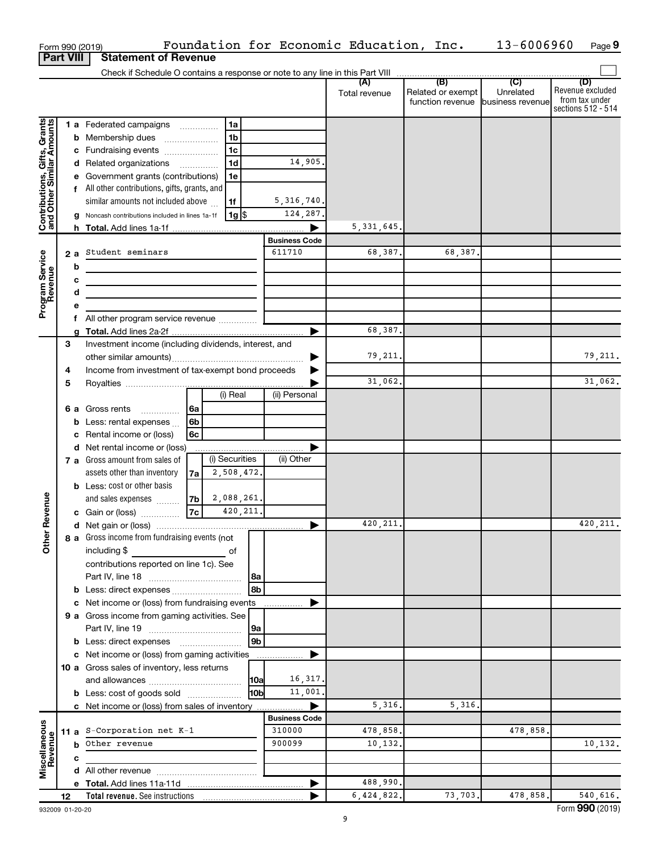|                                                           |                  |                                                                                 | Form 990 (2019)                                                                                                       |      |                |           |                      | Foundation for Economic Education, Inc. |                                              | 13-6006960                                      | Page 9                                                          |
|-----------------------------------------------------------|------------------|---------------------------------------------------------------------------------|-----------------------------------------------------------------------------------------------------------------------|------|----------------|-----------|----------------------|-----------------------------------------|----------------------------------------------|-------------------------------------------------|-----------------------------------------------------------------|
|                                                           | <b>Part VIII</b> |                                                                                 | <b>Statement of Revenue</b>                                                                                           |      |                |           |                      |                                         |                                              |                                                 |                                                                 |
|                                                           |                  |                                                                                 |                                                                                                                       |      |                |           |                      |                                         |                                              |                                                 |                                                                 |
|                                                           |                  |                                                                                 |                                                                                                                       |      |                |           |                      | (A)<br>Total revenue                    | (B)<br>Related or exempt<br>function revenue | $\overline{C}$<br>Unrelated<br>business revenue | (D)<br>Revenue excluded<br>from tax under<br>sections 512 - 514 |
|                                                           |                  |                                                                                 | 1 a Federated campaigns                                                                                               |      | 1a             |           |                      |                                         |                                              |                                                 |                                                                 |
| Contributions, Gifts, Grants<br>and Other Similar Amounts |                  |                                                                                 | <b>b</b> Membership dues                                                                                              |      | 1 <sub>b</sub> |           |                      |                                         |                                              |                                                 |                                                                 |
|                                                           |                  |                                                                                 | c Fundraising events                                                                                                  |      | 1c             |           |                      |                                         |                                              |                                                 |                                                                 |
|                                                           |                  |                                                                                 | d Related organizations                                                                                               |      | 1 <sub>d</sub> |           | 14,905.              |                                         |                                              |                                                 |                                                                 |
|                                                           |                  |                                                                                 | e Government grants (contributions)                                                                                   |      | 1e             |           |                      |                                         |                                              |                                                 |                                                                 |
|                                                           |                  |                                                                                 | f All other contributions, gifts, grants, and                                                                         |      |                |           |                      |                                         |                                              |                                                 |                                                                 |
|                                                           |                  |                                                                                 | similar amounts not included above                                                                                    |      | 1f             |           | 5, 316, 740.         |                                         |                                              |                                                 |                                                                 |
|                                                           |                  |                                                                                 | Noncash contributions included in lines 1a-1f                                                                         |      | $1g$ \$        |           | 124,287.             |                                         |                                              |                                                 |                                                                 |
|                                                           |                  | h.                                                                              |                                                                                                                       |      |                |           |                      | 5, 331, 645.                            |                                              |                                                 |                                                                 |
|                                                           |                  |                                                                                 |                                                                                                                       |      |                |           | <b>Business Code</b> |                                         |                                              |                                                 |                                                                 |
| Program Service<br>Revenue                                |                  | 2 a                                                                             | Student seminars                                                                                                      |      |                |           | 611710               | 68,387.                                 | 68,387.                                      |                                                 |                                                                 |
|                                                           |                  | b                                                                               |                                                                                                                       |      |                |           |                      |                                         |                                              |                                                 |                                                                 |
|                                                           |                  | с                                                                               | <u> 1980 - Johann Barbara, martin amerikan basal dan berasal dan berasal dalam basal dalam basal dan berasal dala</u> |      |                |           |                      |                                         |                                              |                                                 |                                                                 |
|                                                           |                  | d<br>the control of the control of the control of the control of the control of |                                                                                                                       |      |                |           |                      |                                         |                                              |                                                 |                                                                 |
|                                                           |                  | е                                                                               |                                                                                                                       |      |                |           |                      |                                         |                                              |                                                 |                                                                 |
|                                                           |                  | f.                                                                              | All other program service revenue                                                                                     |      |                |           |                      | 68,387.                                 |                                              |                                                 |                                                                 |
|                                                           | З                | a                                                                               | Investment income (including dividends, interest, and                                                                 |      |                |           |                      |                                         |                                              |                                                 |                                                                 |
|                                                           |                  |                                                                                 |                                                                                                                       |      |                |           |                      | 79,211.                                 |                                              |                                                 | 79,211.                                                         |
|                                                           | 4                |                                                                                 | Income from investment of tax-exempt bond proceeds                                                                    |      |                |           |                      |                                         |                                              |                                                 |                                                                 |
|                                                           | 5                |                                                                                 |                                                                                                                       |      |                |           |                      | 31,062.                                 |                                              |                                                 | 31,062.                                                         |
|                                                           |                  |                                                                                 |                                                                                                                       |      | (i) Real       |           | (ii) Personal        |                                         |                                              |                                                 |                                                                 |
|                                                           |                  |                                                                                 | <b>6 a</b> Gross rents                                                                                                | l 6a |                |           |                      |                                         |                                              |                                                 |                                                                 |
|                                                           |                  | b                                                                               | Less: rental expenses                                                                                                 | 6b   |                |           |                      |                                         |                                              |                                                 |                                                                 |
|                                                           |                  | c                                                                               | Rental income or (loss)                                                                                               | 6с   |                |           |                      |                                         |                                              |                                                 |                                                                 |
|                                                           |                  |                                                                                 | d Net rental income or (loss)                                                                                         |      |                |           |                      |                                         |                                              |                                                 |                                                                 |
|                                                           |                  |                                                                                 | 7 a Gross amount from sales of                                                                                        |      | (i) Securities |           | (ii) Other           |                                         |                                              |                                                 |                                                                 |
|                                                           |                  |                                                                                 | assets other than inventory                                                                                           | 7a   | 2,508,472.     |           |                      |                                         |                                              |                                                 |                                                                 |
|                                                           |                  |                                                                                 | <b>b</b> Less: cost or other basis                                                                                    |      |                |           |                      |                                         |                                              |                                                 |                                                                 |
|                                                           |                  |                                                                                 | and sales expenses                                                                                                    | 7b   | 2,088,261.     |           |                      |                                         |                                              |                                                 |                                                                 |
| evenue                                                    |                  |                                                                                 | c Gain or (loss)                                                                                                      | 7c   |                | 420, 211. |                      |                                         |                                              |                                                 |                                                                 |
|                                                           |                  |                                                                                 |                                                                                                                       |      |                |           |                      | 420, 211.                               |                                              |                                                 | 420, 211.                                                       |
| Other <sub>R</sub>                                        |                  |                                                                                 | 8 a Gross income from fundraising events (not                                                                         |      |                |           |                      |                                         |                                              |                                                 |                                                                 |
|                                                           |                  |                                                                                 | including \$                                                                                                          |      | of             |           |                      |                                         |                                              |                                                 |                                                                 |
|                                                           |                  |                                                                                 | contributions reported on line 1c). See                                                                               |      |                |           |                      |                                         |                                              |                                                 |                                                                 |
|                                                           |                  |                                                                                 |                                                                                                                       |      |                | 8a        |                      |                                         |                                              |                                                 |                                                                 |
|                                                           |                  |                                                                                 | b Less: direct expenses                                                                                               |      |                | 8b        |                      |                                         |                                              |                                                 |                                                                 |
|                                                           |                  |                                                                                 | c Net income or (loss) from fundraising events                                                                        |      |                |           |                      |                                         |                                              |                                                 |                                                                 |
|                                                           |                  |                                                                                 | 9 a Gross income from gaming activities. See                                                                          |      |                |           |                      |                                         |                                              |                                                 |                                                                 |
|                                                           |                  |                                                                                 |                                                                                                                       |      |                | 9a<br>9b  |                      |                                         |                                              |                                                 |                                                                 |
|                                                           |                  |                                                                                 | <b>b</b> Less: direct expenses <b>manually</b><br>c Net income or (loss) from gaming activities                       |      |                |           |                      |                                         |                                              |                                                 |                                                                 |
|                                                           |                  |                                                                                 | 10 a Gross sales of inventory, less returns                                                                           |      |                |           |                      |                                         |                                              |                                                 |                                                                 |
|                                                           |                  |                                                                                 |                                                                                                                       |      |                | 10a       | 16,317.              |                                         |                                              |                                                 |                                                                 |
|                                                           |                  |                                                                                 | <b>b</b> Less: cost of goods sold                                                                                     |      |                | l10bl     | 11,001               |                                         |                                              |                                                 |                                                                 |
|                                                           |                  |                                                                                 | c Net income or (loss) from sales of inventory                                                                        |      |                |           | ▶                    | 5,316.                                  | 5,316.                                       |                                                 |                                                                 |
|                                                           |                  |                                                                                 |                                                                                                                       |      |                |           | <b>Business Code</b> |                                         |                                              |                                                 |                                                                 |
|                                                           |                  |                                                                                 | 11 a S-Corporation net $K-1$                                                                                          |      |                |           | 310000               | 478,858.                                |                                              | 478,858.                                        |                                                                 |
| Miscellaneous<br>Revenue                                  |                  |                                                                                 | <b>b</b> Other revenue                                                                                                |      |                |           | 900099               | 10,132.                                 |                                              |                                                 | 10,132.                                                         |
|                                                           |                  | c                                                                               |                                                                                                                       |      |                |           |                      |                                         |                                              |                                                 |                                                                 |
|                                                           |                  |                                                                                 |                                                                                                                       |      |                |           |                      |                                         |                                              |                                                 |                                                                 |
|                                                           |                  |                                                                                 |                                                                                                                       |      |                |           |                      | 488,990.                                |                                              |                                                 |                                                                 |
|                                                           | 12               |                                                                                 |                                                                                                                       |      |                |           |                      | 6,424,822.                              | 73,703.                                      | 478,858.                                        | 540,616.                                                        |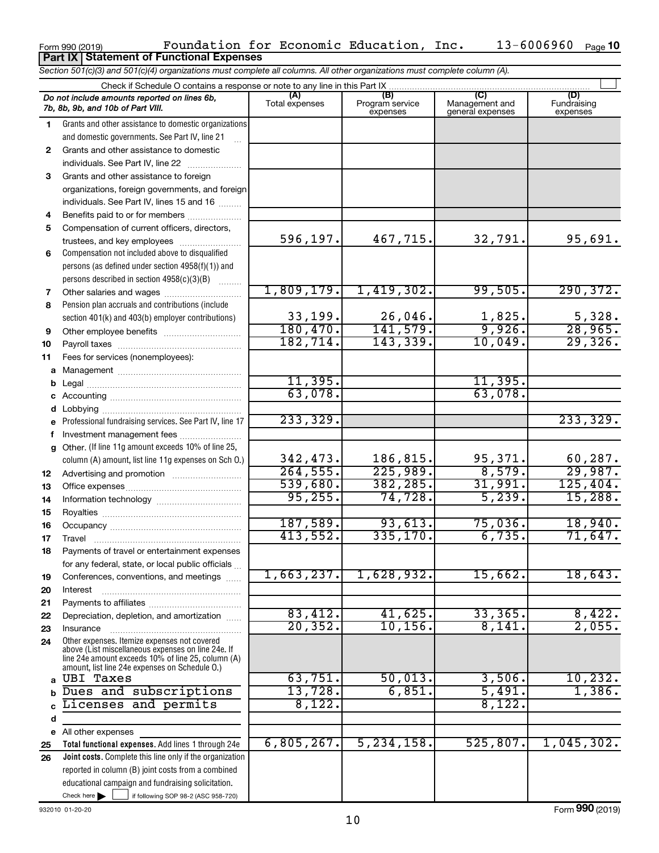|              | <b>Part IX   Statement of Functional Expenses</b>                                                                          |                       |                                    |                                           |                                |
|--------------|----------------------------------------------------------------------------------------------------------------------------|-----------------------|------------------------------------|-------------------------------------------|--------------------------------|
|              | Section 501(c)(3) and 501(c)(4) organizations must complete all columns. All other organizations must complete column (A). |                       |                                    |                                           |                                |
|              | Check if Schedule O contains a response or note to any line in this Part IX                                                |                       |                                    |                                           |                                |
|              | Do not include amounts reported on lines 6b,<br>7b, 8b, 9b, and 10b of Part VIII.                                          | (A)<br>Total expenses | (B)<br>Program service<br>expenses | (C)<br>Management and<br>general expenses | (D)<br>Fundraising<br>expenses |
| 1            | Grants and other assistance to domestic organizations                                                                      |                       |                                    |                                           |                                |
|              | and domestic governments. See Part IV, line 21                                                                             |                       |                                    |                                           |                                |
| $\mathbf{2}$ | Grants and other assistance to domestic                                                                                    |                       |                                    |                                           |                                |
|              | individuals. See Part IV, line 22                                                                                          |                       |                                    |                                           |                                |
| 3            | Grants and other assistance to foreign                                                                                     |                       |                                    |                                           |                                |
|              | organizations, foreign governments, and foreign                                                                            |                       |                                    |                                           |                                |
|              | individuals. See Part IV, lines 15 and 16                                                                                  |                       |                                    |                                           |                                |
| 4            | Benefits paid to or for members                                                                                            |                       |                                    |                                           |                                |
| 5            | Compensation of current officers, directors,                                                                               |                       |                                    |                                           |                                |
|              | trustees, and key employees                                                                                                | 596,197.              | 467,715.                           | 32,791.                                   | 95,691.                        |
| 6            | Compensation not included above to disqualified                                                                            |                       |                                    |                                           |                                |
|              | persons (as defined under section 4958(f)(1)) and                                                                          |                       |                                    |                                           |                                |
|              | persons described in section 4958(c)(3)(B)                                                                                 | 1,809,179.            | 1,419,302.                         | 99,505.                                   | 290, 372.                      |
| 7            | Other salaries and wages                                                                                                   |                       |                                    |                                           |                                |
| 8            | Pension plan accruals and contributions (include<br>section 401(k) and 403(b) employer contributions)                      | 33,199.               | 26,046.                            | 1,825.                                    | 5,328.                         |
| 9            |                                                                                                                            | 180,470.              | 141,579.                           | 9,926.                                    | 28,965.                        |
| 10           |                                                                                                                            | 182, 714.             | 143,339.                           | 10,049.                                   | 29,326.                        |
| 11           | Fees for services (nonemployees):                                                                                          |                       |                                    |                                           |                                |
| а            |                                                                                                                            |                       |                                    |                                           |                                |
| b            |                                                                                                                            | 11,395.               |                                    | 11,395.                                   |                                |
| с            |                                                                                                                            | 63,078.               |                                    | 63,078.                                   |                                |
| d            | Lobbying                                                                                                                   |                       |                                    |                                           |                                |
|              | Professional fundraising services. See Part IV, line 17                                                                    | 233, 329.             |                                    |                                           | 233, 329.                      |
|              | Investment management fees                                                                                                 |                       |                                    |                                           |                                |
| g            | Other. (If line 11g amount exceeds 10% of line 25,                                                                         |                       |                                    |                                           |                                |
|              | column (A) amount, list line 11g expenses on Sch O.)                                                                       | 342,473.              | 186,815.                           | 95,371.                                   | 60, 287.                       |
| 12           |                                                                                                                            | 264, 555.             | 225,989.                           | 8,579.                                    | 29,987.                        |
| 13           |                                                                                                                            | 539,680.              | 382,285.                           | 31,991.                                   | 125,404.                       |
| 14           |                                                                                                                            | 95, 255.              | 74,728.                            | 5,239.                                    | 15,288.                        |
| 15           |                                                                                                                            |                       |                                    |                                           |                                |
| 16           |                                                                                                                            | 187,589.              | 93,613.                            | 75,036.                                   | 18,940.                        |
| 17           | Travel                                                                                                                     | 413,552.              | 335,170.                           | 6,735.                                    | 71,647.                        |
| 18           | Payments of travel or entertainment expenses                                                                               |                       |                                    |                                           |                                |
|              | for any federal, state, or local public officials                                                                          | 1,663,237.            | 1,628,932.                         | 15,662.                                   | 18,643.                        |
| 19           | Conferences, conventions, and meetings                                                                                     |                       |                                    |                                           |                                |
| 20           | Interest                                                                                                                   |                       |                                    |                                           |                                |
| 21<br>22     | Depreciation, depletion, and amortization                                                                                  | 83,412.               | 41,625.                            | 33,365.                                   | 8,422.                         |
| 23           | Insurance                                                                                                                  | 20, 352.              | 10, 156.                           | 8,141.                                    | 2,055.                         |
| 24           | Other expenses. Itemize expenses not covered                                                                               |                       |                                    |                                           |                                |
|              | above (List miscellaneous expenses on line 24e. If                                                                         |                       |                                    |                                           |                                |
|              | line 24e amount exceeds 10% of line 25, column (A)<br>amount, list line 24e expenses on Schedule O.)                       |                       |                                    |                                           |                                |
| a            | <b>UBI Taxes</b>                                                                                                           | 63,751.               | 50,013.                            | 3,506.                                    | 10, 232.                       |
| b            | Dues and subscriptions                                                                                                     | 13,728.               | 6,851.                             | 5,491.                                    | 1,386.                         |
|              | Licenses and permits                                                                                                       | 8,122.                |                                    | 8,122.                                    |                                |
| d            |                                                                                                                            |                       |                                    |                                           |                                |
|              | e All other expenses                                                                                                       |                       |                                    |                                           |                                |
| 25           | Total functional expenses. Add lines 1 through 24e                                                                         | 6,805,267.            | 5, 234, 158.                       | 525, 807.                                 | 1,045,302.                     |
| 26           | Joint costs. Complete this line only if the organization                                                                   |                       |                                    |                                           |                                |
|              | reported in column (B) joint costs from a combined                                                                         |                       |                                    |                                           |                                |
|              | educational campaign and fundraising solicitation.                                                                         |                       |                                    |                                           |                                |
|              | Check here $\blacktriangleright$<br>if following SOP 98-2 (ASC 958-720)                                                    |                       |                                    |                                           |                                |

 $_{\rm Form}$ 990(2019) Poundation for Economic Education, Inc.  $_{\rm I3-60008960~Page}$ 

Foundation for Economic Education, Inc. 13-6006960

13-6006960 Page 10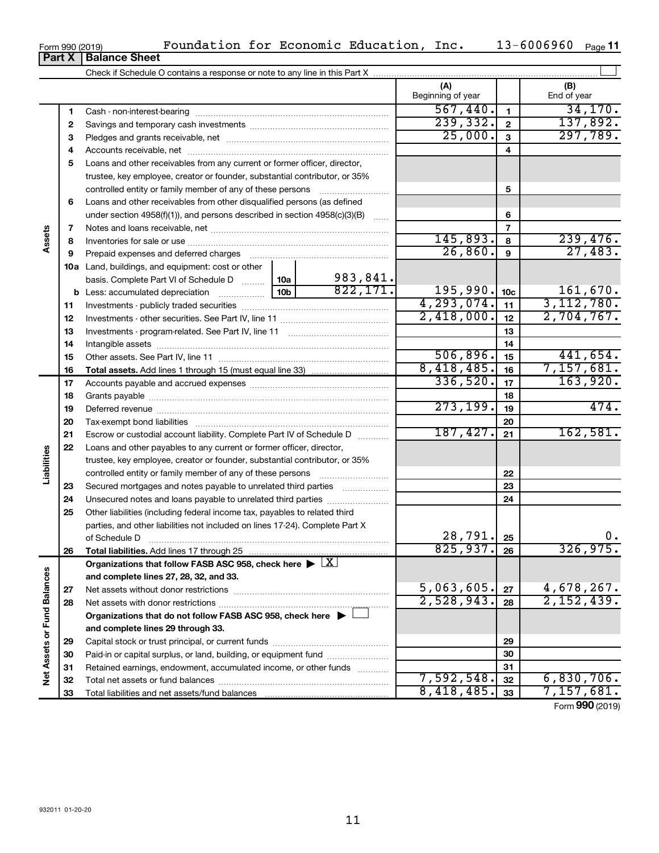| Form 990 (2019) |                               |
|-----------------|-------------------------------|
|                 | <b>Part X   Balance Sheet</b> |

|                             |    |                                                                                                        |                          |                | (A)<br>Beginning of year |              | (B)<br>End of year       |
|-----------------------------|----|--------------------------------------------------------------------------------------------------------|--------------------------|----------------|--------------------------|--------------|--------------------------|
|                             | 1  |                                                                                                        |                          |                | 567,440.                 | $\mathbf{1}$ | 34, 170.                 |
|                             | 2  |                                                                                                        |                          |                | 239,332.                 | $\mathbf{2}$ | 137,892.                 |
|                             | З  |                                                                                                        |                          |                | 25,000.                  | 3            | 297,789.                 |
|                             | 4  |                                                                                                        |                          |                |                          | 4            |                          |
|                             | 5  | Loans and other receivables from any current or former officer, director,                              |                          |                |                          |              |                          |
|                             |    | trustee, key employee, creator or founder, substantial contributor, or 35%                             |                          |                |                          |              |                          |
|                             |    | controlled entity or family member of any of these persons                                             |                          |                |                          | 5            |                          |
|                             | 6  | Loans and other receivables from other disqualified persons (as defined                                |                          |                |                          |              |                          |
| Assets                      |    | under section 4958(f)(1)), and persons described in section 4958(c)(3)(B)                              |                          |                |                          | 6            |                          |
|                             | 7  |                                                                                                        |                          |                | $\overline{7}$           |              |                          |
|                             | 8  |                                                                                                        |                          | 145,893.       | 8                        | 239,476.     |                          |
|                             | 9  |                                                                                                        | 26,860.                  | 9              | 27,483.                  |              |                          |
|                             |    | 10a Land, buildings, and equipment: cost or other                                                      |                          |                |                          |              |                          |
|                             |    | basis. Complete Part VI of Schedule D                                                                  | 10a  <br>10 <sub>b</sub> | 983,841.       |                          |              |                          |
|                             |    | <b>b</b> Less: accumulated depreciation                                                                | 822,171.                 | $195,990.$ 10c |                          | 161,670.     |                          |
|                             | 11 |                                                                                                        |                          | 4, 293, 074.   | 11                       | 3, 112, 780. |                          |
|                             | 12 |                                                                                                        | 2,418,000.               | 12             | 2,704,767.               |              |                          |
|                             | 13 |                                                                                                        |                          | 13             |                          |              |                          |
|                             | 14 |                                                                                                        |                          |                |                          | 14           |                          |
|                             | 15 |                                                                                                        |                          |                | 506,896.                 | 15           | 441,654.                 |
|                             | 16 |                                                                                                        |                          |                | 8,418,485.               | 16           | 7, 157, 681.             |
|                             | 17 |                                                                                                        |                          |                | 336,520.                 | 17           | 163,920.                 |
|                             | 18 |                                                                                                        |                          | 18             |                          |              |                          |
|                             | 19 |                                                                                                        | 273, 199.                | 19             | 474.                     |              |                          |
|                             | 20 |                                                                                                        |                          | 20             |                          |              |                          |
|                             | 21 | Escrow or custodial account liability. Complete Part IV of Schedule D                                  |                          |                | 187,427.                 | 21           | 162,581.                 |
|                             | 22 | Loans and other payables to any current or former officer, director,                                   |                          |                |                          |              |                          |
| Liabilities                 |    | trustee, key employee, creator or founder, substantial contributor, or 35%                             |                          |                |                          |              |                          |
|                             |    |                                                                                                        |                          |                |                          | 22           |                          |
|                             | 23 | Secured mortgages and notes payable to unrelated third parties                                         |                          |                |                          | 23           |                          |
|                             | 24 |                                                                                                        |                          |                |                          | 24           |                          |
|                             | 25 | Other liabilities (including federal income tax, payables to related third                             |                          |                |                          |              |                          |
|                             |    | parties, and other liabilities not included on lines 17-24). Complete Part X                           |                          |                |                          |              |                          |
|                             |    |                                                                                                        |                          |                | 28, 791.                 | 25           | 0.                       |
|                             | 26 |                                                                                                        |                          |                | 825,937.                 | 26           | 326,975 <b>.</b>         |
|                             |    | Organizations that follow FASB ASC 958, check here $\blacktriangleright \lfloor \underline{X} \rfloor$ |                          |                |                          |              |                          |
|                             |    | and complete lines 27, 28, 32, and 33.                                                                 |                          |                |                          |              |                          |
|                             | 27 |                                                                                                        |                          |                | 5,063,605.<br>2,528,943. | 27           | 4,678,267.<br>2,152,439. |
|                             | 28 |                                                                                                        |                          |                |                          | 28           |                          |
|                             |    | Organizations that do not follow FASB ASC 958, check here $\blacktriangleright$                        |                          |                |                          |              |                          |
|                             |    | and complete lines 29 through 33.                                                                      |                          |                |                          |              |                          |
|                             | 29 |                                                                                                        |                          |                |                          | 29           |                          |
|                             | 30 | Paid-in or capital surplus, or land, building, or equipment fund                                       |                          |                |                          | 30           |                          |
| Net Assets or Fund Balances | 31 | Retained earnings, endowment, accumulated income, or other funds                                       |                          |                | 7,592,548.               | 31           | 6,830,706.               |
|                             | 32 |                                                                                                        |                          |                | 8,418,485.               | 32           | 7, 157, 681.             |
|                             | 33 |                                                                                                        |                          |                | 33                       |              |                          |

Form (2019) **990**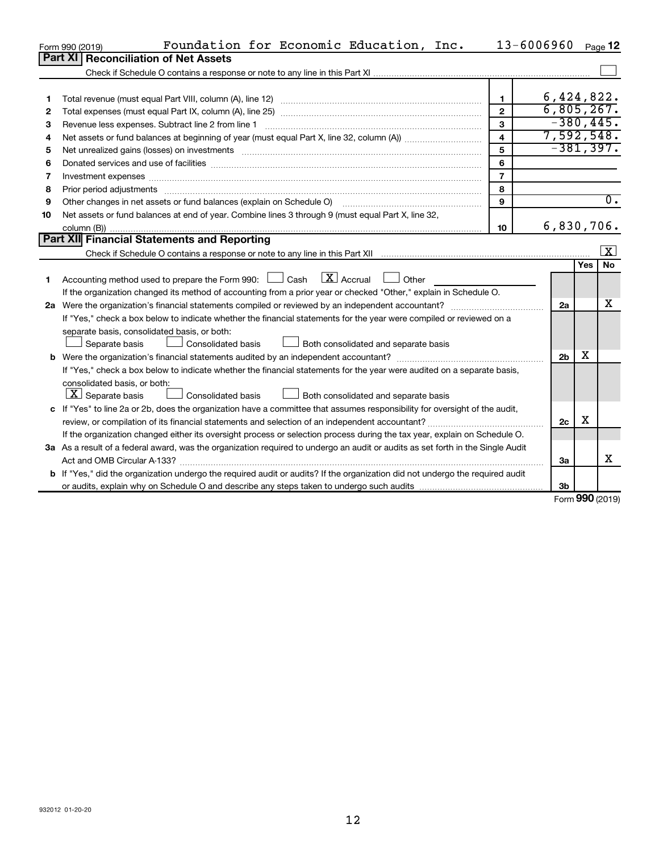|    | Foundation for Economic Education, Inc.<br>Form 990 (2019)                                                                                                                                                                     | 13-6006960              |                |     | Page 12                 |
|----|--------------------------------------------------------------------------------------------------------------------------------------------------------------------------------------------------------------------------------|-------------------------|----------------|-----|-------------------------|
|    | <b>Part XI</b><br><b>Reconciliation of Net Assets</b>                                                                                                                                                                          |                         |                |     |                         |
|    |                                                                                                                                                                                                                                |                         |                |     |                         |
|    |                                                                                                                                                                                                                                |                         |                |     |                         |
| 1  |                                                                                                                                                                                                                                | 1.                      | 6,424,822.     |     |                         |
| 2  |                                                                                                                                                                                                                                | $\mathbf{2}$            | 6,805,267.     |     |                         |
| 3  | Revenue less expenses. Subtract line 2 from line 1                                                                                                                                                                             | 3                       | $-380, 445.$   |     |                         |
| 4  |                                                                                                                                                                                                                                | $\overline{\mathbf{4}}$ | 7,592,548.     |     |                         |
| 5  |                                                                                                                                                                                                                                | 5                       | $-381, 397.$   |     |                         |
| 6  |                                                                                                                                                                                                                                | 6                       |                |     |                         |
| 7  | Investment expenses www.communication.com/www.communication.com/www.communication.com/www.com                                                                                                                                  | $\overline{7}$          |                |     |                         |
| 8  | Prior period adjustments material contents and content of the content of the content of the content of the content of the content of the content of the content of the content of the content of the content of the content of | 8                       |                |     |                         |
| 9  | Other changes in net assets or fund balances (explain on Schedule O)                                                                                                                                                           | 9                       |                |     | $\overline{0}$ .        |
| 10 | Net assets or fund balances at end of year. Combine lines 3 through 9 (must equal Part X, line 32,                                                                                                                             |                         |                |     |                         |
|    |                                                                                                                                                                                                                                | 10                      | 6,830,706.     |     |                         |
|    | Part XII Financial Statements and Reporting                                                                                                                                                                                    |                         |                |     |                         |
|    |                                                                                                                                                                                                                                |                         |                |     | $\overline{\mathbf{X}}$ |
|    |                                                                                                                                                                                                                                |                         |                | Yes | <b>No</b>               |
| 1  | $\lfloor x \rfloor$ Accrual<br>Accounting method used to prepare the Form 990: [130] Cash<br>$\vert$ $\vert$ Other                                                                                                             |                         |                |     |                         |
|    | If the organization changed its method of accounting from a prior year or checked "Other," explain in Schedule O.                                                                                                              |                         |                |     |                         |
|    | 2a Were the organization's financial statements compiled or reviewed by an independent accountant?                                                                                                                             |                         | 2a             |     | х                       |
|    | If "Yes," check a box below to indicate whether the financial statements for the year were compiled or reviewed on a                                                                                                           |                         |                |     |                         |
|    | separate basis, consolidated basis, or both:                                                                                                                                                                                   |                         |                |     |                         |
|    | Consolidated basis<br>Both consolidated and separate basis<br>Separate basis                                                                                                                                                   |                         |                |     |                         |
|    |                                                                                                                                                                                                                                |                         | 2 <sub>b</sub> | х   |                         |
|    | If "Yes," check a box below to indicate whether the financial statements for the year were audited on a separate basis,                                                                                                        |                         |                |     |                         |
|    | consolidated basis, or both:                                                                                                                                                                                                   |                         |                |     |                         |
|    | $\lfloor \underline{X} \rfloor$ Separate basis<br><b>Consolidated basis</b><br>Both consolidated and separate basis                                                                                                            |                         |                |     |                         |
|    | c If "Yes" to line 2a or 2b, does the organization have a committee that assumes responsibility for oversight of the audit,                                                                                                    |                         |                |     |                         |
|    | review, or compilation of its financial statements and selection of an independent accountant?                                                                                                                                 |                         | 2c             | х   |                         |
|    | If the organization changed either its oversight process or selection process during the tax year, explain on Schedule O.                                                                                                      |                         |                |     |                         |
|    | 3a As a result of a federal award, was the organization required to undergo an audit or audits as set forth in the Single Audit                                                                                                |                         |                |     |                         |
|    |                                                                                                                                                                                                                                |                         | За             |     | x                       |
|    | b If "Yes," did the organization undergo the required audit or audits? If the organization did not undergo the required audit                                                                                                  |                         |                |     |                         |
|    |                                                                                                                                                                                                                                |                         | 3b             |     |                         |

Form (2019) **990**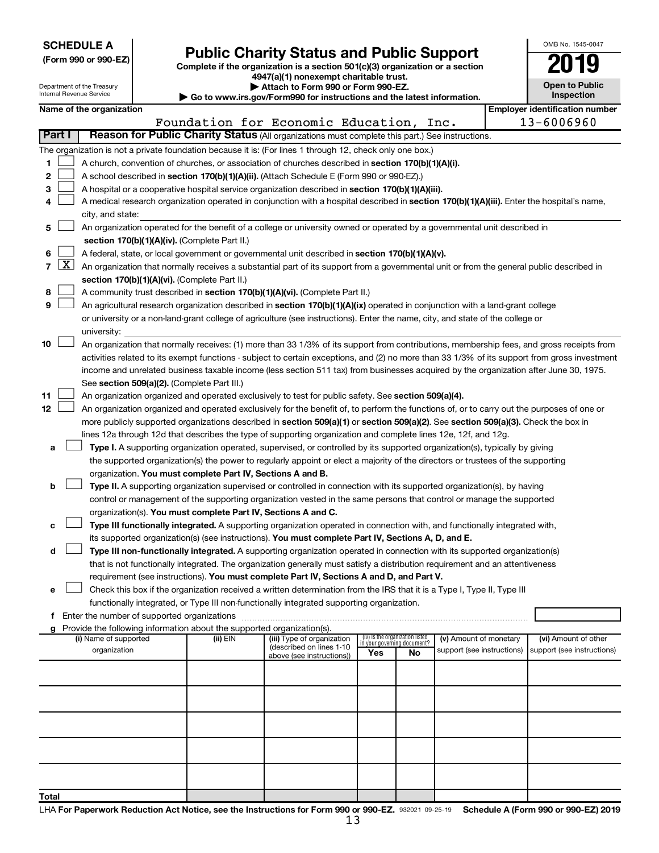| <b>SCHEDULE A</b> |  |
|-------------------|--|
|-------------------|--|

Department of the Treasury<br>Internal Revenue Service numo.<br>ol Pe

| (Form 990 or 990-EZ) |  |  |
|----------------------|--|--|
|                      |  |  |

Form 990 or 990-EZ) **Public Charity Status and Public Support**<br>
Complete if the organization is a section 501(c)(3) organization or a section<br> **2019 4947(a)(1) nonexempt charitable trust.**

**| Attach to Form 990 or Form 990-EZ.** 

**| Go to www.irs.gov/Form990 for instructions and the latest information.**

| OMB No 1545-0047                    |  |
|-------------------------------------|--|
| 2019                                |  |
| <b>Open to Public</b><br>Inspection |  |

|                |                                                                                                                                               |                                                                                                                                               |          | $\blacktriangleright$ Go to www.irs.gov/Form990 for instructions and the latest information. |                                                                |    |                            |  | mspection                                           |  |  |
|----------------|-----------------------------------------------------------------------------------------------------------------------------------------------|-----------------------------------------------------------------------------------------------------------------------------------------------|----------|----------------------------------------------------------------------------------------------|----------------------------------------------------------------|----|----------------------------|--|-----------------------------------------------------|--|--|
|                |                                                                                                                                               | Name of the organization                                                                                                                      |          | Foundation for Economic Education, Inc.                                                      |                                                                |    |                            |  | <b>Employer identification number</b><br>13-6006960 |  |  |
|                | Part I                                                                                                                                        | Reason for Public Charity Status (All organizations must complete this part.) See instructions.                                               |          |                                                                                              |                                                                |    |                            |  |                                                     |  |  |
|                |                                                                                                                                               | The organization is not a private foundation because it is: (For lines 1 through 12, check only one box.)                                     |          |                                                                                              |                                                                |    |                            |  |                                                     |  |  |
| 1              |                                                                                                                                               | A church, convention of churches, or association of churches described in section 170(b)(1)(A)(i).                                            |          |                                                                                              |                                                                |    |                            |  |                                                     |  |  |
| 2              |                                                                                                                                               | A school described in section 170(b)(1)(A)(ii). (Attach Schedule E (Form 990 or 990-EZ).)                                                     |          |                                                                                              |                                                                |    |                            |  |                                                     |  |  |
| 3              |                                                                                                                                               | A hospital or a cooperative hospital service organization described in section 170(b)(1)(A)(iii).                                             |          |                                                                                              |                                                                |    |                            |  |                                                     |  |  |
| 4              |                                                                                                                                               | A medical research organization operated in conjunction with a hospital described in section 170(b)(1)(A)(iii). Enter the hospital's name,    |          |                                                                                              |                                                                |    |                            |  |                                                     |  |  |
|                |                                                                                                                                               | city, and state:                                                                                                                              |          |                                                                                              |                                                                |    |                            |  |                                                     |  |  |
| 5              |                                                                                                                                               | An organization operated for the benefit of a college or university owned or operated by a governmental unit described in                     |          |                                                                                              |                                                                |    |                            |  |                                                     |  |  |
|                |                                                                                                                                               | section 170(b)(1)(A)(iv). (Complete Part II.)                                                                                                 |          |                                                                                              |                                                                |    |                            |  |                                                     |  |  |
| 6              |                                                                                                                                               | A federal, state, or local government or governmental unit described in section 170(b)(1)(A)(v).                                              |          |                                                                                              |                                                                |    |                            |  |                                                     |  |  |
| $\overline{7}$ | $X$ An organization that normally receives a substantial part of its support from a governmental unit or from the general public described in |                                                                                                                                               |          |                                                                                              |                                                                |    |                            |  |                                                     |  |  |
|                |                                                                                                                                               | section 170(b)(1)(A)(vi). (Complete Part II.)                                                                                                 |          |                                                                                              |                                                                |    |                            |  |                                                     |  |  |
| 8              |                                                                                                                                               | A community trust described in section 170(b)(1)(A)(vi). (Complete Part II.)                                                                  |          |                                                                                              |                                                                |    |                            |  |                                                     |  |  |
| 9              |                                                                                                                                               | An agricultural research organization described in section 170(b)(1)(A)(ix) operated in conjunction with a land-grant college                 |          |                                                                                              |                                                                |    |                            |  |                                                     |  |  |
|                |                                                                                                                                               | or university or a non-land-grant college of agriculture (see instructions). Enter the name, city, and state of the college or                |          |                                                                                              |                                                                |    |                            |  |                                                     |  |  |
|                |                                                                                                                                               | university:                                                                                                                                   |          |                                                                                              |                                                                |    |                            |  |                                                     |  |  |
| 10             |                                                                                                                                               | An organization that normally receives: (1) more than 33 1/3% of its support from contributions, membership fees, and gross receipts from     |          |                                                                                              |                                                                |    |                            |  |                                                     |  |  |
|                |                                                                                                                                               | activities related to its exempt functions - subject to certain exceptions, and (2) no more than 33 1/3% of its support from gross investment |          |                                                                                              |                                                                |    |                            |  |                                                     |  |  |
|                |                                                                                                                                               | income and unrelated business taxable income (less section 511 tax) from businesses acquired by the organization after June 30, 1975.         |          |                                                                                              |                                                                |    |                            |  |                                                     |  |  |
|                |                                                                                                                                               | See section 509(a)(2). (Complete Part III.)                                                                                                   |          |                                                                                              |                                                                |    |                            |  |                                                     |  |  |
| 11             |                                                                                                                                               | An organization organized and operated exclusively to test for public safety. See section 509(a)(4).                                          |          |                                                                                              |                                                                |    |                            |  |                                                     |  |  |
| 12             |                                                                                                                                               | An organization organized and operated exclusively for the benefit of, to perform the functions of, or to carry out the purposes of one or    |          |                                                                                              |                                                                |    |                            |  |                                                     |  |  |
|                |                                                                                                                                               | more publicly supported organizations described in section 509(a)(1) or section 509(a)(2). See section 509(a)(3). Check the box in            |          |                                                                                              |                                                                |    |                            |  |                                                     |  |  |
|                |                                                                                                                                               | lines 12a through 12d that describes the type of supporting organization and complete lines 12e, 12f, and 12g.                                |          |                                                                                              |                                                                |    |                            |  |                                                     |  |  |
| а              |                                                                                                                                               | Type I. A supporting organization operated, supervised, or controlled by its supported organization(s), typically by giving                   |          |                                                                                              |                                                                |    |                            |  |                                                     |  |  |
|                |                                                                                                                                               | the supported organization(s) the power to regularly appoint or elect a majority of the directors or trustees of the supporting               |          |                                                                                              |                                                                |    |                            |  |                                                     |  |  |
|                |                                                                                                                                               | organization. You must complete Part IV, Sections A and B.                                                                                    |          |                                                                                              |                                                                |    |                            |  |                                                     |  |  |
| b              |                                                                                                                                               | Type II. A supporting organization supervised or controlled in connection with its supported organization(s), by having                       |          |                                                                                              |                                                                |    |                            |  |                                                     |  |  |
|                |                                                                                                                                               | control or management of the supporting organization vested in the same persons that control or manage the supported                          |          |                                                                                              |                                                                |    |                            |  |                                                     |  |  |
|                |                                                                                                                                               | organization(s). You must complete Part IV, Sections A and C.                                                                                 |          |                                                                                              |                                                                |    |                            |  |                                                     |  |  |
| с              |                                                                                                                                               | Type III functionally integrated. A supporting organization operated in connection with, and functionally integrated with,                    |          |                                                                                              |                                                                |    |                            |  |                                                     |  |  |
|                |                                                                                                                                               | its supported organization(s) (see instructions). You must complete Part IV, Sections A, D, and E.                                            |          |                                                                                              |                                                                |    |                            |  |                                                     |  |  |
| d              |                                                                                                                                               | Type III non-functionally integrated. A supporting organization operated in connection with its supported organization(s)                     |          |                                                                                              |                                                                |    |                            |  |                                                     |  |  |
|                |                                                                                                                                               | that is not functionally integrated. The organization generally must satisfy a distribution requirement and an attentiveness                  |          |                                                                                              |                                                                |    |                            |  |                                                     |  |  |
|                |                                                                                                                                               | requirement (see instructions). <b>You must complete Part IV, Sections A and D, and Part V.</b>                                               |          |                                                                                              |                                                                |    |                            |  |                                                     |  |  |
| е              |                                                                                                                                               | Check this box if the organization received a written determination from the IRS that it is a Type I, Type II, Type III                       |          |                                                                                              |                                                                |    |                            |  |                                                     |  |  |
|                |                                                                                                                                               | functionally integrated, or Type III non-functionally integrated supporting organization.                                                     |          |                                                                                              |                                                                |    |                            |  |                                                     |  |  |
| f              |                                                                                                                                               |                                                                                                                                               |          |                                                                                              |                                                                |    |                            |  |                                                     |  |  |
| g              |                                                                                                                                               | Provide the following information about the supported organization(s).                                                                        |          |                                                                                              |                                                                |    |                            |  |                                                     |  |  |
|                |                                                                                                                                               | (i) Name of supported                                                                                                                         | (ii) EIN | (iii) Type of organization<br>(described on lines 1-10                                       | (iv) Is the organization listed<br>in your governing document? |    | (v) Amount of monetary     |  | (vi) Amount of other                                |  |  |
|                |                                                                                                                                               | organization                                                                                                                                  |          | above (see instructions))                                                                    | Yes                                                            | No | support (see instructions) |  | support (see instructions)                          |  |  |
|                |                                                                                                                                               |                                                                                                                                               |          |                                                                                              |                                                                |    |                            |  |                                                     |  |  |
|                |                                                                                                                                               |                                                                                                                                               |          |                                                                                              |                                                                |    |                            |  |                                                     |  |  |
|                |                                                                                                                                               |                                                                                                                                               |          |                                                                                              |                                                                |    |                            |  |                                                     |  |  |
|                |                                                                                                                                               |                                                                                                                                               |          |                                                                                              |                                                                |    |                            |  |                                                     |  |  |
|                |                                                                                                                                               |                                                                                                                                               |          |                                                                                              |                                                                |    |                            |  |                                                     |  |  |
|                |                                                                                                                                               |                                                                                                                                               |          |                                                                                              |                                                                |    |                            |  |                                                     |  |  |
|                |                                                                                                                                               |                                                                                                                                               |          |                                                                                              |                                                                |    |                            |  |                                                     |  |  |
|                |                                                                                                                                               |                                                                                                                                               |          |                                                                                              |                                                                |    |                            |  |                                                     |  |  |
|                |                                                                                                                                               |                                                                                                                                               |          |                                                                                              |                                                                |    |                            |  |                                                     |  |  |
| Total          |                                                                                                                                               |                                                                                                                                               |          |                                                                                              |                                                                |    |                            |  |                                                     |  |  |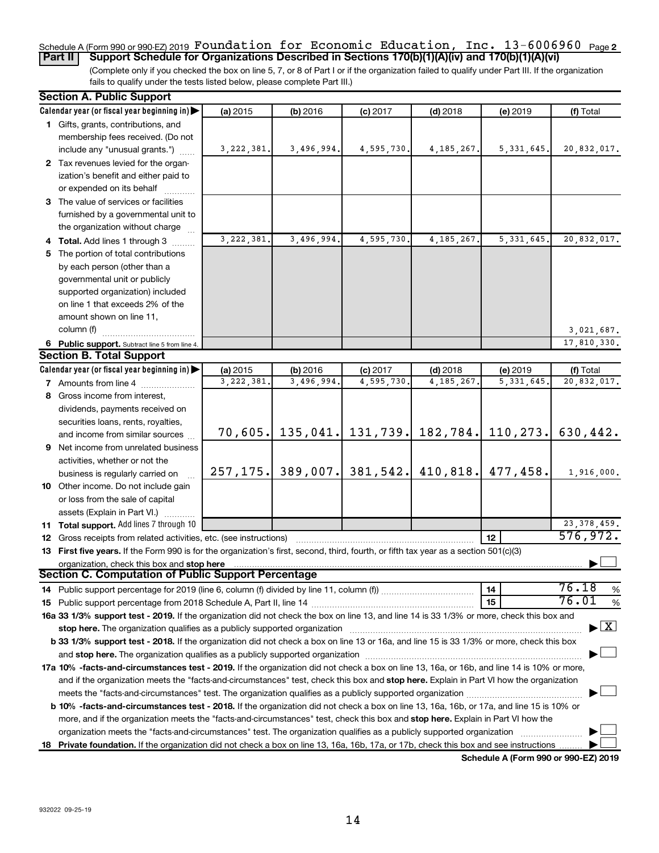### **2** Schedule A (Form 990 or 990-EZ) 2019 Page Foundation for Economic Education, Inc. 13-6006960 **Part II Support Schedule for Organizations Described in Sections 170(b)(1)(A)(iv) and 170(b)(1)(A)(vi)**

(Complete only if you checked the box on line 5, 7, or 8 of Part I or if the organization failed to qualify under Part III. If the organization fails to qualify under the tests listed below, please complete Part III.)

| <b>Section A. Public Support</b>                                                                                                           |              |            |            |                       |                                   |                                          |
|--------------------------------------------------------------------------------------------------------------------------------------------|--------------|------------|------------|-----------------------|-----------------------------------|------------------------------------------|
| Calendar year (or fiscal year beginning in)                                                                                                | (a) 2015     | (b) 2016   | $(c)$ 2017 | $(d)$ 2018            | (e) 2019                          | (f) Total                                |
| 1 Gifts, grants, contributions, and                                                                                                        |              |            |            |                       |                                   |                                          |
| membership fees received. (Do not                                                                                                          |              |            |            |                       |                                   |                                          |
| include any "unusual grants.")                                                                                                             | 3, 222, 381. | 3,496,994. | 4,595,730. | 4, 185, 267.          | 5, 331, 645.                      | 20,832,017.                              |
| 2 Tax revenues levied for the organ-                                                                                                       |              |            |            |                       |                                   |                                          |
| ization's benefit and either paid to                                                                                                       |              |            |            |                       |                                   |                                          |
| or expended on its behalf                                                                                                                  |              |            |            |                       |                                   |                                          |
| 3 The value of services or facilities                                                                                                      |              |            |            |                       |                                   |                                          |
| furnished by a governmental unit to                                                                                                        |              |            |            |                       |                                   |                                          |
| the organization without charge                                                                                                            |              |            |            |                       |                                   |                                          |
| 4 Total. Add lines 1 through 3                                                                                                             | 3,222,381.   | 3,496,994. | 4,595,730. | 4, 185, 267.          | 5, 331, 645.                      | 20,832,017.                              |
| 5 The portion of total contributions                                                                                                       |              |            |            |                       |                                   |                                          |
| by each person (other than a                                                                                                               |              |            |            |                       |                                   |                                          |
| governmental unit or publicly                                                                                                              |              |            |            |                       |                                   |                                          |
| supported organization) included                                                                                                           |              |            |            |                       |                                   |                                          |
| on line 1 that exceeds 2% of the                                                                                                           |              |            |            |                       |                                   |                                          |
| amount shown on line 11,                                                                                                                   |              |            |            |                       |                                   |                                          |
| column (f)                                                                                                                                 |              |            |            |                       |                                   | 3,021,687.                               |
| 6 Public support. Subtract line 5 from line 4.                                                                                             |              |            |            |                       |                                   | 17,810,330.                              |
| <b>Section B. Total Support</b>                                                                                                            |              |            |            |                       |                                   |                                          |
| Calendar year (or fiscal year beginning in)                                                                                                | (a) 2015     | (b) 2016   | $(c)$ 2017 | $(d)$ 2018            | (e) 2019                          | (f) Total                                |
| <b>7</b> Amounts from line 4                                                                                                               | 3,222,381.   | 3,496,994. | 4,595,730  | 4, 185, 267           | 5, 331, 645                       | 20,832,017.                              |
| 8 Gross income from interest,                                                                                                              |              |            |            |                       |                                   |                                          |
| dividends, payments received on                                                                                                            |              |            |            |                       |                                   |                                          |
|                                                                                                                                            |              |            |            |                       |                                   |                                          |
| securities loans, rents, royalties,<br>and income from similar sources                                                                     | 70,605.      | 135,041.   |            |                       | 131, 739.   182, 784.   110, 273. | 630,442.                                 |
| 9 Net income from unrelated business                                                                                                       |              |            |            |                       |                                   |                                          |
|                                                                                                                                            |              |            |            |                       |                                   |                                          |
| activities, whether or not the                                                                                                             | 257, 175.    | 389,007.   |            | 381, 542.   410, 818. | 477, 458.                         | 1,916,000.                               |
| business is regularly carried on                                                                                                           |              |            |            |                       |                                   |                                          |
| 10 Other income. Do not include gain                                                                                                       |              |            |            |                       |                                   |                                          |
| or loss from the sale of capital                                                                                                           |              |            |            |                       |                                   |                                          |
| assets (Explain in Part VI.)                                                                                                               |              |            |            |                       |                                   |                                          |
| 11 Total support. Add lines 7 through 10                                                                                                   |              |            |            |                       |                                   | 23, 378, 459.<br>576,972.                |
| <b>12</b> Gross receipts from related activities, etc. (see instructions)                                                                  |              |            |            |                       | 12                                |                                          |
| 13 First five years. If the Form 990 is for the organization's first, second, third, fourth, or fifth tax year as a section 501(c)(3)      |              |            |            |                       |                                   |                                          |
| organization, check this box and stop here<br><b>Section C. Computation of Public Support Percentage</b>                                   |              |            |            |                       |                                   |                                          |
|                                                                                                                                            |              |            |            |                       |                                   | 76.18                                    |
|                                                                                                                                            |              |            |            |                       | 14                                | %<br>76.01                               |
|                                                                                                                                            |              |            |            |                       | 15                                | $\%$                                     |
| 16a 33 1/3% support test - 2019. If the organization did not check the box on line 13, and line 14 is 33 1/3% or more, check this box and  |              |            |            |                       |                                   |                                          |
| stop here. The organization qualifies as a publicly supported organization                                                                 |              |            |            |                       |                                   | $\blacktriangleright$ $\boxed{\text{X}}$ |
| b 33 1/3% support test - 2018. If the organization did not check a box on line 13 or 16a, and line 15 is 33 1/3% or more, check this box   |              |            |            |                       |                                   |                                          |
|                                                                                                                                            |              |            |            |                       |                                   |                                          |
| 17a 10% -facts-and-circumstances test - 2019. If the organization did not check a box on line 13, 16a, or 16b, and line 14 is 10% or more, |              |            |            |                       |                                   |                                          |
| and if the organization meets the "facts-and-circumstances" test, check this box and stop here. Explain in Part VI how the organization    |              |            |            |                       |                                   |                                          |
|                                                                                                                                            |              |            |            |                       |                                   |                                          |
| b 10% -facts-and-circumstances test - 2018. If the organization did not check a box on line 13, 16a, 16b, or 17a, and line 15 is 10% or    |              |            |            |                       |                                   |                                          |
| more, and if the organization meets the "facts-and-circumstances" test, check this box and stop here. Explain in Part VI how the           |              |            |            |                       |                                   |                                          |
| organization meets the "facts-and-circumstances" test. The organization qualifies as a publicly supported organization                     |              |            |            |                       |                                   |                                          |
| 18 Private foundation. If the organization did not check a box on line 13, 16a, 16b, 17a, or 17b, check this box and see instructions      |              |            |            |                       |                                   |                                          |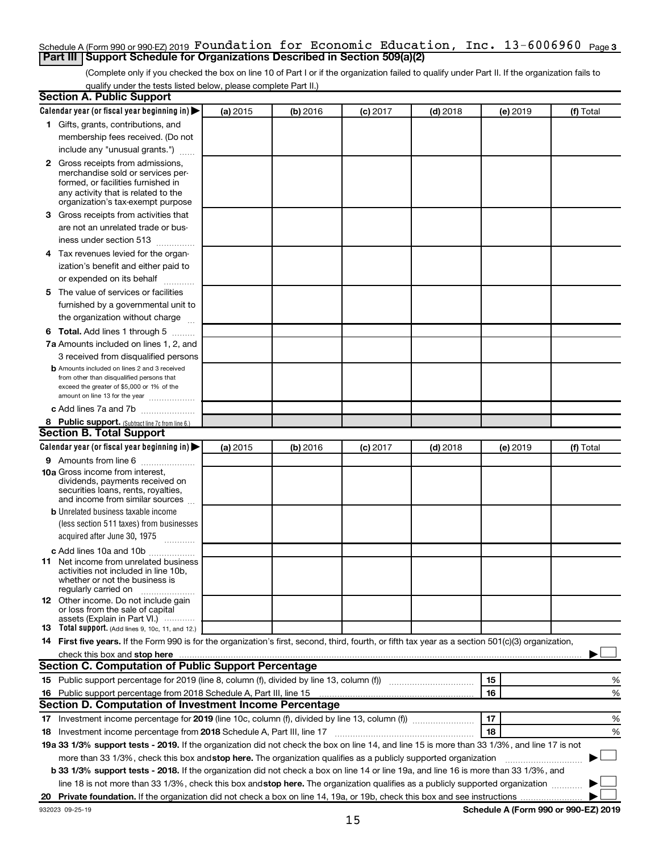### **3** Schedule A (Form 990 or 990-EZ) 2019 Page Foundation for Economic Education, Inc. 13-6006960 **Part III Support Schedule for Organizations Described in Section 509(a)(2)**

(Complete only if you checked the box on line 10 of Part I or if the organization failed to qualify under Part II. If the organization fails to qualify under the tests listed below, please complete Part II.)

| <b>Section A. Public Support</b>                                                                                                                                                                                                                                                      |          |          |            |            |          |           |
|---------------------------------------------------------------------------------------------------------------------------------------------------------------------------------------------------------------------------------------------------------------------------------------|----------|----------|------------|------------|----------|-----------|
| Calendar year (or fiscal year beginning in)                                                                                                                                                                                                                                           | (a) 2015 | (b) 2016 | $(c)$ 2017 | $(d)$ 2018 | (e) 2019 | (f) Total |
| 1 Gifts, grants, contributions, and                                                                                                                                                                                                                                                   |          |          |            |            |          |           |
| membership fees received. (Do not                                                                                                                                                                                                                                                     |          |          |            |            |          |           |
| include any "unusual grants.")                                                                                                                                                                                                                                                        |          |          |            |            |          |           |
| <b>2</b> Gross receipts from admissions,                                                                                                                                                                                                                                              |          |          |            |            |          |           |
| merchandise sold or services per-                                                                                                                                                                                                                                                     |          |          |            |            |          |           |
| formed, or facilities furnished in<br>any activity that is related to the                                                                                                                                                                                                             |          |          |            |            |          |           |
| organization's tax-exempt purpose                                                                                                                                                                                                                                                     |          |          |            |            |          |           |
| 3 Gross receipts from activities that                                                                                                                                                                                                                                                 |          |          |            |            |          |           |
| are not an unrelated trade or bus-                                                                                                                                                                                                                                                    |          |          |            |            |          |           |
| iness under section 513                                                                                                                                                                                                                                                               |          |          |            |            |          |           |
| 4 Tax revenues levied for the organ-                                                                                                                                                                                                                                                  |          |          |            |            |          |           |
| ization's benefit and either paid to                                                                                                                                                                                                                                                  |          |          |            |            |          |           |
| or expended on its behalf                                                                                                                                                                                                                                                             |          |          |            |            |          |           |
| 5 The value of services or facilities                                                                                                                                                                                                                                                 |          |          |            |            |          |           |
| furnished by a governmental unit to                                                                                                                                                                                                                                                   |          |          |            |            |          |           |
| the organization without charge                                                                                                                                                                                                                                                       |          |          |            |            |          |           |
| 6 Total. Add lines 1 through 5                                                                                                                                                                                                                                                        |          |          |            |            |          |           |
| 7a Amounts included on lines 1, 2, and                                                                                                                                                                                                                                                |          |          |            |            |          |           |
| 3 received from disqualified persons                                                                                                                                                                                                                                                  |          |          |            |            |          |           |
| <b>b</b> Amounts included on lines 2 and 3 received                                                                                                                                                                                                                                   |          |          |            |            |          |           |
| from other than disqualified persons that                                                                                                                                                                                                                                             |          |          |            |            |          |           |
| exceed the greater of \$5,000 or 1% of the<br>amount on line 13 for the year                                                                                                                                                                                                          |          |          |            |            |          |           |
| c Add lines 7a and 7b                                                                                                                                                                                                                                                                 |          |          |            |            |          |           |
| 8 Public support. (Subtract line 7c from line 6.)                                                                                                                                                                                                                                     |          |          |            |            |          |           |
| <b>Section B. Total Support</b>                                                                                                                                                                                                                                                       |          |          |            |            |          |           |
| Calendar year (or fiscal year beginning in)                                                                                                                                                                                                                                           | (a) 2015 | (b) 2016 | $(c)$ 2017 | $(d)$ 2018 | (e) 2019 | (f) Total |
| 9 Amounts from line 6                                                                                                                                                                                                                                                                 |          |          |            |            |          |           |
| <b>10a</b> Gross income from interest,                                                                                                                                                                                                                                                |          |          |            |            |          |           |
| dividends, payments received on                                                                                                                                                                                                                                                       |          |          |            |            |          |           |
| securities loans, rents, royalties,<br>and income from similar sources                                                                                                                                                                                                                |          |          |            |            |          |           |
| <b>b</b> Unrelated business taxable income                                                                                                                                                                                                                                            |          |          |            |            |          |           |
| (less section 511 taxes) from businesses                                                                                                                                                                                                                                              |          |          |            |            |          |           |
| acquired after June 30, 1975                                                                                                                                                                                                                                                          |          |          |            |            |          |           |
| c Add lines 10a and 10b                                                                                                                                                                                                                                                               |          |          |            |            |          |           |
| <b>11</b> Net income from unrelated business                                                                                                                                                                                                                                          |          |          |            |            |          |           |
| activities not included in line 10b.                                                                                                                                                                                                                                                  |          |          |            |            |          |           |
| whether or not the business is                                                                                                                                                                                                                                                        |          |          |            |            |          |           |
| regularly carried on<br>12 Other income. Do not include gain                                                                                                                                                                                                                          |          |          |            |            |          |           |
| or loss from the sale of capital                                                                                                                                                                                                                                                      |          |          |            |            |          |           |
| assets (Explain in Part VI.)                                                                                                                                                                                                                                                          |          |          |            |            |          |           |
| <b>13</b> Total support. (Add lines 9, 10c, 11, and 12.)                                                                                                                                                                                                                              |          |          |            |            |          |           |
| 14 First five years. If the Form 990 is for the organization's first, second, third, fourth, or fifth tax year as a section 501(c)(3) organization,                                                                                                                                   |          |          |            |            |          |           |
| check this box and stop here manufactured and stop here and stop here are manufactured and stop here and stop here and stop here and stop here and stop here and stop here and stop here are all the stop of the stop of the s<br>Section C. Computation of Public Support Percentage |          |          |            |            |          |           |
|                                                                                                                                                                                                                                                                                       |          |          |            |            |          |           |
|                                                                                                                                                                                                                                                                                       |          |          |            |            | 15       | ℅         |
| 16 Public support percentage from 2018 Schedule A, Part III, line 15                                                                                                                                                                                                                  |          |          |            |            | 16       | %         |
| Section D. Computation of Investment Income Percentage                                                                                                                                                                                                                                |          |          |            |            |          |           |
|                                                                                                                                                                                                                                                                                       |          |          |            |            | 17       | %         |
| 18 Investment income percentage from 2018 Schedule A, Part III, line 17                                                                                                                                                                                                               |          |          |            |            | 18       | %         |
| 19a 33 1/3% support tests - 2019. If the organization did not check the box on line 14, and line 15 is more than 33 1/3%, and line 17 is not                                                                                                                                          |          |          |            |            |          |           |
| more than 33 1/3%, check this box and stop here. The organization qualifies as a publicly supported organization                                                                                                                                                                      |          |          |            |            |          |           |
| b 33 1/3% support tests - 2018. If the organization did not check a box on line 14 or line 19a, and line 16 is more than 33 1/3%, and                                                                                                                                                 |          |          |            |            |          |           |
| line 18 is not more than 33 1/3%, check this box and stop here. The organization qualifies as a publicly supported organization                                                                                                                                                       |          |          |            |            |          |           |
|                                                                                                                                                                                                                                                                                       |          |          |            |            |          |           |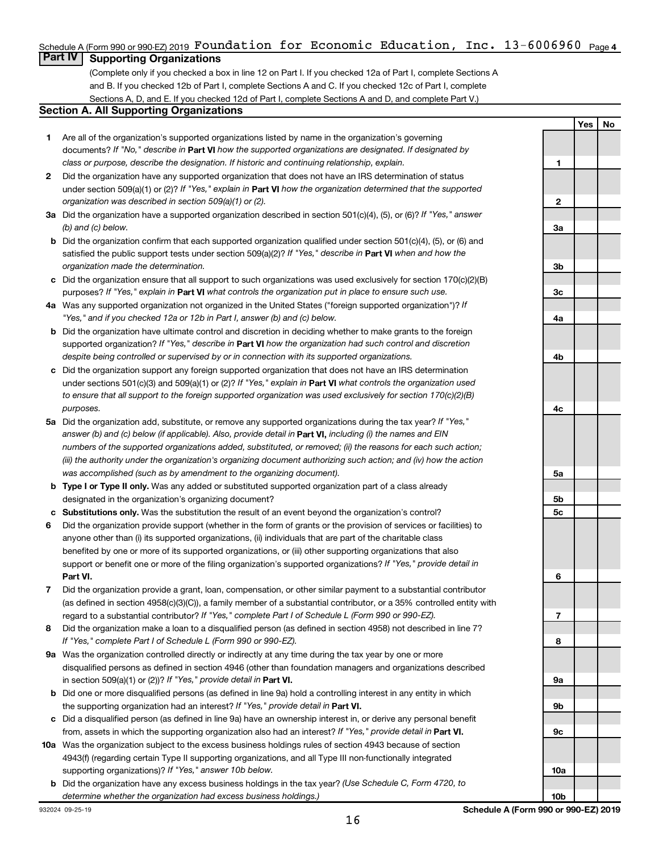# **4** Schedule A (Form 990 or 990-EZ) 2019 Page Foundation for Economic Education, Inc. 13-6006960

# **Part IV Supporting Organizations**

(Complete only if you checked a box in line 12 on Part I. If you checked 12a of Part I, complete Sections A and B. If you checked 12b of Part I, complete Sections A and C. If you checked 12c of Part I, complete Sections A, D, and E. If you checked 12d of Part I, complete Sections A and D, and complete Part V.)

### **Section A. All Supporting Organizations**

- **1** Are all of the organization's supported organizations listed by name in the organization's governing documents? If "No," describe in Part VI how the supported organizations are designated. If designated by *class or purpose, describe the designation. If historic and continuing relationship, explain.*
- **2** Did the organization have any supported organization that does not have an IRS determination of status under section 509(a)(1) or (2)? If "Yes," explain in Part **VI** how the organization determined that the supported *organization was described in section 509(a)(1) or (2).*
- **3a** Did the organization have a supported organization described in section 501(c)(4), (5), or (6)? If "Yes," answer *(b) and (c) below.*
- **b** Did the organization confirm that each supported organization qualified under section 501(c)(4), (5), or (6) and satisfied the public support tests under section 509(a)(2)? If "Yes," describe in Part VI when and how the *organization made the determination.*
- **c** Did the organization ensure that all support to such organizations was used exclusively for section 170(c)(2)(B) purposes? If "Yes," explain in Part VI what controls the organization put in place to ensure such use.
- **4 a** *If* Was any supported organization not organized in the United States ("foreign supported organization")? *"Yes," and if you checked 12a or 12b in Part I, answer (b) and (c) below.*
- **b** Did the organization have ultimate control and discretion in deciding whether to make grants to the foreign supported organization? If "Yes," describe in Part VI how the organization had such control and discretion *despite being controlled or supervised by or in connection with its supported organizations.*
- **c** Did the organization support any foreign supported organization that does not have an IRS determination under sections 501(c)(3) and 509(a)(1) or (2)? If "Yes," explain in Part VI what controls the organization used *to ensure that all support to the foreign supported organization was used exclusively for section 170(c)(2)(B) purposes.*
- **5a** Did the organization add, substitute, or remove any supported organizations during the tax year? If "Yes," answer (b) and (c) below (if applicable). Also, provide detail in **Part VI,** including (i) the names and EIN *numbers of the supported organizations added, substituted, or removed; (ii) the reasons for each such action; (iii) the authority under the organization's organizing document authorizing such action; and (iv) how the action was accomplished (such as by amendment to the organizing document).*
- **b** Type I or Type II only. Was any added or substituted supported organization part of a class already designated in the organization's organizing document?
- **c Substitutions only.**  Was the substitution the result of an event beyond the organization's control?
- **6** Did the organization provide support (whether in the form of grants or the provision of services or facilities) to **Part VI.** support or benefit one or more of the filing organization's supported organizations? If "Yes," provide detail in anyone other than (i) its supported organizations, (ii) individuals that are part of the charitable class benefited by one or more of its supported organizations, or (iii) other supporting organizations that also
- **7** Did the organization provide a grant, loan, compensation, or other similar payment to a substantial contributor regard to a substantial contributor? If "Yes," complete Part I of Schedule L (Form 990 or 990-EZ). (as defined in section 4958(c)(3)(C)), a family member of a substantial contributor, or a 35% controlled entity with
- **8** Did the organization make a loan to a disqualified person (as defined in section 4958) not described in line 7? *If "Yes," complete Part I of Schedule L (Form 990 or 990-EZ).*
- **9 a** Was the organization controlled directly or indirectly at any time during the tax year by one or more in section 509(a)(1) or (2))? If "Yes," provide detail in **Part VI.** disqualified persons as defined in section 4946 (other than foundation managers and organizations described
- **b** Did one or more disqualified persons (as defined in line 9a) hold a controlling interest in any entity in which the supporting organization had an interest? If "Yes," provide detail in Part VI.
- **c** Did a disqualified person (as defined in line 9a) have an ownership interest in, or derive any personal benefit from, assets in which the supporting organization also had an interest? If "Yes," provide detail in Part VI.
- **10 a** Was the organization subject to the excess business holdings rules of section 4943 because of section supporting organizations)? If "Yes," answer 10b below. 4943(f) (regarding certain Type II supporting organizations, and all Type III non-functionally integrated
	- **b** Did the organization have any excess business holdings in the tax year? (Use Schedule C, Form 4720, to *determine whether the organization had excess business holdings.)*

**1 2 3a 3b 3c 4a 4b 4c 5a 5b 5c 6 7 8 9a 9b 9c 10a**

**Yes No**

**10b**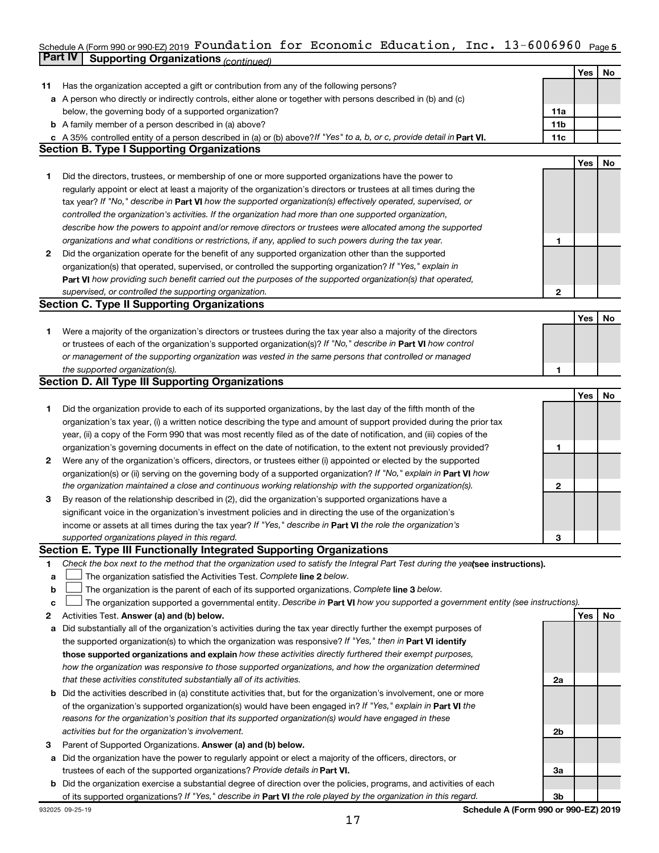### Schedule A (Form 990 or 990-EZ) 2019 <code>FOUNC</code>ation <code>Ior Economic Education, Inc. <code>13-6006960</code> <code>Page 5</code></code> **Part IV Supporting Organizations** *(continued)* Foundation for Economic Education, Inc. 13-6006960

|    |                                                                                                                                                                                                                        |                 | Yes | No |
|----|------------------------------------------------------------------------------------------------------------------------------------------------------------------------------------------------------------------------|-----------------|-----|----|
| 11 | Has the organization accepted a gift or contribution from any of the following persons?                                                                                                                                |                 |     |    |
|    | a A person who directly or indirectly controls, either alone or together with persons described in (b) and (c)                                                                                                         |                 |     |    |
|    | below, the governing body of a supported organization?                                                                                                                                                                 | 11a             |     |    |
|    | <b>b</b> A family member of a person described in (a) above?                                                                                                                                                           | 11 <sub>b</sub> |     |    |
|    | c A 35% controlled entity of a person described in (a) or (b) above? If "Yes" to a, b, or c, provide detail in Part VI.                                                                                                | 11c             |     |    |
|    | <b>Section B. Type I Supporting Organizations</b>                                                                                                                                                                      |                 |     |    |
|    |                                                                                                                                                                                                                        |                 | Yes | No |
| 1. | Did the directors, trustees, or membership of one or more supported organizations have the power to                                                                                                                    |                 |     |    |
|    | regularly appoint or elect at least a majority of the organization's directors or trustees at all times during the                                                                                                     |                 |     |    |
|    | tax year? If "No," describe in Part VI how the supported organization(s) effectively operated, supervised, or                                                                                                          |                 |     |    |
|    | controlled the organization's activities. If the organization had more than one supported organization,                                                                                                                |                 |     |    |
|    | describe how the powers to appoint and/or remove directors or trustees were allocated among the supported                                                                                                              |                 |     |    |
|    | organizations and what conditions or restrictions, if any, applied to such powers during the tax year.                                                                                                                 | 1               |     |    |
| 2  | Did the organization operate for the benefit of any supported organization other than the supported                                                                                                                    |                 |     |    |
|    | organization(s) that operated, supervised, or controlled the supporting organization? If "Yes," explain in                                                                                                             |                 |     |    |
|    | Part VI how providing such benefit carried out the purposes of the supported organization(s) that operated,                                                                                                            |                 |     |    |
|    | supervised, or controlled the supporting organization.                                                                                                                                                                 | 2               |     |    |
|    | <b>Section C. Type II Supporting Organizations</b>                                                                                                                                                                     |                 |     |    |
|    |                                                                                                                                                                                                                        |                 | Yes | No |
| 1. | Were a majority of the organization's directors or trustees during the tax year also a majority of the directors                                                                                                       |                 |     |    |
|    | or trustees of each of the organization's supported organization(s)? If "No," describe in Part VI how control                                                                                                          |                 |     |    |
|    | or management of the supporting organization was vested in the same persons that controlled or managed                                                                                                                 |                 |     |    |
|    | the supported organization(s).                                                                                                                                                                                         | 1               |     |    |
|    | <b>Section D. All Type III Supporting Organizations</b>                                                                                                                                                                |                 |     |    |
|    |                                                                                                                                                                                                                        |                 | Yes | No |
| 1  | Did the organization provide to each of its supported organizations, by the last day of the fifth month of the                                                                                                         |                 |     |    |
|    | organization's tax year, (i) a written notice describing the type and amount of support provided during the prior tax                                                                                                  |                 |     |    |
|    | year, (ii) a copy of the Form 990 that was most recently filed as of the date of notification, and (iii) copies of the                                                                                                 |                 |     |    |
|    | organization's governing documents in effect on the date of notification, to the extent not previously provided?                                                                                                       | 1               |     |    |
| 2  | Were any of the organization's officers, directors, or trustees either (i) appointed or elected by the supported                                                                                                       |                 |     |    |
|    | organization(s) or (ii) serving on the governing body of a supported organization? If "No," explain in Part VI how                                                                                                     |                 |     |    |
|    | the organization maintained a close and continuous working relationship with the supported organization(s).                                                                                                            | 2               |     |    |
| 3  | By reason of the relationship described in (2), did the organization's supported organizations have a                                                                                                                  |                 |     |    |
|    | significant voice in the organization's investment policies and in directing the use of the organization's                                                                                                             |                 |     |    |
|    | income or assets at all times during the tax year? If "Yes," describe in Part VI the role the organization's                                                                                                           |                 |     |    |
|    | supported organizations played in this regard.                                                                                                                                                                         | З               |     |    |
|    | Section E. Type III Functionally Integrated Supporting Organizations                                                                                                                                                   |                 |     |    |
| 1  | Check the box next to the method that the organization used to satisfy the Integral Part Test during the yealsee instructions).                                                                                        |                 |     |    |
| а  | The organization satisfied the Activities Test. Complete line 2 below.                                                                                                                                                 |                 |     |    |
| b  | The organization is the parent of each of its supported organizations. Complete line 3 below.                                                                                                                          |                 |     |    |
| c  | The organization supported a governmental entity. Describe in Part VI how you supported a government entity (see instructions).                                                                                        |                 |     |    |
| 2  | Activities Test. Answer (a) and (b) below.                                                                                                                                                                             |                 | Yes | No |
| а  | Did substantially all of the organization's activities during the tax year directly further the exempt purposes of                                                                                                     |                 |     |    |
|    | the supported organization(s) to which the organization was responsive? If "Yes," then in Part VI identify<br>those supported organizations and explain how these activities directly furthered their exempt purposes, |                 |     |    |
|    | how the organization was responsive to those supported organizations, and how the organization determined                                                                                                              |                 |     |    |
|    | that these activities constituted substantially all of its activities.                                                                                                                                                 | 2a              |     |    |
|    | Did the activities described in (a) constitute activities that, but for the organization's involvement, one or more                                                                                                    |                 |     |    |
| b  | of the organization's supported organization(s) would have been engaged in? If "Yes," explain in Part VI the                                                                                                           |                 |     |    |
|    | reasons for the organization's position that its supported organization(s) would have engaged in these                                                                                                                 |                 |     |    |
|    | activities but for the organization's involvement.                                                                                                                                                                     | 2b              |     |    |
| з  | Parent of Supported Organizations. Answer (a) and (b) below.                                                                                                                                                           |                 |     |    |
| а  | Did the organization have the power to regularly appoint or elect a majority of the officers, directors, or                                                                                                            |                 |     |    |
|    | trustees of each of the supported organizations? Provide details in Part VI.                                                                                                                                           | За              |     |    |
|    | <b>b</b> Did the organization exercise a substantial degree of direction over the policies, programs, and activities of each                                                                                           |                 |     |    |
|    | of its supported organizations? If "Yes," describe in Part VI the role played by the organization in this regard.                                                                                                      | 3b              |     |    |
|    |                                                                                                                                                                                                                        |                 |     |    |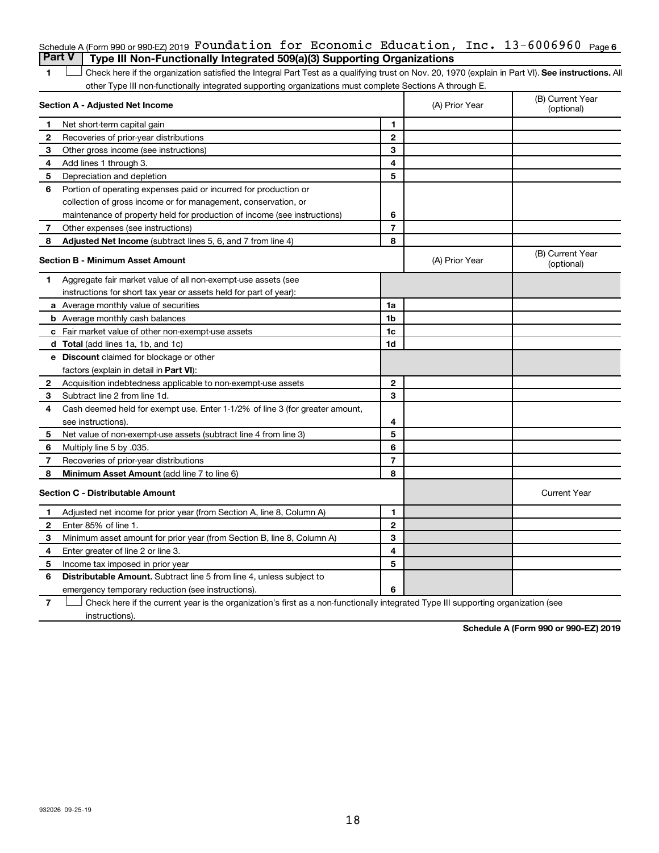|   | Schedule A (Form 990 or 990 EZ) 2019 Foundation for Economic Education, Inc. $13-6006960$ Page 6                                                   |                          |                |                                |
|---|----------------------------------------------------------------------------------------------------------------------------------------------------|--------------------------|----------------|--------------------------------|
|   | <b>Part V</b><br>Type III Non-Functionally Integrated 509(a)(3) Supporting Organizations                                                           |                          |                |                                |
| 1 | Check here if the organization satisfied the Integral Part Test as a qualifying trust on Nov. 20, 1970 (explain in Part VI). See instructions. All |                          |                |                                |
|   | other Type III non-functionally integrated supporting organizations must complete Sections A through E.                                            |                          |                |                                |
|   | Section A - Adjusted Net Income                                                                                                                    |                          | (A) Prior Year | (B) Current Year<br>(optional) |
| 1 | Net short-term capital gain                                                                                                                        | 1                        |                |                                |
| 2 | Recoveries of prior-year distributions                                                                                                             | $\mathbf{2}$             |                |                                |
| З | Other gross income (see instructions)                                                                                                              | 3                        |                |                                |
| 4 | Add lines 1 through 3.                                                                                                                             | 4                        |                |                                |
| 5 | Depreciation and depletion                                                                                                                         | 5                        |                |                                |
| 6 | Portion of operating expenses paid or incurred for production or                                                                                   |                          |                |                                |
|   | collection of gross income or for management, conservation, or                                                                                     |                          |                |                                |
|   | maintenance of property held for production of income (see instructions)                                                                           | 6                        |                |                                |
| 7 | Other expenses (see instructions)                                                                                                                  | $\overline{7}$           |                |                                |
| 8 | <b>Adjusted Net Income</b> (subtract lines 5, 6, and 7 from line 4)                                                                                | 8                        |                |                                |
|   | <b>Section B - Minimum Asset Amount</b>                                                                                                            |                          | (A) Prior Year | (B) Current Year<br>(optional) |
| 1 | Aggregate fair market value of all non-exempt-use assets (see                                                                                      |                          |                |                                |
|   | instructions for short tax year or assets held for part of year):                                                                                  |                          |                |                                |
|   | a Average monthly value of securities                                                                                                              | 1a                       |                |                                |
|   | <b>b</b> Average monthly cash balances                                                                                                             | 1b                       |                |                                |
|   | c Fair market value of other non-exempt-use assets                                                                                                 | 1c                       |                |                                |
|   | <b>d</b> Total (add lines 1a, 1b, and 1c)                                                                                                          | 1d                       |                |                                |
|   | e Discount claimed for blockage or other                                                                                                           |                          |                |                                |
|   | factors (explain in detail in Part VI):                                                                                                            |                          |                |                                |
| 2 | Acquisition indebtedness applicable to non-exempt-use assets                                                                                       | $\mathbf{2}$             |                |                                |
| 3 | Subtract line 2 from line 1d.                                                                                                                      | 3                        |                |                                |
| 4 | Cash deemed held for exempt use. Enter 1-1/2% of line 3 (for greater amount,                                                                       |                          |                |                                |
|   | see instructions).                                                                                                                                 | 4                        |                |                                |
| 5 | Net value of non-exempt-use assets (subtract line 4 from line 3)                                                                                   | 5                        |                |                                |
| 6 | Multiply line 5 by .035.                                                                                                                           | 6                        |                |                                |
| 7 | Recoveries of prior-year distributions                                                                                                             | $\overline{\phantom{a}}$ |                |                                |
| 8 | Minimum Asset Amount (add line 7 to line 6)                                                                                                        | 8                        |                |                                |
|   | <b>Section C - Distributable Amount</b>                                                                                                            |                          |                | <b>Current Year</b>            |
| 1 | Adjusted net income for prior year (from Section A, line 8, Column A)                                                                              | 1                        |                |                                |
| 2 | Enter 85% of line 1.                                                                                                                               | $\mathbf{2}$             |                |                                |
| 3 | Minimum asset amount for prior year (from Section B, line 8, Column A)                                                                             | 3                        |                |                                |
| 4 | Enter greater of line 2 or line 3.                                                                                                                 | 4                        |                |                                |
| 5 | Income tax imposed in prior year                                                                                                                   | 5                        |                |                                |
| 6 | <b>Distributable Amount.</b> Subtract line 5 from line 4, unless subject to                                                                        |                          |                |                                |
|   | emergency temporary reduction (see instructions).                                                                                                  | 6                        |                |                                |

**7** Let Check here if the current year is the organization's first as a non-functionally integrated Type III supporting organization (see instructions).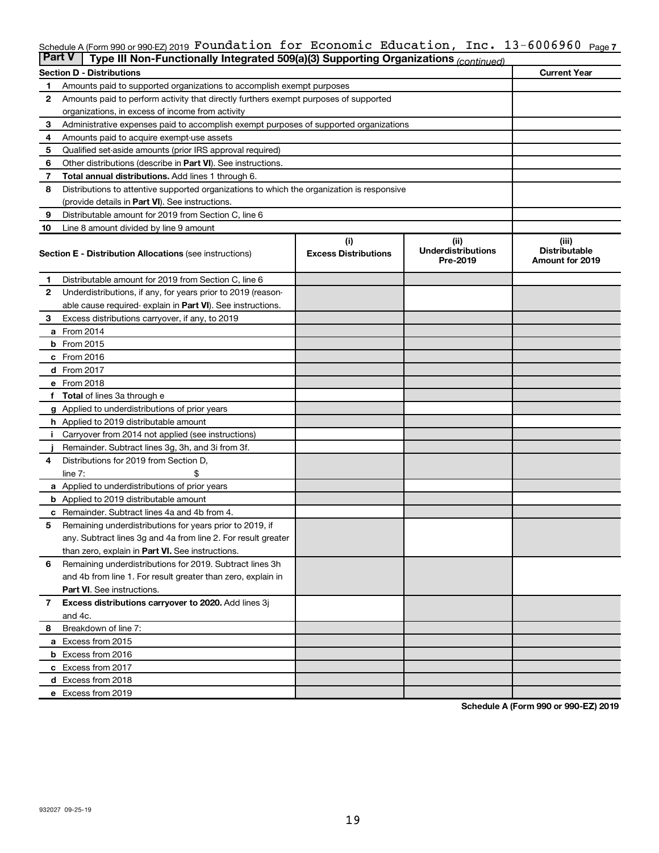### Schedule A (Form 990 or 990-EZ) 2019 <code>FOUNC</code>ation <code>Ior Economic Education, Inc. <code>13-6006960</code> <code>Page7</code></code> Foundation for Economic Education, Inc. 13-6006960

| <b>Part V</b>  | Type III Non-Functionally Integrated 509(a)(3) Supporting Organizations (continued)        |                             |                                       |                                                |
|----------------|--------------------------------------------------------------------------------------------|-----------------------------|---------------------------------------|------------------------------------------------|
|                | <b>Section D - Distributions</b>                                                           |                             |                                       | <b>Current Year</b>                            |
| 1              | Amounts paid to supported organizations to accomplish exempt purposes                      |                             |                                       |                                                |
| $\mathbf{2}$   | Amounts paid to perform activity that directly furthers exempt purposes of supported       |                             |                                       |                                                |
|                | organizations, in excess of income from activity                                           |                             |                                       |                                                |
| 3              | Administrative expenses paid to accomplish exempt purposes of supported organizations      |                             |                                       |                                                |
| 4              | Amounts paid to acquire exempt-use assets                                                  |                             |                                       |                                                |
| 5              | Qualified set-aside amounts (prior IRS approval required)                                  |                             |                                       |                                                |
| 6              | Other distributions (describe in Part VI). See instructions.                               |                             |                                       |                                                |
| 7              | <b>Total annual distributions.</b> Add lines 1 through 6.                                  |                             |                                       |                                                |
| 8              | Distributions to attentive supported organizations to which the organization is responsive |                             |                                       |                                                |
|                | (provide details in Part VI). See instructions.                                            |                             |                                       |                                                |
| 9              | Distributable amount for 2019 from Section C, line 6                                       |                             |                                       |                                                |
| 10             | Line 8 amount divided by line 9 amount                                                     |                             |                                       |                                                |
|                |                                                                                            | (i)                         | (ii)                                  | (iii)                                          |
|                | <b>Section E - Distribution Allocations (see instructions)</b>                             | <b>Excess Distributions</b> | <b>Underdistributions</b><br>Pre-2019 | <b>Distributable</b><br><b>Amount for 2019</b> |
| 1              | Distributable amount for 2019 from Section C, line 6                                       |                             |                                       |                                                |
| $\mathbf{2}$   | Underdistributions, if any, for years prior to 2019 (reason-                               |                             |                                       |                                                |
|                | able cause required-explain in Part VI). See instructions.                                 |                             |                                       |                                                |
| 3              | Excess distributions carryover, if any, to 2019                                            |                             |                                       |                                                |
|                | a From 2014                                                                                |                             |                                       |                                                |
|                | <b>b</b> From 2015                                                                         |                             |                                       |                                                |
|                | c From 2016                                                                                |                             |                                       |                                                |
|                | <b>d</b> From 2017                                                                         |                             |                                       |                                                |
|                | e From 2018                                                                                |                             |                                       |                                                |
|                | f Total of lines 3a through e                                                              |                             |                                       |                                                |
|                | <b>g</b> Applied to underdistributions of prior years                                      |                             |                                       |                                                |
|                | h Applied to 2019 distributable amount                                                     |                             |                                       |                                                |
|                | Carryover from 2014 not applied (see instructions)                                         |                             |                                       |                                                |
|                | Remainder. Subtract lines 3g, 3h, and 3i from 3f.                                          |                             |                                       |                                                |
| 4              | Distributions for 2019 from Section D,                                                     |                             |                                       |                                                |
|                | line $7:$                                                                                  |                             |                                       |                                                |
|                | a Applied to underdistributions of prior years                                             |                             |                                       |                                                |
|                | <b>b</b> Applied to 2019 distributable amount                                              |                             |                                       |                                                |
| с              | Remainder. Subtract lines 4a and 4b from 4.                                                |                             |                                       |                                                |
| 5              | Remaining underdistributions for years prior to 2019, if                                   |                             |                                       |                                                |
|                | any. Subtract lines 3g and 4a from line 2. For result greater                              |                             |                                       |                                                |
|                | than zero, explain in Part VI. See instructions.                                           |                             |                                       |                                                |
| 6              | Remaining underdistributions for 2019. Subtract lines 3h                                   |                             |                                       |                                                |
|                | and 4b from line 1. For result greater than zero, explain in                               |                             |                                       |                                                |
|                | <b>Part VI.</b> See instructions.                                                          |                             |                                       |                                                |
| $\overline{7}$ | Excess distributions carryover to 2020. Add lines 3j                                       |                             |                                       |                                                |
|                | and 4c.                                                                                    |                             |                                       |                                                |
| 8              | Breakdown of line 7:                                                                       |                             |                                       |                                                |
|                | a Excess from 2015                                                                         |                             |                                       |                                                |
|                | <b>b</b> Excess from 2016                                                                  |                             |                                       |                                                |
|                | c Excess from 2017                                                                         |                             |                                       |                                                |
|                | d Excess from 2018                                                                         |                             |                                       |                                                |
|                | e Excess from 2019                                                                         |                             |                                       |                                                |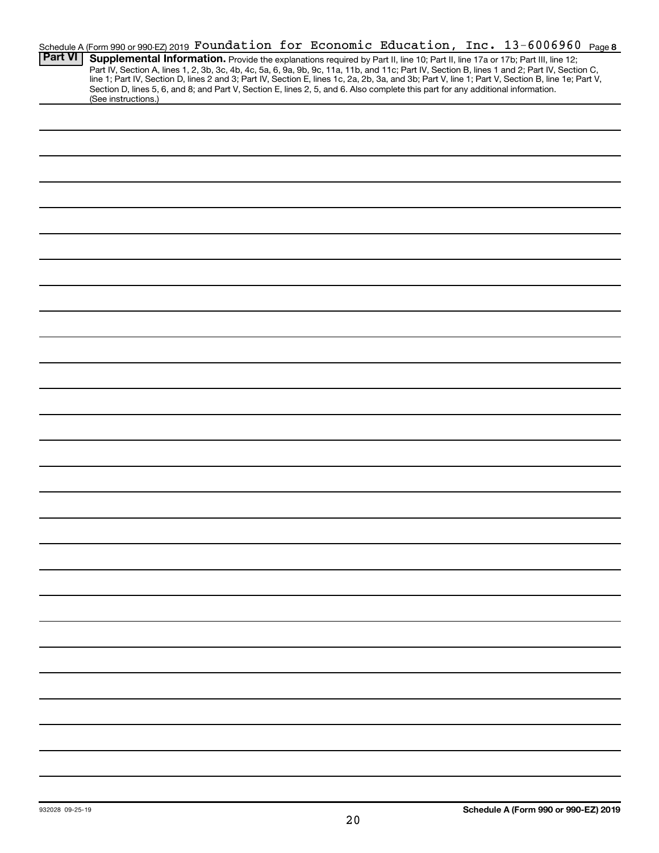|                | Schedule A (Form 990 or 990-EZ) 2019 Foundation for Economic Education, Inc. 13-6006960 Page 8                                                                                                                                                                                                   |
|----------------|--------------------------------------------------------------------------------------------------------------------------------------------------------------------------------------------------------------------------------------------------------------------------------------------------|
| <b>Part VI</b> | Supplemental Information. Provide the explanations required by Part II, line 10; Part II, line 17a or 17b; Part III, line 12;                                                                                                                                                                    |
|                | Part IV, Section A, lines 1, 2, 3b, 3c, 4b, 4c, 5a, 6, 9a, 9b, 9c, 11a, 11b, and 11c; Part IV, Section B, lines 1 and 2; Part IV, Section C,<br>line 1; Part IV, Section D, lines 2 and 3; Part IV, Section E, lines 1c, 2a, 2b, 3a, and 3b; Part V, line 1; Part V, Section B, line 1e; Part V, |
|                | Section D, lines 5, 6, and 8; and Part V, Section E, lines 2, 5, and 6. Also complete this part for any additional information.                                                                                                                                                                  |
|                | (See instructions.)                                                                                                                                                                                                                                                                              |
|                |                                                                                                                                                                                                                                                                                                  |
|                |                                                                                                                                                                                                                                                                                                  |
|                |                                                                                                                                                                                                                                                                                                  |
|                |                                                                                                                                                                                                                                                                                                  |
|                |                                                                                                                                                                                                                                                                                                  |
|                |                                                                                                                                                                                                                                                                                                  |
|                |                                                                                                                                                                                                                                                                                                  |
|                |                                                                                                                                                                                                                                                                                                  |
|                |                                                                                                                                                                                                                                                                                                  |
|                |                                                                                                                                                                                                                                                                                                  |
|                |                                                                                                                                                                                                                                                                                                  |
|                |                                                                                                                                                                                                                                                                                                  |
|                |                                                                                                                                                                                                                                                                                                  |
|                |                                                                                                                                                                                                                                                                                                  |
|                |                                                                                                                                                                                                                                                                                                  |
|                |                                                                                                                                                                                                                                                                                                  |
|                |                                                                                                                                                                                                                                                                                                  |
|                |                                                                                                                                                                                                                                                                                                  |
|                |                                                                                                                                                                                                                                                                                                  |
|                |                                                                                                                                                                                                                                                                                                  |
|                |                                                                                                                                                                                                                                                                                                  |
|                |                                                                                                                                                                                                                                                                                                  |
|                |                                                                                                                                                                                                                                                                                                  |
|                |                                                                                                                                                                                                                                                                                                  |
|                |                                                                                                                                                                                                                                                                                                  |
|                |                                                                                                                                                                                                                                                                                                  |
|                |                                                                                                                                                                                                                                                                                                  |
|                |                                                                                                                                                                                                                                                                                                  |
|                |                                                                                                                                                                                                                                                                                                  |
|                |                                                                                                                                                                                                                                                                                                  |
|                |                                                                                                                                                                                                                                                                                                  |
|                |                                                                                                                                                                                                                                                                                                  |
|                |                                                                                                                                                                                                                                                                                                  |
|                |                                                                                                                                                                                                                                                                                                  |
|                |                                                                                                                                                                                                                                                                                                  |
|                |                                                                                                                                                                                                                                                                                                  |
|                |                                                                                                                                                                                                                                                                                                  |
|                |                                                                                                                                                                                                                                                                                                  |
|                |                                                                                                                                                                                                                                                                                                  |
|                |                                                                                                                                                                                                                                                                                                  |
|                |                                                                                                                                                                                                                                                                                                  |
|                |                                                                                                                                                                                                                                                                                                  |
|                |                                                                                                                                                                                                                                                                                                  |
|                |                                                                                                                                                                                                                                                                                                  |
|                |                                                                                                                                                                                                                                                                                                  |
|                |                                                                                                                                                                                                                                                                                                  |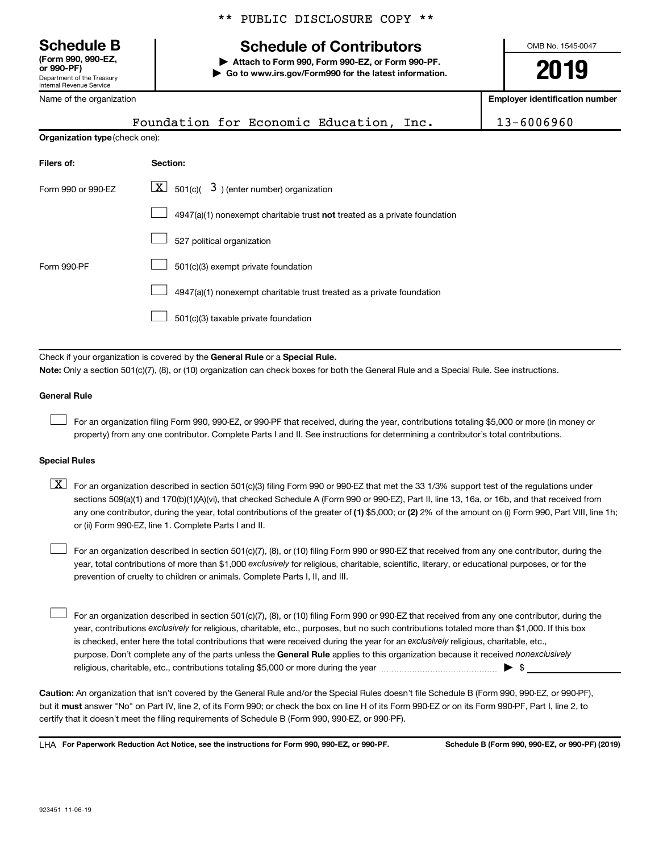**(Form 990, 990-EZ,**

Department of the Treasury Internal Revenue Service

of the organization

|  |  | ** PUBLIC DISCLOSURE COPY ** |  |  |
|--|--|------------------------------|--|--|
|--|--|------------------------------|--|--|

# **Schedule B Schedule of Contributors**

**or 990-PF) | Attach to Form 990, Form 990-EZ, or Form 990-PF. | Go to www.irs.gov/Form990 for the latest information.** OMB No. 1545-0047

**2019**

**Employer identification** 

|                                | ivalité of the organization                                                                                                                                                                                                                                                                                                                                                                                                                                                                               |            |  |
|--------------------------------|-----------------------------------------------------------------------------------------------------------------------------------------------------------------------------------------------------------------------------------------------------------------------------------------------------------------------------------------------------------------------------------------------------------------------------------------------------------------------------------------------------------|------------|--|
|                                | Foundation for Economic Education, Inc.                                                                                                                                                                                                                                                                                                                                                                                                                                                                   | 13-6006960 |  |
| Organization type (check one): |                                                                                                                                                                                                                                                                                                                                                                                                                                                                                                           |            |  |
| Filers of:                     | Section:                                                                                                                                                                                                                                                                                                                                                                                                                                                                                                  |            |  |
| Form 990 or 990-EZ             | 501(c)( $\overline{3}$ ) (enter number) organization<br>$\lfloor x \rfloor$                                                                                                                                                                                                                                                                                                                                                                                                                               |            |  |
|                                | $4947(a)(1)$ nonexempt charitable trust not treated as a private foundation                                                                                                                                                                                                                                                                                                                                                                                                                               |            |  |
|                                | 527 political organization                                                                                                                                                                                                                                                                                                                                                                                                                                                                                |            |  |
| Form 990-PF                    | 501(c)(3) exempt private foundation                                                                                                                                                                                                                                                                                                                                                                                                                                                                       |            |  |
|                                | 4947(a)(1) nonexempt charitable trust treated as a private foundation                                                                                                                                                                                                                                                                                                                                                                                                                                     |            |  |
|                                | 501(c)(3) taxable private foundation                                                                                                                                                                                                                                                                                                                                                                                                                                                                      |            |  |
|                                |                                                                                                                                                                                                                                                                                                                                                                                                                                                                                                           |            |  |
|                                | Check if your organization is covered by the General Rule or a Special Rule.<br>Note: Only a section 501(c)(7), (8), or (10) organization can check boxes for both the General Rule and a Special Rule. See instructions.                                                                                                                                                                                                                                                                                 |            |  |
| <b>General Rule</b>            |                                                                                                                                                                                                                                                                                                                                                                                                                                                                                                           |            |  |
|                                | For an organization filing Form 990, 990-EZ, or 990-PF that received, during the year, contributions totaling \$5,000 or more (in money or<br>property) from any one contributor. Complete Parts I and II. See instructions for determining a contributor's total contributions.                                                                                                                                                                                                                          |            |  |
| <b>Special Rules</b>           |                                                                                                                                                                                                                                                                                                                                                                                                                                                                                                           |            |  |
| $\lfloor x \rfloor$            | For an organization described in section 501(c)(3) filing Form 990 or 990-EZ that met the 33 1/3% support test of the regulations under<br>sections 509(a)(1) and 170(b)(1)(A)(vi), that checked Schedule A (Form 990 or 990-EZ), Part II, line 13, 16a, or 16b, and that received from<br>any one contributor, during the year, total contributions of the greater of (1) \$5,000; or (2) 2% of the amount on (i) Form 990, Part VIII, line 1h;<br>or (ii) Form 990-EZ, line 1. Complete Parts I and II. |            |  |
|                                | For an organization described in section 501(c)(7), (8), or (10) filing Form 990 or 990-EZ that received from any one contributor, during the<br>year, total contributions of more than \$1,000 exclusively for religious, charitable, scientific, literary, or educational purposes, or for the<br>prevention of cruelty to children or animals. Complete Parts I, II, and III.                                                                                                                          |            |  |

purpose. Don't complete any of the parts unless the General Rule applies to this organization because it received nonexclusively year, contributions exclusively for religious, charitable, etc., purposes, but no such contributions totaled more than \$1,000. If this box is checked, enter here the total contributions that were received during the year for an exclusively religious, charitable, etc., For an organization described in section 501(c)(7), (8), or (10) filing Form 990 or 990-EZ that received from any one contributor, during the religious, charitable, etc., contributions totaling \$5,000 or more during the year  $\ldots$  $\ldots$  $\ldots$  $\ldots$  $\ldots$  $\ldots$  $\Box$ 

**Caution:**  An organization that isn't covered by the General Rule and/or the Special Rules doesn't file Schedule B (Form 990, 990-EZ, or 990-PF),  **must** but it answer "No" on Part IV, line 2, of its Form 990; or check the box on line H of its Form 990-EZ or on its Form 990-PF, Part I, line 2, to certify that it doesn't meet the filing requirements of Schedule B (Form 990, 990-EZ, or 990-PF).

**For Paperwork Reduction Act Notice, see the instructions for Form 990, 990-EZ, or 990-PF. Schedule B (Form 990, 990-EZ, or 990-PF) (2019)** LHA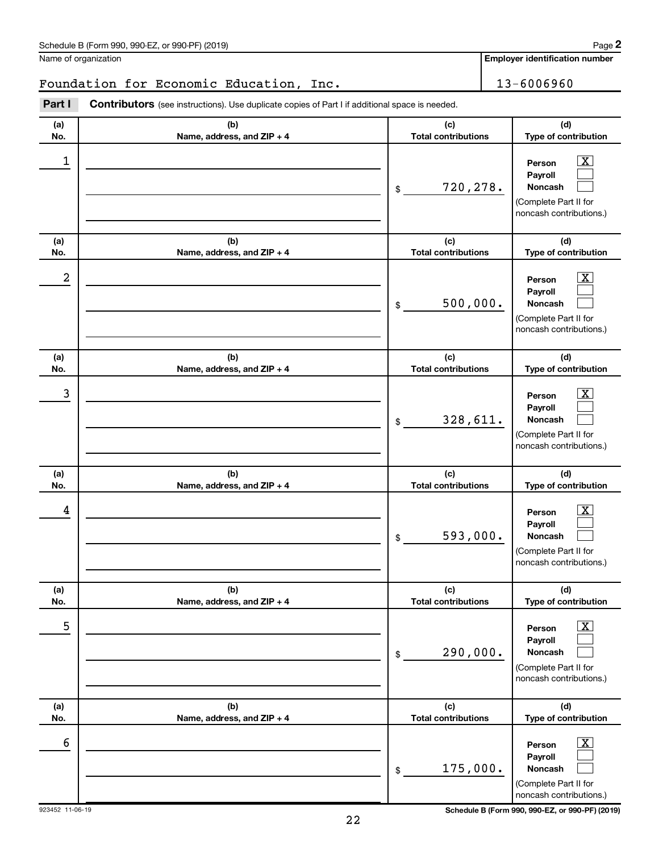Name of organization

**Employer identification number**

# Foundation for Economic Education, Inc. | 13-6006960

**(a) No. (b) Name, address, and ZIP + 4 (c) Total contributions (d) Type of contribution Person Payroll Noncash (a) No. (b) Name, address, and ZIP + 4 (c) Total contributions (d) Type of contribution Person Payroll Noncash (a) No. (b) Name, address, and ZIP + 4 (c) Total contributions (d) Type of contribution Person Payroll Noncash (a) No. (b) Name, address, and ZIP + 4 (c) Total contributions (d) Type of contribution Person Payroll Noncash (a) No. (b) Name, address, and ZIP + 4 (c) Total contributions (d) Type of contribution Person Payroll Noncash (a) No. (b) Name, address, and ZIP + 4 (c) Total contributions (d) Type of contribution Person Payroll Noncash Part I** Contributors (see instructions). Use duplicate copies of Part I if additional space is needed. \$ (Complete Part II for noncash contributions.) \$ (Complete Part II for noncash contributions.) \$ (Complete Part II for noncash contributions.) \$ (Complete Part II for noncash contributions.) \$ (Complete Part II for noncash contributions.) \$  $\lceil \text{X} \rceil$  $\Box$  $\Box$  $\overline{\mathbf{X}}$  $\Box$  $\Box$  $\boxed{\textbf{X}}$  $\Box$  $\Box$  $\boxed{\textbf{X}}$  $\Box$  $\Box$  $\boxed{\textbf{X}}$  $\Box$  $\Box$  $\boxed{\textbf{X}}$  $\Box$  $\Box$  $\begin{array}{|c|c|c|c|c|}\hline \ \text{1} & \text{Person} & \text{X} \ \hline \end{array}$ 720,278.  $2$  Person  $\overline{\text{X}}$ 500,000.  $\begin{array}{|c|c|c|c|c|c|}\hline \text{3} & \text{Person} & \text{X} \ \hline \end{array}$ 328,611.  $\begin{array}{|c|c|c|c|c|}\hline \text{4} & \text{Person} & \text{\textbf{X}}\ \hline \end{array}$ 593,000. 5 X 290,000.  $\overline{6}$  Person  $\overline{X}$ 175,000.

923452 11-06-19 **Schedule B (Form 990, 990-EZ, or 990-PF) (2019)**

(Complete Part II for noncash contributions.)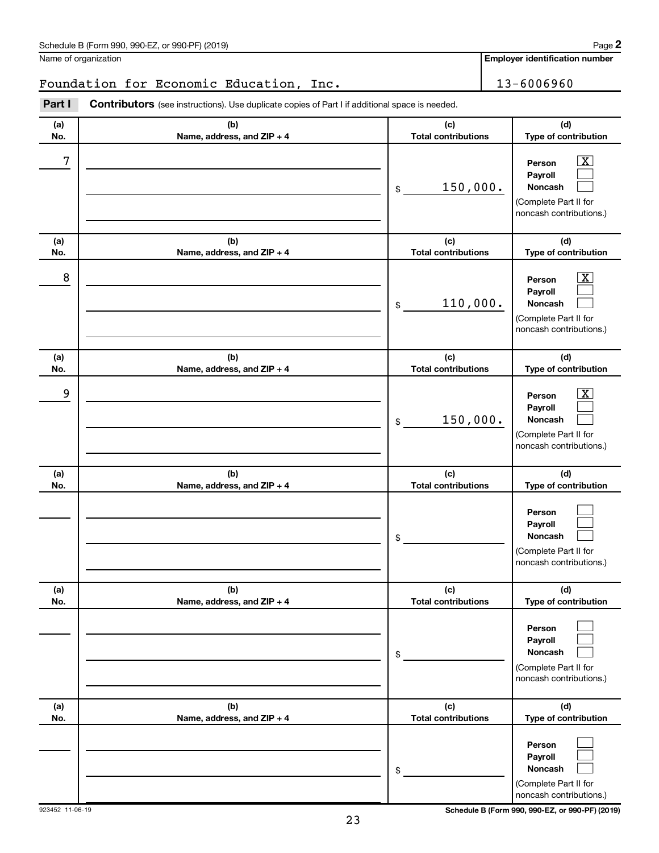Name of organization

**Employer identification number**

# Foundation for Economic Education, Inc. | 13-6006960

**(a) No. (b) Name, address, and ZIP + 4 (c) Total contributions (d) Type of contribution Person Payroll Noncash (a) No. (b) Name, address, and ZIP + 4 (c) Total contributions (d) Type of contribution Person Payroll Noncash (a) No. (b) Name, address, and ZIP + 4 (c) Total contributions (d) Type of contribution Person Payroll Noncash (a) No. (b) Name, address, and ZIP + 4 (c) Total contributions (d) Type of contribution Person Payroll Noncash (a) No. (b) Name, address, and ZIP + 4 (c) Total contributions (d) Type of contribution Person Payroll Noncash (a) No. (b) Name, address, and ZIP + 4 (c) Total contributions (d) Type of contribution Person Payroll Noncash Part I** Contributors (see instructions). Use duplicate copies of Part I if additional space is needed. \$ (Complete Part II for noncash contributions.) \$ (Complete Part II for noncash contributions.) \$ (Complete Part II for noncash contributions.) \$ (Complete Part II for noncash contributions.) \$ (Complete Part II for noncash contributions.) \$ (Complete Part II for  $\lceil \texttt{X} \rceil$  $\Box$  $\Box$  $\overline{\mathbf{X}}$  $\Box$  $\Box$  $\boxed{\textbf{X}}$  $\Box$  $\Box$  $\Box$  $\Box$  $\Box$  $\Box$  $\Box$  $\Box$  $\Box$  $\Box$  $\Box$  $7$   $|$  Person  $\overline{\text{X}}$ 150,000.  $8$  Person  $\overline{\text{X}}$ 110,000. 9 X 150,000.

923452 11-06-19 **Schedule B (Form 990, 990-EZ, or 990-PF) (2019)**

noncash contributions.)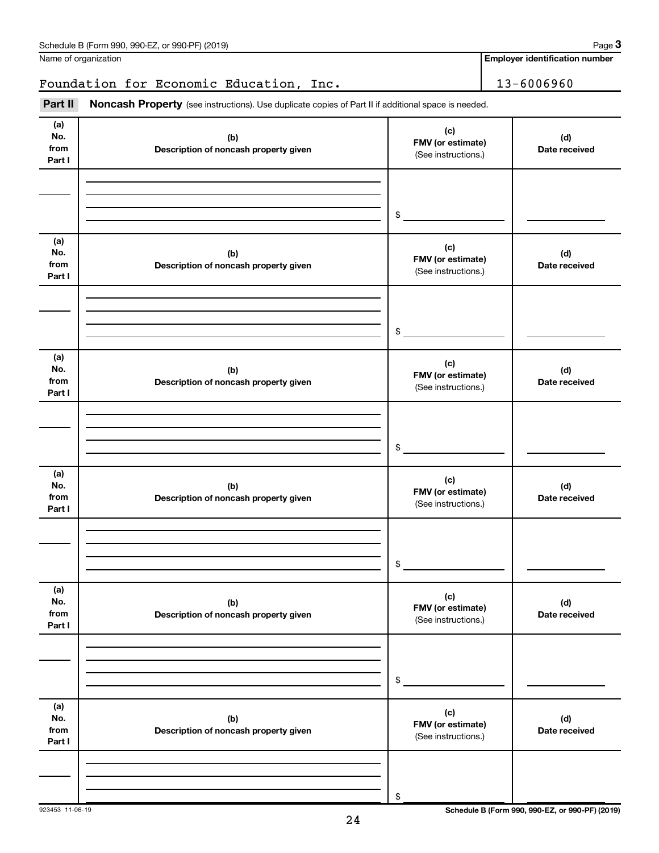|                              | Foundation for Economic Education, Inc.                                                             |                                                 | 13-6006960           |
|------------------------------|-----------------------------------------------------------------------------------------------------|-------------------------------------------------|----------------------|
| Part II                      | Noncash Property (see instructions). Use duplicate copies of Part II if additional space is needed. |                                                 |                      |
| (a)<br>No.<br>from<br>Part I | (b)<br>Description of noncash property given                                                        | (c)<br>FMV (or estimate)<br>(See instructions.) | (d)<br>Date received |
|                              |                                                                                                     | \$                                              |                      |
| (a)<br>No.<br>from<br>Part I | (b)<br>Description of noncash property given                                                        | (c)<br>FMV (or estimate)<br>(See instructions.) | (d)<br>Date received |
|                              |                                                                                                     | \$                                              |                      |
| (a)<br>No.<br>from<br>Part I | (b)<br>Description of noncash property given                                                        | (c)<br>FMV (or estimate)<br>(See instructions.) | (d)<br>Date received |
|                              |                                                                                                     | \$                                              |                      |
| (a)<br>No.<br>from<br>Part I | (b)<br>Description of noncash property given                                                        | (c)<br>FMV (or estimate)<br>(See instructions.) | (d)<br>Date received |
|                              |                                                                                                     | \$                                              |                      |
| (a)<br>No.<br>from<br>Part I | (b)<br>Description of noncash property given                                                        | (c)<br>FMV (or estimate)<br>(See instructions.) | (d)<br>Date received |
|                              |                                                                                                     | \$                                              |                      |
| (a)<br>No.<br>from<br>Part I | (b)<br>Description of noncash property given                                                        | (c)<br>FMV (or estimate)<br>(See instructions.) | (d)<br>Date received |
|                              |                                                                                                     | \$                                              |                      |

**Employer identification number**

**3**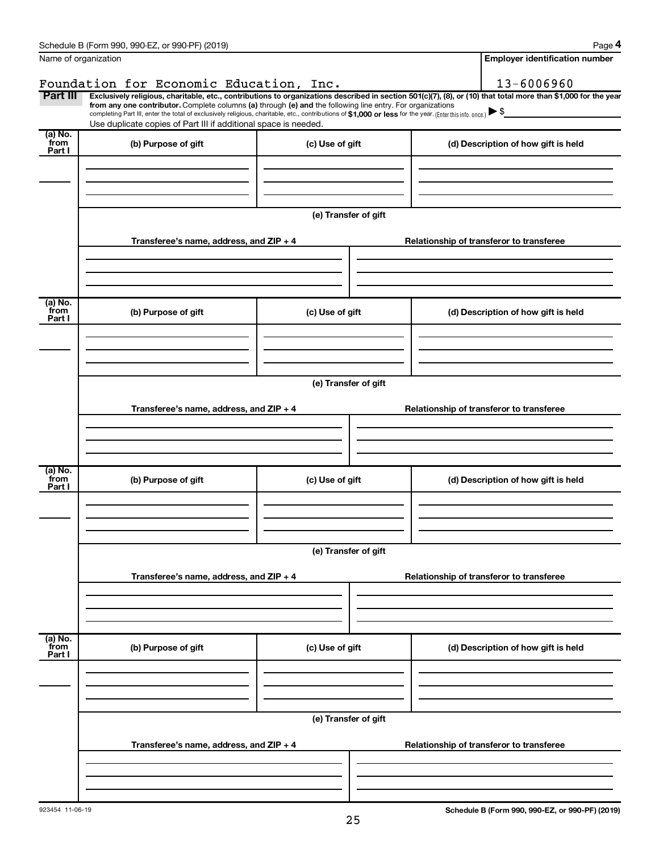|                           | Schedule B (Form 990, 990-EZ, or 990-PF) (2019)                                                                                                                                                                                                                        |                      | Page 4                                                                                                                                                         |
|---------------------------|------------------------------------------------------------------------------------------------------------------------------------------------------------------------------------------------------------------------------------------------------------------------|----------------------|----------------------------------------------------------------------------------------------------------------------------------------------------------------|
| Name of organization      |                                                                                                                                                                                                                                                                        |                      | <b>Employer identification number</b>                                                                                                                          |
|                           | Foundation for Economic Education, Inc.                                                                                                                                                                                                                                |                      | 13-6006960                                                                                                                                                     |
| Part III                  | from any one contributor. Complete columns (a) through (e) and the following line entry. For organizations<br>completing Part III, enter the total of exclusively religious, charitable, etc., contributions of \$1,000 or less for the year. (Enter this info. once.) |                      | Exclusively religious, charitable, etc., contributions to organizations described in section 501(c)(7), (8), or (10) that total more than \$1,000 for the year |
|                           | Use duplicate copies of Part III if additional space is needed.                                                                                                                                                                                                        |                      |                                                                                                                                                                |
| (a) No.<br>from<br>Part I | (b) Purpose of gift                                                                                                                                                                                                                                                    | (c) Use of gift      | (d) Description of how gift is held                                                                                                                            |
|                           |                                                                                                                                                                                                                                                                        |                      |                                                                                                                                                                |
|                           |                                                                                                                                                                                                                                                                        | (e) Transfer of gift |                                                                                                                                                                |
|                           | Transferee's name, address, and ZIP + 4                                                                                                                                                                                                                                |                      | Relationship of transferor to transferee                                                                                                                       |
| (a) No.                   |                                                                                                                                                                                                                                                                        |                      |                                                                                                                                                                |
| from<br>Part I            | (b) Purpose of gift                                                                                                                                                                                                                                                    | (c) Use of gift      | (d) Description of how gift is held                                                                                                                            |
|                           |                                                                                                                                                                                                                                                                        |                      |                                                                                                                                                                |
|                           |                                                                                                                                                                                                                                                                        | (e) Transfer of gift |                                                                                                                                                                |
|                           | Transferee's name, address, and ZIP + 4                                                                                                                                                                                                                                |                      | Relationship of transferor to transferee                                                                                                                       |
| (a) No.                   |                                                                                                                                                                                                                                                                        |                      |                                                                                                                                                                |
| from<br>Part I            | (b) Purpose of gift                                                                                                                                                                                                                                                    | (c) Use of gift      | (d) Description of how gift is held                                                                                                                            |
|                           |                                                                                                                                                                                                                                                                        |                      |                                                                                                                                                                |
|                           |                                                                                                                                                                                                                                                                        | (e) Transfer of gift |                                                                                                                                                                |
|                           | Transferee's name, address, and ZIP + 4                                                                                                                                                                                                                                |                      | Relationship of transferor to transferee                                                                                                                       |
|                           |                                                                                                                                                                                                                                                                        |                      |                                                                                                                                                                |
| (a) No.<br>from<br>Part I | (b) Purpose of gift                                                                                                                                                                                                                                                    | (c) Use of gift      | (d) Description of how gift is held                                                                                                                            |
|                           |                                                                                                                                                                                                                                                                        |                      |                                                                                                                                                                |
|                           |                                                                                                                                                                                                                                                                        | (e) Transfer of gift |                                                                                                                                                                |
|                           | Transferee's name, address, and ZIP + 4                                                                                                                                                                                                                                |                      | Relationship of transferor to transferee                                                                                                                       |
|                           |                                                                                                                                                                                                                                                                        |                      |                                                                                                                                                                |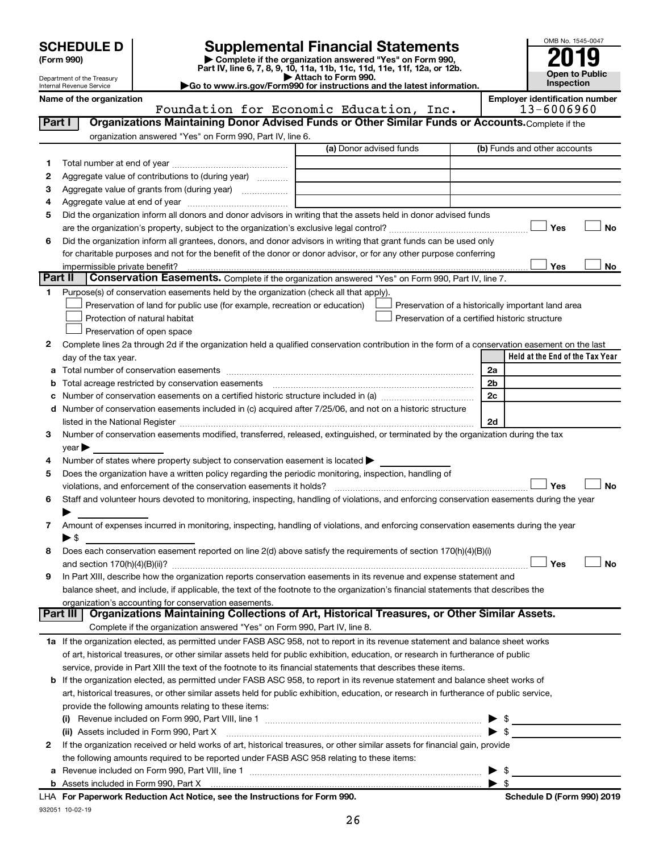| <b>SCHEDULE D</b> |  |
|-------------------|--|
|-------------------|--|

 $\overline{\phantom{0}}$ 

932051 10-02-19

 $\overline{\phantom{0}}$ 

**b** Assets included in Form 990, Part X

# **SCHEDULE D Supplemental Financial Statements**<br> **Form 990 2019**<br> **Part IV** line 6.7.8.9.10, 11a, 11b, 11d, 11d, 11d, 11d, 11d, 12a, 0r, 12b

**(Form 990) | Complete if the organization answered "Yes" on Form 990, Part IV, line 6, 7, 8, 9, 10, 11a, 11b, 11c, 11d, 11e, 11f, 12a, or 12b.**



Department of the Treasury Internal Revenue Service **Name of the organization Employer identification number**

**| Attach to Form 990. |Go to www.irs.gov/Form990 for instructions and the latest information.**

|         | Foundation for Economic Education, Inc.                                                                                                        |          | 13-6006960                                         |    |
|---------|------------------------------------------------------------------------------------------------------------------------------------------------|----------|----------------------------------------------------|----|
| Part I  | Organizations Maintaining Donor Advised Funds or Other Similar Funds or Accounts. Complete if the                                              |          |                                                    |    |
|         | organization answered "Yes" on Form 990, Part IV, line 6.                                                                                      |          |                                                    |    |
|         | (a) Donor advised funds                                                                                                                        |          | (b) Funds and other accounts                       |    |
| 1       |                                                                                                                                                |          |                                                    |    |
| 2       | Aggregate value of contributions to (during year)                                                                                              |          |                                                    |    |
| З       |                                                                                                                                                |          |                                                    |    |
| 4       |                                                                                                                                                |          |                                                    |    |
| 5       | Did the organization inform all donors and donor advisors in writing that the assets held in donor advised funds                               |          |                                                    |    |
|         |                                                                                                                                                |          | Yes                                                | No |
| 6       | Did the organization inform all grantees, donors, and donor advisors in writing that grant funds can be used only                              |          |                                                    |    |
|         | for charitable purposes and not for the benefit of the donor or donor advisor, or for any other purpose conferring                             |          |                                                    |    |
|         | impermissible private benefit?                                                                                                                 |          | Yes                                                | No |
| Part II | Conservation Easements. Complete if the organization answered "Yes" on Form 990, Part IV, line 7.                                              |          |                                                    |    |
| 1       | Purpose(s) of conservation easements held by the organization (check all that apply).                                                          |          |                                                    |    |
|         | Preservation of land for public use (for example, recreation or education)                                                                     |          | Preservation of a historically important land area |    |
|         | Protection of natural habitat<br>Preservation of a certified historic structure                                                                |          |                                                    |    |
|         | Preservation of open space                                                                                                                     |          |                                                    |    |
| 2       | Complete lines 2a through 2d if the organization held a qualified conservation contribution in the form of a conservation easement on the last |          |                                                    |    |
|         | day of the tax year.                                                                                                                           |          | Held at the End of the Tax Year                    |    |
| а       |                                                                                                                                                | 2a       |                                                    |    |
|         | Total acreage restricted by conservation easements                                                                                             | 2b       |                                                    |    |
|         | Number of conservation easements on a certified historic structure included in (a) manufacture included in (a)                                 | 2c       |                                                    |    |
| d       | Number of conservation easements included in (c) acquired after 7/25/06, and not on a historic structure                                       |          |                                                    |    |
|         | listed in the National Register [111] in the National Register [11] in the National Management Communication of                                | 2d       |                                                    |    |
| 3       | Number of conservation easements modified, transferred, released, extinguished, or terminated by the organization during the tax               |          |                                                    |    |
|         | $year \triangleright$                                                                                                                          |          |                                                    |    |
| 4       | Number of states where property subject to conservation easement is located >                                                                  |          |                                                    |    |
| 5       | Does the organization have a written policy regarding the periodic monitoring, inspection, handling of                                         |          |                                                    |    |
|         | violations, and enforcement of the conservation easements it holds?                                                                            |          | Yes                                                | No |
| 6       | Staff and volunteer hours devoted to monitoring, inspecting, handling of violations, and enforcing conservation easements during the year      |          |                                                    |    |
|         |                                                                                                                                                |          |                                                    |    |
| 7       | Amount of expenses incurred in monitoring, inspecting, handling of violations, and enforcing conservation easements during the year            |          |                                                    |    |
|         | ▶ \$                                                                                                                                           |          |                                                    |    |
| 8       | Does each conservation easement reported on line 2(d) above satisfy the requirements of section 170(h)(4)(B)(i)                                |          |                                                    |    |
|         |                                                                                                                                                |          | Yes                                                | No |
| 9       | In Part XIII, describe how the organization reports conservation easements in its revenue and expense statement and                            |          |                                                    |    |
|         | balance sheet, and include, if applicable, the text of the footnote to the organization's financial statements that describes the              |          |                                                    |    |
|         | organization's accounting for conservation easements.                                                                                          |          |                                                    |    |
|         | Organizations Maintaining Collections of Art, Historical Treasures, or Other Similar Assets.<br><b>Part III</b>                                |          |                                                    |    |
|         | Complete if the organization answered "Yes" on Form 990, Part IV, line 8.                                                                      |          |                                                    |    |
|         | 1a If the organization elected, as permitted under FASB ASC 958, not to report in its revenue statement and balance sheet works                |          |                                                    |    |
|         | of art, historical treasures, or other similar assets held for public exhibition, education, or research in furtherance of public              |          |                                                    |    |
|         | service, provide in Part XIII the text of the footnote to its financial statements that describes these items.                                 |          |                                                    |    |
|         | <b>b</b> If the organization elected, as permitted under FASB ASC 958, to report in its revenue statement and balance sheet works of           |          |                                                    |    |
|         | art, historical treasures, or other similar assets held for public exhibition, education, or research in furtherance of public service,        |          |                                                    |    |
|         | provide the following amounts relating to these items:                                                                                         |          |                                                    |    |
|         |                                                                                                                                                | \$       |                                                    |    |
|         | (ii) Assets included in Form 990, Part X                                                                                                       |          | $\triangleright$ \$                                |    |
| 2       | If the organization received or held works of art, historical treasures, or other similar assets for financial gain, provide                   |          |                                                    |    |
|         | the following amounts required to be reported under FASB ASC 958 relating to these items:                                                      |          |                                                    |    |
|         |                                                                                                                                                | -\$<br>▶ |                                                    |    |
|         |                                                                                                                                                |          |                                                    |    |

| \$

26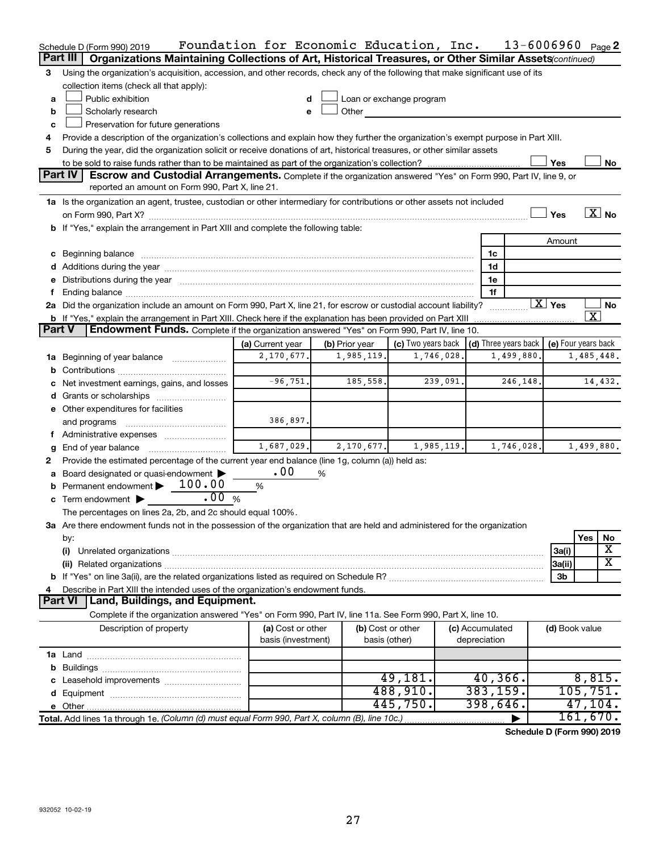|               | Schedule D (Form 990) 2019                                                                                                                                                                                                     | Foundation for Economic Education, Inc. |                |               |                                                         |            |                                 | $13 - 6006960$ Page 2 |                     |            |                       |
|---------------|--------------------------------------------------------------------------------------------------------------------------------------------------------------------------------------------------------------------------------|-----------------------------------------|----------------|---------------|---------------------------------------------------------|------------|---------------------------------|-----------------------|---------------------|------------|-----------------------|
|               | Part III<br>Organizations Maintaining Collections of Art, Historical Treasures, or Other Similar Assets (continued)                                                                                                            |                                         |                |               |                                                         |            |                                 |                       |                     |            |                       |
| 3             | Using the organization's acquisition, accession, and other records, check any of the following that make significant use of its                                                                                                |                                         |                |               |                                                         |            |                                 |                       |                     |            |                       |
|               | collection items (check all that apply):                                                                                                                                                                                       |                                         |                |               |                                                         |            |                                 |                       |                     |            |                       |
| a             | Public exhibition                                                                                                                                                                                                              | d                                       |                |               | Loan or exchange program                                |            |                                 |                       |                     |            |                       |
| b             | Scholarly research                                                                                                                                                                                                             | e                                       | Other          |               |                                                         |            |                                 |                       |                     |            |                       |
| c             | Preservation for future generations                                                                                                                                                                                            |                                         |                |               |                                                         |            |                                 |                       |                     |            |                       |
|               | Provide a description of the organization's collections and explain how they further the organization's exempt purpose in Part XIII.                                                                                           |                                         |                |               |                                                         |            |                                 |                       |                     |            |                       |
| 5             | During the year, did the organization solicit or receive donations of art, historical treasures, or other similar assets                                                                                                       |                                         |                |               |                                                         |            |                                 |                       |                     |            |                       |
|               |                                                                                                                                                                                                                                |                                         |                |               |                                                         |            |                                 |                       | Yes                 |            | No                    |
|               | Part IV<br>Escrow and Custodial Arrangements. Complete if the organization answered "Yes" on Form 990, Part IV, line 9, or                                                                                                     |                                         |                |               |                                                         |            |                                 |                       |                     |            |                       |
|               | reported an amount on Form 990, Part X, line 21.                                                                                                                                                                               |                                         |                |               |                                                         |            |                                 |                       |                     |            |                       |
|               | 1a Is the organization an agent, trustee, custodian or other intermediary for contributions or other assets not included                                                                                                       |                                         |                |               |                                                         |            |                                 |                       |                     |            |                       |
|               |                                                                                                                                                                                                                                |                                         |                |               |                                                         |            |                                 |                       | Yes                 |            | $\boxed{\text{X}}$ No |
|               | b If "Yes," explain the arrangement in Part XIII and complete the following table:                                                                                                                                             |                                         |                |               |                                                         |            |                                 |                       |                     |            |                       |
|               |                                                                                                                                                                                                                                |                                         |                |               |                                                         |            |                                 |                       | Amount              |            |                       |
|               |                                                                                                                                                                                                                                |                                         |                |               |                                                         |            | 1c                              |                       |                     |            |                       |
|               |                                                                                                                                                                                                                                |                                         |                |               |                                                         |            | 1d                              |                       |                     |            |                       |
|               | e Distributions during the year manufactured and continuum and contact the year manufactured and contact the year manufactured and contact the year manufactured and contact the year manufactured and contact the year manufa |                                         |                |               |                                                         |            | 1e                              |                       |                     |            |                       |
|               |                                                                                                                                                                                                                                |                                         |                |               |                                                         |            | 1f                              |                       |                     |            |                       |
|               | 2a Did the organization include an amount on Form 990, Part X, line 21, for escrow or custodial account liability?                                                                                                             |                                         |                |               |                                                         |            |                                 |                       | $\overline{X}$ Yes  |            | No                    |
|               | <b>b</b> If "Yes," explain the arrangement in Part XIII. Check here if the explanation has been provided on Part XIII                                                                                                          |                                         |                |               |                                                         |            |                                 |                       |                     | x          |                       |
| <b>Part V</b> | <b>Endowment Funds.</b> Complete if the organization answered "Yes" on Form 990, Part IV, line 10.                                                                                                                             |                                         |                |               |                                                         |            |                                 |                       |                     |            |                       |
|               |                                                                                                                                                                                                                                | (a) Current year                        | (b) Prior year |               | (c) Two years back $\vert$ (d) Three years back $\vert$ |            |                                 |                       | (e) Four years back |            |                       |
| 1a            | Beginning of year balance <i>manumman</i>                                                                                                                                                                                      | 2,170,677.                              |                | 1,985,119.    |                                                         | 1,746,028. |                                 | 1,499,880.            |                     | 1,485,448. |                       |
| b             |                                                                                                                                                                                                                                |                                         |                |               |                                                         |            |                                 |                       |                     |            |                       |
|               | c Net investment earnings, gains, and losses                                                                                                                                                                                   | $-96, 751.$                             |                | 185,558.      |                                                         | 239,091.   |                                 | 246,148.              |                     |            | 14,432.               |
|               |                                                                                                                                                                                                                                |                                         |                |               |                                                         |            |                                 |                       |                     |            |                       |
|               | e Other expenditures for facilities                                                                                                                                                                                            |                                         |                |               |                                                         |            |                                 |                       |                     |            |                       |
|               | and programs                                                                                                                                                                                                                   | 386,897.                                |                |               |                                                         |            |                                 |                       |                     |            |                       |
| τ.            | Administrative expenses <i></i>                                                                                                                                                                                                |                                         |                |               |                                                         |            |                                 |                       |                     |            |                       |
| g             | End of year balance                                                                                                                                                                                                            | 1,687,029.                              |                | 2,170,677.    |                                                         | 1,985,119. |                                 | 1,746,028.            |                     | 1,499,880. |                       |
| 2             | Provide the estimated percentage of the current year end balance (line 1g, column (a)) held as:                                                                                                                                |                                         |                |               |                                                         |            |                                 |                       |                     |            |                       |
| а             | Board designated or quasi-endowment                                                                                                                                                                                            | .00                                     | %              |               |                                                         |            |                                 |                       |                     |            |                       |
|               | Permanent endowment $\blacktriangleright$ 100.00                                                                                                                                                                               | %                                       |                |               |                                                         |            |                                 |                       |                     |            |                       |
|               | .00%<br>c Term endowment $\blacktriangleright$                                                                                                                                                                                 |                                         |                |               |                                                         |            |                                 |                       |                     |            |                       |
|               | The percentages on lines 2a, 2b, and 2c should equal 100%.                                                                                                                                                                     |                                         |                |               |                                                         |            |                                 |                       |                     |            |                       |
|               | 3a Are there endowment funds not in the possession of the organization that are held and administered for the organization                                                                                                     |                                         |                |               |                                                         |            |                                 |                       |                     |            |                       |
|               | by:                                                                                                                                                                                                                            |                                         |                |               |                                                         |            |                                 |                       |                     | Yes        | No<br>х               |
|               | (i)                                                                                                                                                                                                                            |                                         |                |               |                                                         |            |                                 |                       | 3a(i)               |            | x                     |
|               |                                                                                                                                                                                                                                |                                         |                |               |                                                         |            |                                 |                       | 3a(ii)              |            |                       |
|               |                                                                                                                                                                                                                                |                                         |                |               |                                                         |            |                                 |                       | 3b                  |            |                       |
| 4             | Describe in Part XIII the intended uses of the organization's endowment funds.                                                                                                                                                 |                                         |                |               |                                                         |            |                                 |                       |                     |            |                       |
|               | Land, Buildings, and Equipment.<br>Part VI                                                                                                                                                                                     |                                         |                |               |                                                         |            |                                 |                       |                     |            |                       |
|               | Complete if the organization answered "Yes" on Form 990, Part IV, line 11a. See Form 990, Part X, line 10.                                                                                                                     |                                         |                |               |                                                         |            |                                 |                       |                     |            |                       |
|               | Description of property                                                                                                                                                                                                        | (a) Cost or other<br>basis (investment) |                | basis (other) | (b) Cost or other                                       |            | (c) Accumulated<br>depreciation |                       | (d) Book value      |            |                       |
|               |                                                                                                                                                                                                                                |                                         |                |               |                                                         |            |                                 |                       |                     |            |                       |
|               |                                                                                                                                                                                                                                |                                         |                |               |                                                         |            |                                 |                       |                     |            |                       |
|               |                                                                                                                                                                                                                                |                                         |                |               | 49,181.                                                 |            | 40, 366.                        |                       |                     | 8,815.     |                       |
|               |                                                                                                                                                                                                                                |                                         |                |               | 488,910.                                                |            | 383, 159.                       |                       |                     | 105, 751.  |                       |
|               |                                                                                                                                                                                                                                |                                         |                |               | 445,750.                                                |            | 398,646.                        |                       |                     | 47, 104.   |                       |
|               | Total. Add lines 1a through 1e. (Column (d) must equal Form 990, Part X, column (B), line 10c.)                                                                                                                                |                                         |                |               |                                                         |            |                                 |                       |                     | 161,670.   |                       |

**Schedule D (Form 990) 2019**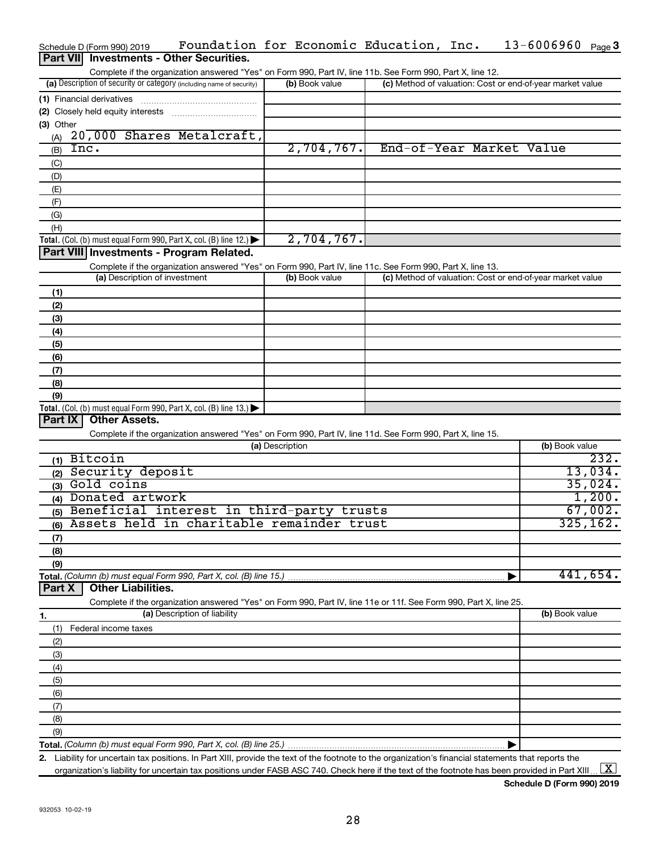|           | Schedule D (Form 990) 2019               | Foundation for Economic Education, Inc.                                                                           |                 |                |  | 13-6006960                                                | Page $3$  |
|-----------|------------------------------------------|-------------------------------------------------------------------------------------------------------------------|-----------------|----------------|--|-----------------------------------------------------------|-----------|
|           | Part VII Investments - Other Securities. |                                                                                                                   |                 |                |  |                                                           |           |
|           |                                          | Complete if the organization answered "Yes" on Form 990, Part IV, line 11b. See Form 990, Part X, line 12.        |                 |                |  |                                                           |           |
|           |                                          | (a) Description of security or category (including name of security)                                              |                 | (b) Book value |  | (c) Method of valuation: Cost or end-of-year market value |           |
|           |                                          |                                                                                                                   |                 |                |  |                                                           |           |
|           | (1) Financial derivatives                |                                                                                                                   |                 |                |  |                                                           |           |
|           |                                          |                                                                                                                   |                 |                |  |                                                           |           |
| (3) Other |                                          |                                                                                                                   |                 |                |  |                                                           |           |
| (A)       |                                          | 20,000 Shares Metalcraft,                                                                                         |                 |                |  |                                                           |           |
| (B)       | Inc.                                     |                                                                                                                   |                 | 2,704,767.     |  | End-of-Year Market Value                                  |           |
| (C)       |                                          |                                                                                                                   |                 |                |  |                                                           |           |
| (D)       |                                          |                                                                                                                   |                 |                |  |                                                           |           |
| (E)       |                                          |                                                                                                                   |                 |                |  |                                                           |           |
| (F)       |                                          |                                                                                                                   |                 |                |  |                                                           |           |
|           |                                          |                                                                                                                   |                 |                |  |                                                           |           |
| (G)       |                                          |                                                                                                                   |                 |                |  |                                                           |           |
| (H)       |                                          |                                                                                                                   |                 |                |  |                                                           |           |
|           |                                          | Total. (Col. (b) must equal Form 990, Part X, col. (B) line 12.)                                                  |                 | 2,704,767.     |  |                                                           |           |
|           |                                          | Part VIII Investments - Program Related.                                                                          |                 |                |  |                                                           |           |
|           |                                          | Complete if the organization answered "Yes" on Form 990, Part IV, line 11c. See Form 990, Part X, line 13.        |                 |                |  |                                                           |           |
|           | (a) Description of investment            |                                                                                                                   |                 | (b) Book value |  | (c) Method of valuation: Cost or end-of-year market value |           |
| (1)       |                                          |                                                                                                                   |                 |                |  |                                                           |           |
| (2)       |                                          |                                                                                                                   |                 |                |  |                                                           |           |
|           |                                          |                                                                                                                   |                 |                |  |                                                           |           |
| (3)       |                                          |                                                                                                                   |                 |                |  |                                                           |           |
| (4)       |                                          |                                                                                                                   |                 |                |  |                                                           |           |
| (5)       |                                          |                                                                                                                   |                 |                |  |                                                           |           |
| (6)       |                                          |                                                                                                                   |                 |                |  |                                                           |           |
| (7)       |                                          |                                                                                                                   |                 |                |  |                                                           |           |
| (8)       |                                          |                                                                                                                   |                 |                |  |                                                           |           |
| (9)       |                                          |                                                                                                                   |                 |                |  |                                                           |           |
|           |                                          | Total. (Col. (b) must equal Form 990, Part X, col. (B) line 13.) $\blacktriangleright$                            |                 |                |  |                                                           |           |
| Part IX   | <b>Other Assets.</b>                     |                                                                                                                   |                 |                |  |                                                           |           |
|           |                                          | Complete if the organization answered "Yes" on Form 990, Part IV, line 11d. See Form 990, Part X, line 15.        |                 |                |  |                                                           |           |
|           |                                          |                                                                                                                   | (a) Description |                |  | (b) Book value                                            |           |
|           | $(1)$ Bitcoin                            |                                                                                                                   |                 |                |  |                                                           | 232.      |
|           |                                          |                                                                                                                   |                 |                |  |                                                           |           |
|           | (2) Security deposit                     |                                                                                                                   |                 |                |  |                                                           | 13,034.   |
|           | (3) Gold coins                           |                                                                                                                   |                 |                |  |                                                           | 35,024.   |
|           | (4) Donated artwork                      |                                                                                                                   |                 |                |  |                                                           | 1,200.    |
|           |                                          | (5) Beneficial interest in third-party trusts                                                                     |                 |                |  |                                                           | 67,002.   |
|           |                                          | (6) Assets held in charitable remainder trust                                                                     |                 |                |  |                                                           | 325, 162. |
| (7)       |                                          |                                                                                                                   |                 |                |  |                                                           |           |
| (8)       |                                          |                                                                                                                   |                 |                |  |                                                           |           |
|           |                                          |                                                                                                                   |                 |                |  |                                                           |           |
| (9)       |                                          |                                                                                                                   |                 |                |  |                                                           | 441,654.  |
|           |                                          |                                                                                                                   |                 |                |  |                                                           |           |
| Part X    | <b>Other Liabilities.</b>                |                                                                                                                   |                 |                |  |                                                           |           |
|           |                                          | Complete if the organization answered "Yes" on Form 990, Part IV, line 11e or 11f. See Form 990, Part X, line 25. |                 |                |  |                                                           |           |
| 1.        |                                          | (a) Description of liability                                                                                      |                 |                |  | (b) Book value                                            |           |
| (1)       | Federal income taxes                     |                                                                                                                   |                 |                |  |                                                           |           |
| (2)       |                                          |                                                                                                                   |                 |                |  |                                                           |           |
| (3)       |                                          |                                                                                                                   |                 |                |  |                                                           |           |
| (4)       |                                          |                                                                                                                   |                 |                |  |                                                           |           |
|           |                                          |                                                                                                                   |                 |                |  |                                                           |           |
| (5)       |                                          |                                                                                                                   |                 |                |  |                                                           |           |
| (6)       |                                          |                                                                                                                   |                 |                |  |                                                           |           |
| (7)       |                                          |                                                                                                                   |                 |                |  |                                                           |           |
| (8)       |                                          |                                                                                                                   |                 |                |  |                                                           |           |
| (9)       |                                          |                                                                                                                   |                 |                |  |                                                           |           |
|           |                                          |                                                                                                                   |                 |                |  |                                                           |           |
|           |                                          |                                                                                                                   |                 |                |  |                                                           |           |

organization's liability for uncertain tax positions under FASB ASC 740. Check here if the text of the footnote has been provided in Part XIII ...  $\fbox{\bf X}$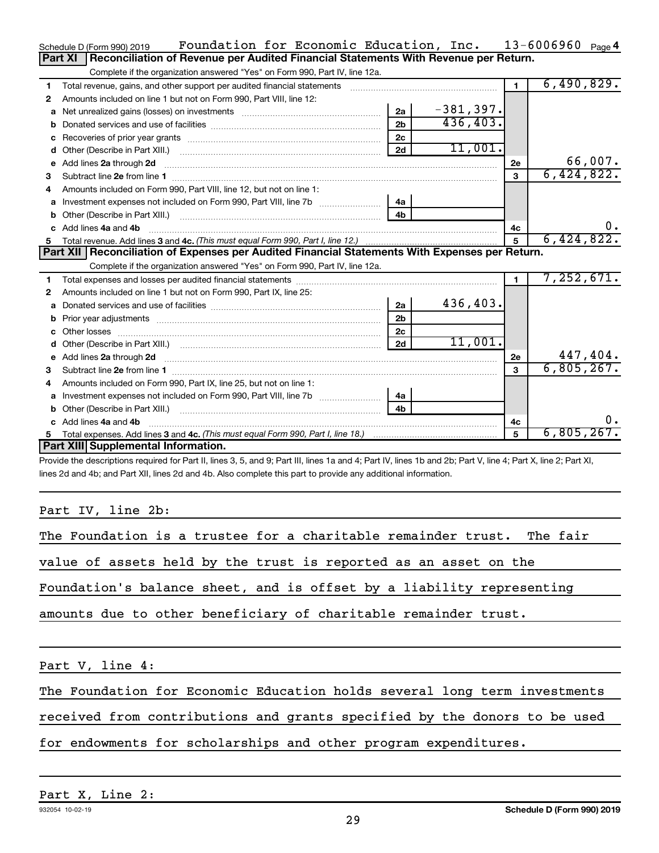|              | Foundation for Economic Education, Inc.<br>Schedule D (Form 990) 2019                                           |                |              |                | $13 - 6006960$ Page 4 |
|--------------|-----------------------------------------------------------------------------------------------------------------|----------------|--------------|----------------|-----------------------|
|              | Reconciliation of Revenue per Audited Financial Statements With Revenue per Return.<br>Part XI                  |                |              |                |                       |
|              | Complete if the organization answered "Yes" on Form 990, Part IV, line 12a.                                     |                |              |                |                       |
| 1            | Total revenue, gains, and other support per audited financial statements                                        |                |              | $\blacksquare$ | 6,490,829.            |
| 2            | Amounts included on line 1 but not on Form 990, Part VIII, line 12:                                             |                |              |                |                       |
| a            |                                                                                                                 | 2a             | $-381, 397.$ |                |                       |
|              |                                                                                                                 | 2 <sub>h</sub> | 436, 403.    |                |                       |
|              |                                                                                                                 | 2c             |              |                |                       |
| d            | Other (Describe in Part XIII.) (2000) (2000) (2000) (2010) (2010) (2010) (2010) (2010) (2010) (2010) (2010) (20 | 2d             | 11,001.      |                |                       |
| $\mathbf{e}$ | Add lines 2a through 2d                                                                                         |                |              | 2е             | 66,007.               |
| з            |                                                                                                                 |                |              | 3              | 6,424,822.            |
| 4            | Amounts included on Form 990. Part VIII. line 12, but not on line 1:                                            |                |              |                |                       |
| a            | Investment expenses not included on Form 990, Part VIII, line 7b [11, 111, 111, 111]                            | 4a             |              |                |                       |
|              |                                                                                                                 | 4 <sub>h</sub> |              |                |                       |
|              | c Add lines 4a and 4b                                                                                           | 4с             | 0.           |                |                       |
|              |                                                                                                                 |                | $5^{\circ}$  | 6,424,822.     |                       |
|              | Part XII   Reconciliation of Expenses per Audited Financial Statements With Expenses per Return.                |                |              |                |                       |
|              | Complete if the organization answered "Yes" on Form 990, Part IV, line 12a.                                     |                |              |                |                       |
| 1.           |                                                                                                                 |                |              | $\blacksquare$ | 7,252,671.            |
| 2            | Amounts included on line 1 but not on Form 990, Part IX, line 25:                                               |                |              |                |                       |
| a            |                                                                                                                 | 2a             | 436,403.     |                |                       |
| b            |                                                                                                                 | 2 <sub>b</sub> |              |                |                       |
|              |                                                                                                                 | 2c             |              |                |                       |
|              | d Other (Describe in Part XIII.) (2000) (2000) (2000) (2000) (2000) (2000) (2000) (2000) (2000) (2000) (2000) ( | 2d             | 11,001.      |                |                       |
|              |                                                                                                                 |                |              | 2e             | 447,404.              |
| 3            |                                                                                                                 |                |              | 3              |                       |
|              |                                                                                                                 |                |              |                | 6,805,267.            |
|              | Amounts included on Form 990, Part IX, line 25, but not on line 1:                                              |                |              |                |                       |
| a            |                                                                                                                 | 4a             |              |                |                       |
|              |                                                                                                                 | 4 <sub>b</sub> |              |                |                       |
|              | Add lines 4a and 4b                                                                                             |                |              | 4c             | ο.                    |
| 5            |                                                                                                                 |                |              | 5              | 6,805,267.            |
|              | Part XIII Supplemental Information.                                                                             |                |              |                |                       |

Provide the descriptions required for Part II, lines 3, 5, and 9; Part III, lines 1a and 4; Part IV, lines 1b and 2b; Part V, line 4; Part X, line 2; Part XI, lines 2d and 4b; and Part XII, lines 2d and 4b. Also complete this part to provide any additional information.

# Part IV, line 2b:

| The Foundation is a trustee for a charitable remainder trust. The fair    |  |  |  |  |  |  |  |
|---------------------------------------------------------------------------|--|--|--|--|--|--|--|
| value of assets held by the trust is reported as an asset on the          |  |  |  |  |  |  |  |
| Foundation's balance sheet, and is offset by a liability representing     |  |  |  |  |  |  |  |
| amounts due to other beneficiary of charitable remainder trust.           |  |  |  |  |  |  |  |
| Part V, line 4:                                                           |  |  |  |  |  |  |  |
| The Foundation for Economic Education holds several long term investments |  |  |  |  |  |  |  |

received from contributions and grants specified by the donors to be used

for endowments for scholarships and other program expenditures.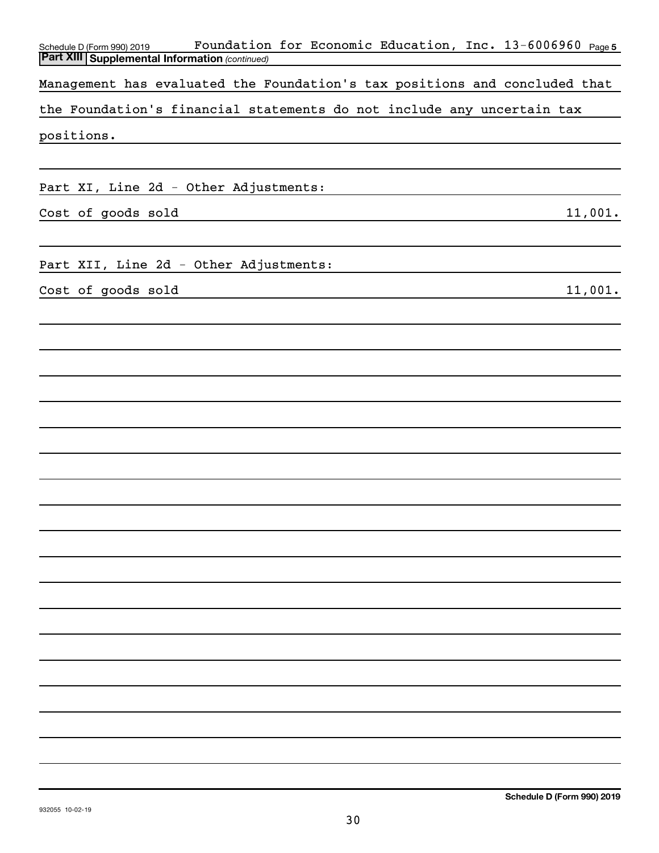| Foundation for Economic Education, Inc. 13-6006960 Page5<br>Schedule D (Form 990) 2019 |
|----------------------------------------------------------------------------------------|
| <b>Part XIII Supplemental Information (continued)</b>                                  |
| Management has evaluated the Foundation's tax positions and concluded that             |
| the Foundation's financial statements do not include any uncertain tax                 |
| positions.                                                                             |
|                                                                                        |
| Part XI, Line 2d - Other Adjustments:                                                  |
| 11,001.<br>Cost of goods sold                                                          |
|                                                                                        |
| Part XII, Line 2d - Other Adjustments:                                                 |
|                                                                                        |
| Cost of goods sold<br>11,001.                                                          |
|                                                                                        |
|                                                                                        |
|                                                                                        |
|                                                                                        |
|                                                                                        |
|                                                                                        |
|                                                                                        |
|                                                                                        |
|                                                                                        |
|                                                                                        |
|                                                                                        |
|                                                                                        |
|                                                                                        |
|                                                                                        |
|                                                                                        |
|                                                                                        |
|                                                                                        |
|                                                                                        |
|                                                                                        |
|                                                                                        |
|                                                                                        |
|                                                                                        |
|                                                                                        |
|                                                                                        |
|                                                                                        |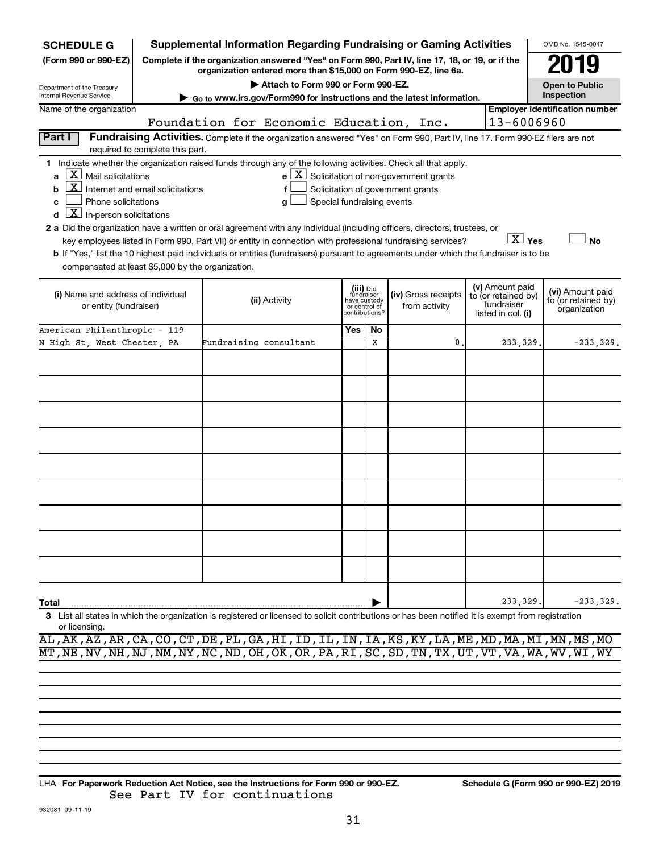| <b>SCHEDULE G</b>                                                                                                                                                                                                                                                                                                                                                                                                                                                                                                                                                                                                                                                                                                                                                                                                                                                                              |                                 |                        | <b>Supplemental Information Regarding Fundraising or Gaming Activities</b>                                                                                          |     |                                                                            |  |                                      |  |                                                                            | OMB No. 1545-0047                                       |             |
|------------------------------------------------------------------------------------------------------------------------------------------------------------------------------------------------------------------------------------------------------------------------------------------------------------------------------------------------------------------------------------------------------------------------------------------------------------------------------------------------------------------------------------------------------------------------------------------------------------------------------------------------------------------------------------------------------------------------------------------------------------------------------------------------------------------------------------------------------------------------------------------------|---------------------------------|------------------------|---------------------------------------------------------------------------------------------------------------------------------------------------------------------|-----|----------------------------------------------------------------------------|--|--------------------------------------|--|----------------------------------------------------------------------------|---------------------------------------------------------|-------------|
| (Form 990 or 990-EZ)                                                                                                                                                                                                                                                                                                                                                                                                                                                                                                                                                                                                                                                                                                                                                                                                                                                                           |                                 |                        | Complete if the organization answered "Yes" on Form 990, Part IV, line 17, 18, or 19, or if the<br>organization entered more than \$15,000 on Form 990-EZ, line 6a. |     |                                                                            |  |                                      |  |                                                                            |                                                         |             |
| Department of the Treasury<br>Internal Revenue Service                                                                                                                                                                                                                                                                                                                                                                                                                                                                                                                                                                                                                                                                                                                                                                                                                                         |                                 |                        | Attach to Form 990 or Form 990-EZ.                                                                                                                                  |     |                                                                            |  |                                      |  |                                                                            | <b>Open to Public</b><br>Inspection                     |             |
| Name of the organization                                                                                                                                                                                                                                                                                                                                                                                                                                                                                                                                                                                                                                                                                                                                                                                                                                                                       |                                 |                        | Go to www.irs.gov/Form990 for instructions and the latest information.                                                                                              |     |                                                                            |  |                                      |  |                                                                            | <b>Employer identification number</b>                   |             |
|                                                                                                                                                                                                                                                                                                                                                                                                                                                                                                                                                                                                                                                                                                                                                                                                                                                                                                |                                 |                        | Foundation for Economic Education, Inc.                                                                                                                             |     |                                                                            |  |                                      |  | 13-6006960                                                                 |                                                         |             |
| Part I                                                                                                                                                                                                                                                                                                                                                                                                                                                                                                                                                                                                                                                                                                                                                                                                                                                                                         | required to complete this part. |                        | Fundraising Activities. Complete if the organization answered "Yes" on Form 990, Part IV, line 17. Form 990-EZ filers are not                                       |     |                                                                            |  |                                      |  |                                                                            |                                                         |             |
| 1 Indicate whether the organization raised funds through any of the following activities. Check all that apply.<br>$X$ Mail solicitations<br>$e$ $\boxed{\text{X}}$ Solicitation of non-government grants<br>$\mathbf{X}$ Internet and email solicitations<br>Solicitation of government grants<br>f<br>b<br>Phone solicitations<br>Special fundraising events<br>c<br>g<br>$ \mathbf{X} $ In-person solicitations<br>d<br>2 a Did the organization have a written or oral agreement with any individual (including officers, directors, trustees, or<br>$\overline{X}$ Yes<br>key employees listed in Form 990, Part VII) or entity in connection with professional fundraising services?<br>No<br>b If "Yes," list the 10 highest paid individuals or entities (fundraisers) pursuant to agreements under which the fundraiser is to be<br>compensated at least \$5,000 by the organization. |                                 |                        |                                                                                                                                                                     |     |                                                                            |  |                                      |  |                                                                            |                                                         |             |
|                                                                                                                                                                                                                                                                                                                                                                                                                                                                                                                                                                                                                                                                                                                                                                                                                                                                                                |                                 |                        |                                                                                                                                                                     |     |                                                                            |  |                                      |  |                                                                            |                                                         |             |
| (i) Name and address of individual<br>or entity (fundraiser)                                                                                                                                                                                                                                                                                                                                                                                                                                                                                                                                                                                                                                                                                                                                                                                                                                   |                                 |                        | (ii) Activity                                                                                                                                                       |     | (iii) Did<br>fundraiser<br>have custody<br>or control of<br>contributions? |  | (iv) Gross receipts<br>from activity |  | (v) Amount paid<br>to (or retained by)<br>fundraiser<br>listed in col. (i) | (vi) Amount paid<br>to (or retained by)<br>organization |             |
| American Philanthropic - 119                                                                                                                                                                                                                                                                                                                                                                                                                                                                                                                                                                                                                                                                                                                                                                                                                                                                   |                                 |                        |                                                                                                                                                                     | Yes | No                                                                         |  |                                      |  |                                                                            |                                                         |             |
| N High St. West Chester. PA                                                                                                                                                                                                                                                                                                                                                                                                                                                                                                                                                                                                                                                                                                                                                                                                                                                                    |                                 | Fundraising consultant |                                                                                                                                                                     |     | X                                                                          |  | 0.                                   |  | 233,329                                                                    |                                                         | $-233,329.$ |
|                                                                                                                                                                                                                                                                                                                                                                                                                                                                                                                                                                                                                                                                                                                                                                                                                                                                                                |                                 |                        |                                                                                                                                                                     |     |                                                                            |  |                                      |  |                                                                            |                                                         |             |
|                                                                                                                                                                                                                                                                                                                                                                                                                                                                                                                                                                                                                                                                                                                                                                                                                                                                                                |                                 |                        |                                                                                                                                                                     |     |                                                                            |  |                                      |  |                                                                            |                                                         |             |
|                                                                                                                                                                                                                                                                                                                                                                                                                                                                                                                                                                                                                                                                                                                                                                                                                                                                                                |                                 |                        |                                                                                                                                                                     |     |                                                                            |  |                                      |  |                                                                            |                                                         |             |
|                                                                                                                                                                                                                                                                                                                                                                                                                                                                                                                                                                                                                                                                                                                                                                                                                                                                                                |                                 |                        |                                                                                                                                                                     |     |                                                                            |  |                                      |  |                                                                            |                                                         |             |
|                                                                                                                                                                                                                                                                                                                                                                                                                                                                                                                                                                                                                                                                                                                                                                                                                                                                                                |                                 |                        |                                                                                                                                                                     |     |                                                                            |  |                                      |  |                                                                            |                                                         |             |
|                                                                                                                                                                                                                                                                                                                                                                                                                                                                                                                                                                                                                                                                                                                                                                                                                                                                                                |                                 |                        |                                                                                                                                                                     |     |                                                                            |  |                                      |  |                                                                            |                                                         |             |
|                                                                                                                                                                                                                                                                                                                                                                                                                                                                                                                                                                                                                                                                                                                                                                                                                                                                                                |                                 |                        |                                                                                                                                                                     |     |                                                                            |  |                                      |  |                                                                            |                                                         |             |
|                                                                                                                                                                                                                                                                                                                                                                                                                                                                                                                                                                                                                                                                                                                                                                                                                                                                                                |                                 |                        |                                                                                                                                                                     |     |                                                                            |  |                                      |  |                                                                            |                                                         |             |
|                                                                                                                                                                                                                                                                                                                                                                                                                                                                                                                                                                                                                                                                                                                                                                                                                                                                                                |                                 |                        |                                                                                                                                                                     |     |                                                                            |  |                                      |  |                                                                            |                                                         |             |
| Total                                                                                                                                                                                                                                                                                                                                                                                                                                                                                                                                                                                                                                                                                                                                                                                                                                                                                          |                                 |                        |                                                                                                                                                                     |     |                                                                            |  |                                      |  | 233,329                                                                    |                                                         | $-233,329.$ |
| 3 List all states in which the organization is registered or licensed to solicit contributions or has been notified it is exempt from registration<br>or licensing.                                                                                                                                                                                                                                                                                                                                                                                                                                                                                                                                                                                                                                                                                                                            |                                 |                        |                                                                                                                                                                     |     |                                                                            |  |                                      |  |                                                                            |                                                         |             |

AL,AK,AZ,AR,CA,CO,CT,DE,FL,GA,HI,ID,IL,IN,IA,KS,KY,LA,ME,MD,MA,MI,MN,MS,MO MT,NE,NV,NH,NJ,NM,NY,NC,ND,OH,OK,OR,PA,RI,SC,SD,TN,TX,UT,VT,VA,WA,WV,WI,WY

**For Paperwork Reduction Act Notice, see the Instructions for Form 990 or 990-EZ. Schedule G (Form 990 or 990-EZ) 2019** LHA See Part IV for continuations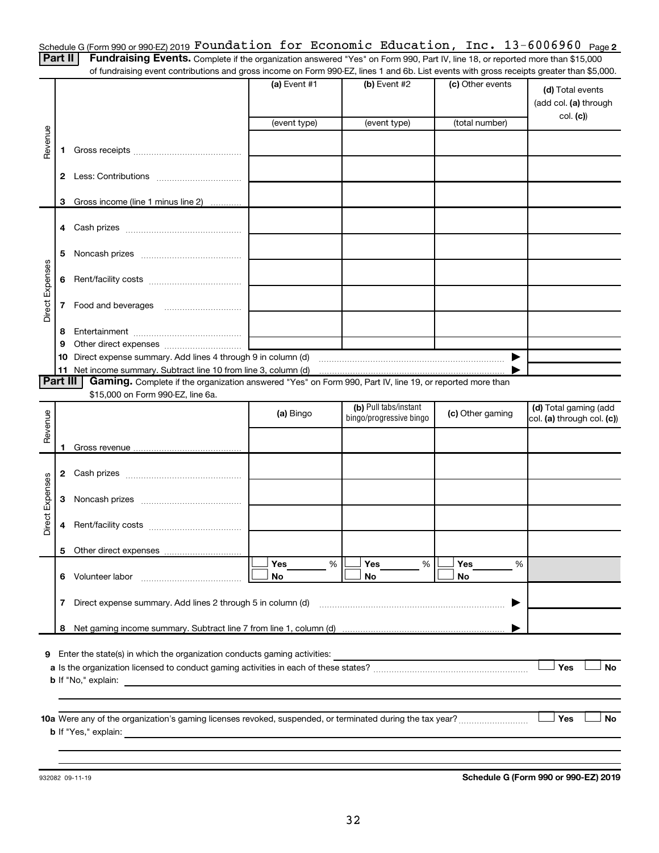Schedule G (Form 990 or 990-EZ) 2019  ${\tt Foundation~for~Economic~Education,~Inc.~13-6006960~Page}$ 

Part II | Fundraising Events. Complete if the organization answered "Yes" on Form 990, Part IV, line 18, or reported more than \$15,000 of fundraising event contributions and gross income on Form 990-EZ, lines 1 and 6b. List events with gross receipts greater than \$5,000.

|                 |                |                                                                                                                             | (a) Event #1 | (b) Event #2            | (c) Other events | (d) Total events<br>(add col. (a) through<br>col. (c) |
|-----------------|----------------|-----------------------------------------------------------------------------------------------------------------------------|--------------|-------------------------|------------------|-------------------------------------------------------|
|                 |                |                                                                                                                             | (event type) | (event type)            | (total number)   |                                                       |
| Revenue         | 1.             |                                                                                                                             |              |                         |                  |                                                       |
|                 | 2              |                                                                                                                             |              |                         |                  |                                                       |
|                 | 3              | Gross income (line 1 minus line 2)                                                                                          |              |                         |                  |                                                       |
|                 |                |                                                                                                                             |              |                         |                  |                                                       |
|                 | 5              |                                                                                                                             |              |                         |                  |                                                       |
| Direct Expenses | 6              |                                                                                                                             |              |                         |                  |                                                       |
|                 | 7 <sup>7</sup> |                                                                                                                             |              |                         |                  |                                                       |
|                 | 8              |                                                                                                                             |              |                         |                  |                                                       |
|                 | 9              |                                                                                                                             |              |                         |                  |                                                       |
|                 | 10<br>11       | Direct expense summary. Add lines 4 through 9 in column (d)<br>Net income summary. Subtract line 10 from line 3, column (d) |              |                         |                  |                                                       |
| <b>Part III</b> |                | Gaming. Complete if the organization answered "Yes" on Form 990, Part IV, line 19, or reported more than                    |              |                         |                  |                                                       |
|                 |                | \$15,000 on Form 990-EZ, line 6a.                                                                                           |              |                         |                  |                                                       |
|                 |                |                                                                                                                             | (a) Bingo    | (b) Pull tabs/instant   | (c) Other gaming | (d) Total gaming (add                                 |
| Revenue         |                |                                                                                                                             |              | bingo/progressive bingo |                  | col. (a) through col. (c))                            |
|                 | 1.             |                                                                                                                             |              |                         |                  |                                                       |
|                 |                |                                                                                                                             |              |                         |                  |                                                       |
|                 |                |                                                                                                                             |              |                         |                  |                                                       |
| Direct Expenses | 3              |                                                                                                                             |              |                         |                  |                                                       |
|                 | 4              |                                                                                                                             |              |                         |                  |                                                       |
|                 |                |                                                                                                                             |              |                         |                  |                                                       |
|                 |                |                                                                                                                             | Yes<br>%     | Yes<br>%                | Yes<br>%         |                                                       |
|                 |                | 6 Volunteer labor                                                                                                           | No           | No                      | No               |                                                       |
|                 | $\mathbf{7}$   | Direct expense summary. Add lines 2 through 5 in column (d)                                                                 |              |                         |                  |                                                       |
|                 | 8              |                                                                                                                             |              |                         |                  |                                                       |
| 9               |                | Enter the state(s) in which the organization conducts gaming activities:                                                    |              |                         |                  |                                                       |
|                 |                |                                                                                                                             |              |                         |                  | Yes<br><b>No</b>                                      |
|                 |                | <b>b</b> If "No," explain:<br>the control of the control of the control of the control of the control of                    |              |                         |                  |                                                       |
|                 |                |                                                                                                                             |              |                         |                  |                                                       |
|                 |                |                                                                                                                             |              |                         |                  |                                                       |
|                 |                |                                                                                                                             |              |                         |                  | Yes<br><b>No</b>                                      |
|                 |                | <b>b</b> If "Yes," explain:                                                                                                 |              |                         |                  |                                                       |
|                 |                |                                                                                                                             |              |                         |                  |                                                       |

932082 09-11-19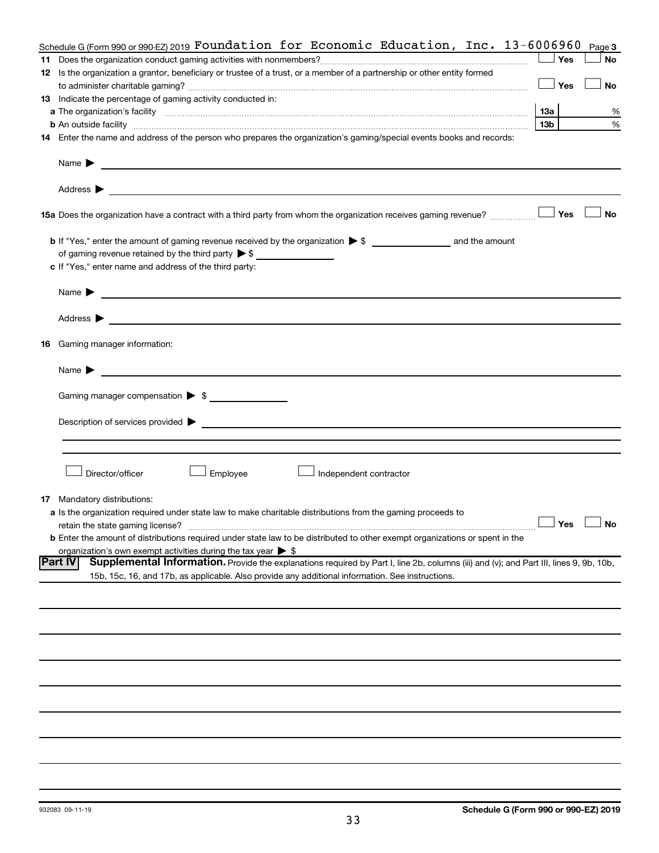|    | Schedule G (Form 990 or 990-EZ) 2019 Foundation for Economic Education, Inc. $13-6006960$                                                                |                      | Page 3    |
|----|----------------------------------------------------------------------------------------------------------------------------------------------------------|----------------------|-----------|
|    |                                                                                                                                                          | Yes                  | No        |
|    | 12 Is the organization a grantor, beneficiary or trustee of a trust, or a member of a partnership or other entity formed                                 |                      |           |
|    |                                                                                                                                                          | Yes                  | No        |
|    | 13 Indicate the percentage of gaming activity conducted in:                                                                                              |                      |           |
|    |                                                                                                                                                          | <b>13a</b>           | %         |
|    | <b>b</b> An outside facility <i>www.communicality.communicality.communicality www.communicality.communicality.communicality</i>                          | 13 <sub>b</sub>      | %         |
|    | 14 Enter the name and address of the person who prepares the organization's gaming/special events books and records:                                     |                      |           |
|    |                                                                                                                                                          |                      |           |
|    |                                                                                                                                                          |                      |           |
|    |                                                                                                                                                          |                      |           |
|    |                                                                                                                                                          |                      |           |
|    | 15a Does the organization have a contract with a third party from whom the organization receives gaming revenue?                                         | Yes                  | <b>No</b> |
|    |                                                                                                                                                          |                      |           |
|    |                                                                                                                                                          |                      |           |
|    | c If "Yes," enter name and address of the third party:                                                                                                   |                      |           |
|    |                                                                                                                                                          |                      |           |
|    |                                                                                                                                                          |                      |           |
|    |                                                                                                                                                          |                      |           |
|    | 16 Gaming manager information:                                                                                                                           |                      |           |
|    |                                                                                                                                                          |                      |           |
|    | Gaming manager compensation > \$                                                                                                                         |                      |           |
|    |                                                                                                                                                          |                      |           |
|    |                                                                                                                                                          |                      |           |
|    |                                                                                                                                                          |                      |           |
|    | Director/officer<br>Employee<br>Independent contractor                                                                                                   |                      |           |
|    |                                                                                                                                                          |                      |           |
| 17 | Mandatory distributions:                                                                                                                                 |                      |           |
|    | a Is the organization required under state law to make charitable distributions from the gaming proceeds to                                              | $\Box$ Yes $\Box$ No |           |
|    | <b>b</b> Enter the amount of distributions required under state law to be distributed to other exempt organizations or spent in the                      |                      |           |
|    | organization's own exempt activities during the tax year $\triangleright$ \$                                                                             |                      |           |
|    | Supplemental Information. Provide the explanations required by Part I, line 2b, columns (iii) and (v); and Part III, lines 9, 9b, 10b,<br><b>Part IV</b> |                      |           |
|    | 15b, 15c, 16, and 17b, as applicable. Also provide any additional information. See instructions.                                                         |                      |           |
|    |                                                                                                                                                          |                      |           |
|    |                                                                                                                                                          |                      |           |
|    |                                                                                                                                                          |                      |           |
|    |                                                                                                                                                          |                      |           |
|    |                                                                                                                                                          |                      |           |
|    |                                                                                                                                                          |                      |           |
|    |                                                                                                                                                          |                      |           |
|    |                                                                                                                                                          |                      |           |
|    |                                                                                                                                                          |                      |           |
|    |                                                                                                                                                          |                      |           |
|    |                                                                                                                                                          |                      |           |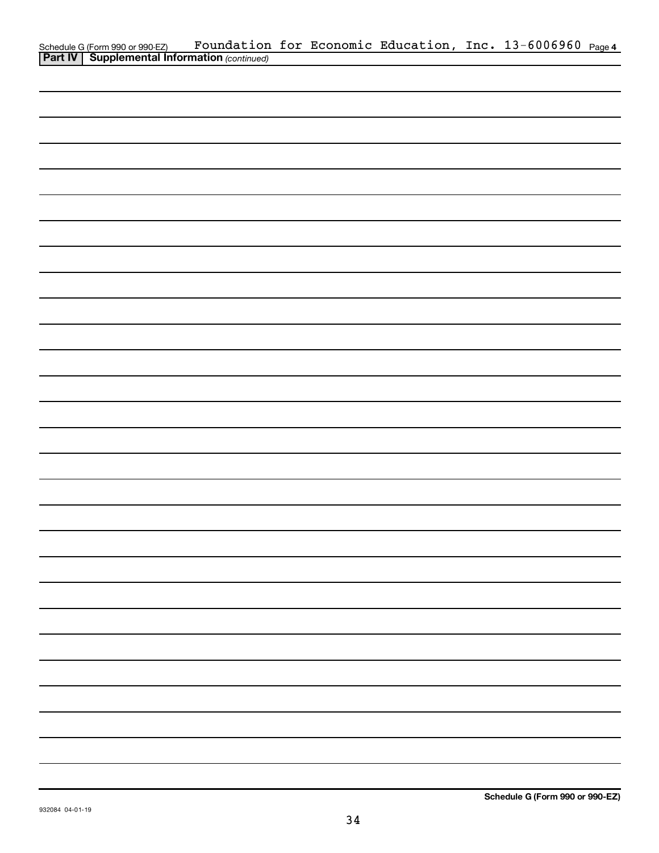|                                                                                                     |  |  | Foundation for Economic Education, Inc. 13-6006960 Page 4 |  |
|-----------------------------------------------------------------------------------------------------|--|--|-----------------------------------------------------------|--|
| Schedule G (Form 990 or 990-EZ) Foundation<br><b>Part IV   Supplemental Information</b> (continued) |  |  |                                                           |  |
|                                                                                                     |  |  |                                                           |  |
|                                                                                                     |  |  |                                                           |  |
|                                                                                                     |  |  |                                                           |  |
|                                                                                                     |  |  |                                                           |  |
|                                                                                                     |  |  |                                                           |  |
|                                                                                                     |  |  |                                                           |  |
|                                                                                                     |  |  |                                                           |  |
|                                                                                                     |  |  |                                                           |  |
|                                                                                                     |  |  |                                                           |  |
|                                                                                                     |  |  |                                                           |  |
|                                                                                                     |  |  |                                                           |  |
|                                                                                                     |  |  |                                                           |  |
|                                                                                                     |  |  |                                                           |  |
|                                                                                                     |  |  |                                                           |  |
|                                                                                                     |  |  |                                                           |  |
|                                                                                                     |  |  |                                                           |  |
|                                                                                                     |  |  |                                                           |  |
|                                                                                                     |  |  |                                                           |  |
|                                                                                                     |  |  |                                                           |  |
|                                                                                                     |  |  |                                                           |  |
|                                                                                                     |  |  |                                                           |  |
|                                                                                                     |  |  |                                                           |  |
|                                                                                                     |  |  |                                                           |  |
|                                                                                                     |  |  |                                                           |  |
|                                                                                                     |  |  |                                                           |  |
|                                                                                                     |  |  |                                                           |  |
|                                                                                                     |  |  |                                                           |  |
|                                                                                                     |  |  |                                                           |  |
|                                                                                                     |  |  |                                                           |  |
|                                                                                                     |  |  |                                                           |  |
|                                                                                                     |  |  |                                                           |  |
|                                                                                                     |  |  |                                                           |  |
|                                                                                                     |  |  |                                                           |  |
|                                                                                                     |  |  |                                                           |  |
|                                                                                                     |  |  |                                                           |  |
|                                                                                                     |  |  |                                                           |  |
|                                                                                                     |  |  |                                                           |  |
|                                                                                                     |  |  |                                                           |  |
|                                                                                                     |  |  |                                                           |  |
|                                                                                                     |  |  |                                                           |  |
|                                                                                                     |  |  |                                                           |  |
|                                                                                                     |  |  |                                                           |  |
|                                                                                                     |  |  |                                                           |  |
|                                                                                                     |  |  |                                                           |  |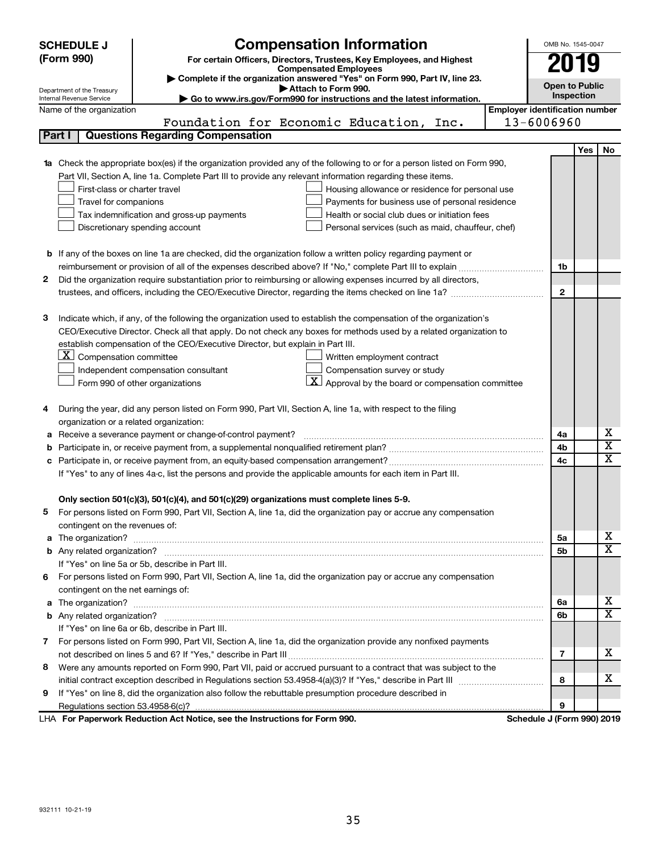|    | <b>SCHEDULE J</b>                                                                          | <b>Compensation Information</b>                                                                                        |                                                     | OMB No. 1545-0047     |     |                         |  |  |
|----|--------------------------------------------------------------------------------------------|------------------------------------------------------------------------------------------------------------------------|-----------------------------------------------------|-----------------------|-----|-------------------------|--|--|
|    | (Form 990)                                                                                 | For certain Officers, Directors, Trustees, Key Employees, and Highest                                                  |                                                     | 2019                  |     |                         |  |  |
|    |                                                                                            | <b>Compensated Employees</b><br>Complete if the organization answered "Yes" on Form 990, Part IV, line 23.             |                                                     |                       |     |                         |  |  |
|    | Department of the Treasury                                                                 | Attach to Form 990.                                                                                                    |                                                     | <b>Open to Public</b> |     |                         |  |  |
|    | Internal Revenue Service                                                                   | Go to www.irs.gov/Form990 for instructions and the latest information.                                                 |                                                     | Inspection            |     |                         |  |  |
|    | Name of the organization                                                                   | Foundation for Economic Education, Inc.                                                                                | <b>Employer identification number</b><br>13-6006960 |                       |     |                         |  |  |
|    | Part I                                                                                     | <b>Questions Regarding Compensation</b>                                                                                |                                                     |                       |     |                         |  |  |
|    |                                                                                            |                                                                                                                        |                                                     |                       |     |                         |  |  |
|    |                                                                                            | Check the appropriate box(es) if the organization provided any of the following to or for a person listed on Form 990, |                                                     |                       | Yes | No                      |  |  |
| 1a |                                                                                            | Part VII, Section A, line 1a. Complete Part III to provide any relevant information regarding these items.             |                                                     |                       |     |                         |  |  |
|    | First-class or charter travel                                                              | Housing allowance or residence for personal use                                                                        |                                                     |                       |     |                         |  |  |
|    | Travel for companions<br>Payments for business use of personal residence                   |                                                                                                                        |                                                     |                       |     |                         |  |  |
|    | Health or social club dues or initiation fees<br>Tax indemnification and gross-up payments |                                                                                                                        |                                                     |                       |     |                         |  |  |
|    |                                                                                            | Discretionary spending account<br>Personal services (such as maid, chauffeur, chef)                                    |                                                     |                       |     |                         |  |  |
|    |                                                                                            |                                                                                                                        |                                                     |                       |     |                         |  |  |
|    |                                                                                            | <b>b</b> If any of the boxes on line 1a are checked, did the organization follow a written policy regarding payment or |                                                     |                       |     |                         |  |  |
|    |                                                                                            |                                                                                                                        |                                                     | 1b                    |     |                         |  |  |
| 2  |                                                                                            | Did the organization require substantiation prior to reimbursing or allowing expenses incurred by all directors,       |                                                     |                       |     |                         |  |  |
|    |                                                                                            |                                                                                                                        |                                                     | $\mathbf{2}$          |     |                         |  |  |
|    |                                                                                            |                                                                                                                        |                                                     |                       |     |                         |  |  |
| з  |                                                                                            | Indicate which, if any, of the following the organization used to establish the compensation of the organization's     |                                                     |                       |     |                         |  |  |
|    |                                                                                            | CEO/Executive Director. Check all that apply. Do not check any boxes for methods used by a related organization to     |                                                     |                       |     |                         |  |  |
|    |                                                                                            | establish compensation of the CEO/Executive Director, but explain in Part III.                                         |                                                     |                       |     |                         |  |  |
|    | $ \mathbf{X} $ Compensation committee                                                      | Written employment contract                                                                                            |                                                     |                       |     |                         |  |  |
|    |                                                                                            | Compensation survey or study<br>Independent compensation consultant                                                    |                                                     |                       |     |                         |  |  |
|    |                                                                                            | $\vert X \vert$ Approval by the board or compensation committee<br>Form 990 of other organizations                     |                                                     |                       |     |                         |  |  |
|    |                                                                                            |                                                                                                                        |                                                     |                       |     |                         |  |  |
| 4  |                                                                                            | During the year, did any person listed on Form 990, Part VII, Section A, line 1a, with respect to the filing           |                                                     |                       |     |                         |  |  |
|    | organization or a related organization:                                                    |                                                                                                                        |                                                     |                       |     |                         |  |  |
| а  |                                                                                            | Receive a severance payment or change-of-control payment?                                                              |                                                     | 4a                    |     | х                       |  |  |
| b  |                                                                                            |                                                                                                                        |                                                     | 4b                    |     | $\overline{\textbf{x}}$ |  |  |
| c  |                                                                                            |                                                                                                                        |                                                     | 4c                    |     | $\overline{\textbf{X}}$ |  |  |
|    |                                                                                            | If "Yes" to any of lines 4a-c, list the persons and provide the applicable amounts for each item in Part III.          |                                                     |                       |     |                         |  |  |
|    |                                                                                            |                                                                                                                        |                                                     |                       |     |                         |  |  |
|    |                                                                                            | Only section 501(c)(3), 501(c)(4), and 501(c)(29) organizations must complete lines 5-9.                               |                                                     |                       |     |                         |  |  |
|    |                                                                                            | For persons listed on Form 990, Part VII, Section A, line 1a, did the organization pay or accrue any compensation      |                                                     |                       |     |                         |  |  |
|    | contingent on the revenues of:                                                             |                                                                                                                        |                                                     |                       |     |                         |  |  |
|    |                                                                                            |                                                                                                                        |                                                     | 5а                    |     | x                       |  |  |
|    |                                                                                            |                                                                                                                        |                                                     | 5b                    |     | $\overline{\mathbf{x}}$ |  |  |
|    |                                                                                            | If "Yes" on line 5a or 5b, describe in Part III.                                                                       |                                                     |                       |     |                         |  |  |
| 6. |                                                                                            | For persons listed on Form 990, Part VII, Section A, line 1a, did the organization pay or accrue any compensation      |                                                     |                       |     |                         |  |  |
|    | contingent on the net earnings of:                                                         |                                                                                                                        |                                                     |                       |     |                         |  |  |
|    |                                                                                            |                                                                                                                        |                                                     | 6a                    |     | x                       |  |  |
|    |                                                                                            |                                                                                                                        |                                                     | 6b                    |     | $\overline{\mathbf{X}}$ |  |  |
|    |                                                                                            | If "Yes" on line 6a or 6b, describe in Part III.                                                                       |                                                     |                       |     |                         |  |  |
|    |                                                                                            | 7 For persons listed on Form 990, Part VII, Section A, line 1a, did the organization provide any nonfixed payments     |                                                     |                       |     |                         |  |  |
|    |                                                                                            |                                                                                                                        |                                                     | 7                     |     | x                       |  |  |
| 8  |                                                                                            | Were any amounts reported on Form 990, Part VII, paid or accrued pursuant to a contract that was subject to the        |                                                     |                       |     |                         |  |  |
|    |                                                                                            |                                                                                                                        |                                                     | 8                     |     | x                       |  |  |
| 9  |                                                                                            | If "Yes" on line 8, did the organization also follow the rebuttable presumption procedure described in                 |                                                     |                       |     |                         |  |  |
|    |                                                                                            |                                                                                                                        |                                                     | 9                     |     |                         |  |  |
|    |                                                                                            | LHA For Paperwork Reduction Act Notice, see the Instructions for Form 990.                                             | Schedule J (Form 990) 2019                          |                       |     |                         |  |  |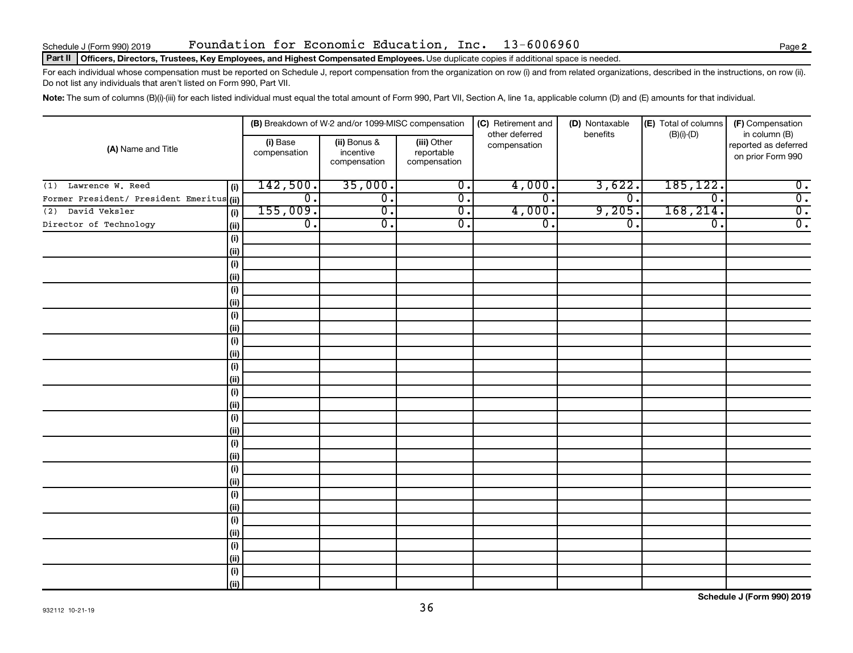### Part II | Officers, Directors, Trustees, Key Employees, and Highest Compensated Employees. Use duplicate copies if additional space is needed.

For each individual whose compensation must be reported on Schedule J, report compensation from the organization on row (i) and from related organizations, described in the instructions, on row (ii). Do not list any individuals that aren't listed on Form 990, Part VII.

Note: The sum of columns (B)(i)-(iii) for each listed individual must equal the total amount of Form 990, Part VII, Section A, line 1a, applicable column (D) and (E) amounts for that individual.

|                                           |                              |                          | (B) Breakdown of W-2 and/or 1099-MISC compensation |                                           | (C) Retirement and             | (D) Nontaxable   | (E) Total of columns | (F) Compensation                                           |  |
|-------------------------------------------|------------------------------|--------------------------|----------------------------------------------------|-------------------------------------------|--------------------------------|------------------|----------------------|------------------------------------------------------------|--|
| (A) Name and Title                        |                              | (i) Base<br>compensation | (ii) Bonus &<br>incentive<br>compensation          | (iii) Other<br>reportable<br>compensation | other deferred<br>compensation | benefits         | $(B)(i)-(D)$         | in column (B)<br>reported as deferred<br>on prior Form 990 |  |
| $(1)$ Lawrence W. Reed                    | (i)                          | 142,500.                 | 35,000.                                            | $\overline{0}$ .                          | 4,000.                         | 3,622.           | 185, 122.            | $\overline{0}$ .                                           |  |
| Former President/ President Emeritus (ii) |                              | $\overline{0}$ .         | $\overline{0}$ .                                   | $\overline{0}$ .                          | $\overline{0}$ .               | $\overline{0}$ . | 0.                   | $\overline{0}$ .                                           |  |
| David Veksler<br>(2)                      | (i)                          | 155,009.                 | $\overline{0}$ .                                   | $\overline{\mathfrak{o}}$ .               | 4,000.                         | 9,205.           | 168, 214.            | $\overline{\mathfrak{o}}$ .                                |  |
| Director of Technology                    | (ii)                         | $\overline{0}$ .         | σ.                                                 | $\overline{0}$ .                          | $\overline{0}$ .               | $\overline{0}$ . | $\overline{0}$ .     | $\overline{0}$ .                                           |  |
|                                           | (i)                          |                          |                                                    |                                           |                                |                  |                      |                                                            |  |
|                                           | (i)                          |                          |                                                    |                                           |                                |                  |                      |                                                            |  |
|                                           | (i)                          |                          |                                                    |                                           |                                |                  |                      |                                                            |  |
|                                           | (i)                          |                          |                                                    |                                           |                                |                  |                      |                                                            |  |
|                                           | $\qquad \qquad \textbf{(i)}$ |                          |                                                    |                                           |                                |                  |                      |                                                            |  |
|                                           | (i)                          |                          |                                                    |                                           |                                |                  |                      |                                                            |  |
|                                           | $\qquad \qquad \textbf{(i)}$ |                          |                                                    |                                           |                                |                  |                      |                                                            |  |
|                                           | (ii)                         |                          |                                                    |                                           |                                |                  |                      |                                                            |  |
|                                           | $\qquad \qquad \textbf{(i)}$ |                          |                                                    |                                           |                                |                  |                      |                                                            |  |
|                                           | (ii)                         |                          |                                                    |                                           |                                |                  |                      |                                                            |  |
|                                           | (i)                          |                          |                                                    |                                           |                                |                  |                      |                                                            |  |
|                                           | (ii)                         |                          |                                                    |                                           |                                |                  |                      |                                                            |  |
|                                           | $(\sf{i})$<br>(ii)           |                          |                                                    |                                           |                                |                  |                      |                                                            |  |
|                                           | $(\sf{i})$                   |                          |                                                    |                                           |                                |                  |                      |                                                            |  |
|                                           | (ii)                         |                          |                                                    |                                           |                                |                  |                      |                                                            |  |
|                                           | $(\sf{i})$                   |                          |                                                    |                                           |                                |                  |                      |                                                            |  |
|                                           | (ii)                         |                          |                                                    |                                           |                                |                  |                      |                                                            |  |
|                                           | (i)                          |                          |                                                    |                                           |                                |                  |                      |                                                            |  |
|                                           | (ii)                         |                          |                                                    |                                           |                                |                  |                      |                                                            |  |
|                                           | (i)                          |                          |                                                    |                                           |                                |                  |                      |                                                            |  |
|                                           | (ii)                         |                          |                                                    |                                           |                                |                  |                      |                                                            |  |
|                                           | $(\sf{i})$                   |                          |                                                    |                                           |                                |                  |                      |                                                            |  |
|                                           | (ii)                         |                          |                                                    |                                           |                                |                  |                      |                                                            |  |
|                                           | $(\sf{i})$                   |                          |                                                    |                                           |                                |                  |                      |                                                            |  |
|                                           | (ii)                         |                          |                                                    |                                           |                                |                  |                      |                                                            |  |
|                                           | (i)                          |                          |                                                    |                                           |                                |                  |                      |                                                            |  |
|                                           | (ii)                         |                          |                                                    |                                           |                                |                  |                      |                                                            |  |

**Schedule J (Form 990) 2019**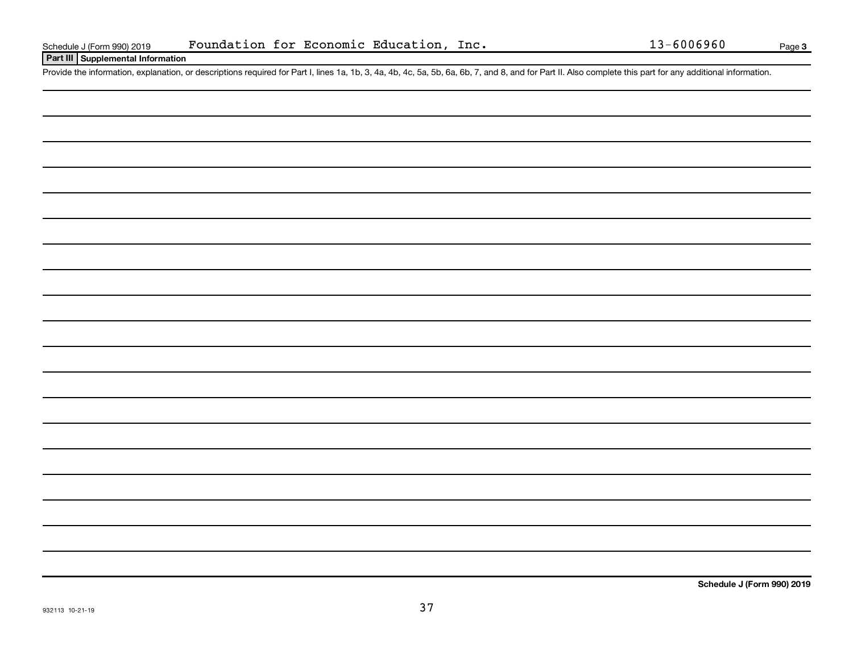### **Part III Supplemental Information**

Provide the information, explanation, or descriptions required for Part I, lines 1a, 1b, 3, 4a, 4b, 4c, 5a, 5b, 6a, 6b, 7, and 8, and for Part II. Also complete this part for any additional information.

**Schedule J (Form 990) 2019**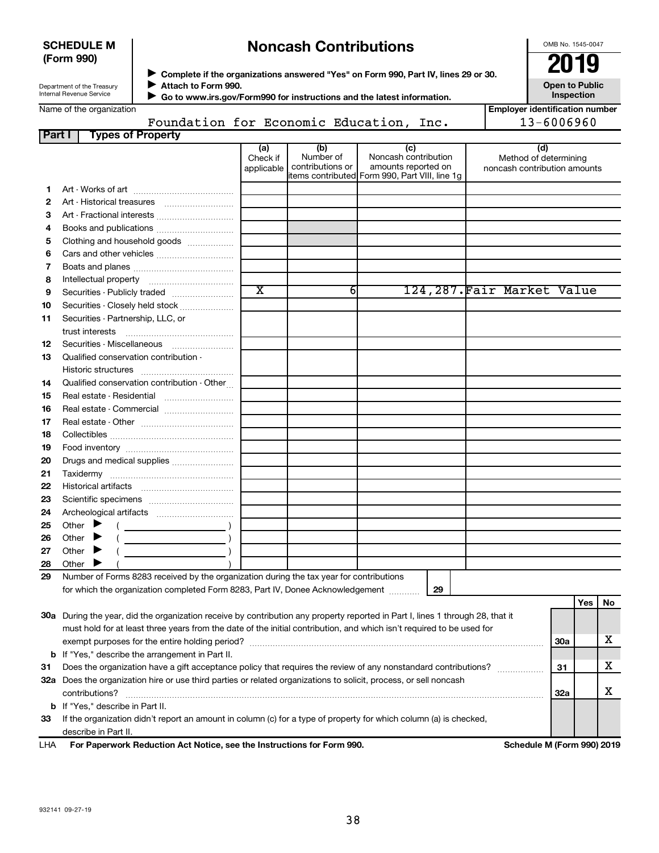| <b>SCHEDULE M</b> |  |
|-------------------|--|
| (Form 990)        |  |

# **Noncash Contributions**

OMB No. 1545-0047

| Department of the Treasury |
|----------------------------|
| Internal Revenue Service   |

◆ Complete if the organizations answered "Yes" on Form 990, Part IV, lines 29 or 30.<br>▶ Complete if the organizations answered "Yes" on Form 990, Part IV, lines 29 or 30. **Attach to Form 990.**  $\blacktriangleright$ 

**Open to Public Inspection**

 $\blacktriangleright$ 

 **Go to www.irs.gov/Form990 for instructions and the latest information.** Foundation for Economic Education, Inc.

| <b>Employer identification number</b> |
|---------------------------------------|
| 13-6006960                            |

| Part I   | <b>Types of Property</b>                                                                                                       |                               |                                      |                                                    |                                                              |     |     |    |
|----------|--------------------------------------------------------------------------------------------------------------------------------|-------------------------------|--------------------------------------|----------------------------------------------------|--------------------------------------------------------------|-----|-----|----|
|          |                                                                                                                                | (a)<br>Check if<br>applicable | (b)<br>Number of<br>contributions or | (c)<br>Noncash contribution<br>amounts reported on | (d)<br>Method of determining<br>noncash contribution amounts |     |     |    |
|          |                                                                                                                                |                               |                                      | litems contributed Form 990, Part VIII, line 1g    |                                                              |     |     |    |
| 1        |                                                                                                                                |                               |                                      |                                                    |                                                              |     |     |    |
| 2        |                                                                                                                                |                               |                                      |                                                    |                                                              |     |     |    |
| З        | Art - Fractional interests                                                                                                     |                               |                                      |                                                    |                                                              |     |     |    |
| 4        |                                                                                                                                |                               |                                      |                                                    |                                                              |     |     |    |
| 5        | Clothing and household goods                                                                                                   |                               |                                      |                                                    |                                                              |     |     |    |
| 6        | Cars and other vehicles                                                                                                        |                               |                                      |                                                    |                                                              |     |     |    |
| 7        |                                                                                                                                |                               |                                      |                                                    |                                                              |     |     |    |
| 8        |                                                                                                                                | $\overline{\textbf{x}}$       | 6                                    |                                                    |                                                              |     |     |    |
| 9        | Securities - Publicly traded                                                                                                   |                               |                                      |                                                    | 124,287.Fair Market Value                                    |     |     |    |
| 10       | Securities - Closely held stock                                                                                                |                               |                                      |                                                    |                                                              |     |     |    |
| 11       | Securities - Partnership, LLC, or                                                                                              |                               |                                      |                                                    |                                                              |     |     |    |
| 12       |                                                                                                                                |                               |                                      |                                                    |                                                              |     |     |    |
| 13       | Qualified conservation contribution -                                                                                          |                               |                                      |                                                    |                                                              |     |     |    |
|          |                                                                                                                                |                               |                                      |                                                    |                                                              |     |     |    |
| 14       | Qualified conservation contribution - Other                                                                                    |                               |                                      |                                                    |                                                              |     |     |    |
| 15       | Real estate - Residential                                                                                                      |                               |                                      |                                                    |                                                              |     |     |    |
| 16       |                                                                                                                                |                               |                                      |                                                    |                                                              |     |     |    |
| 17       |                                                                                                                                |                               |                                      |                                                    |                                                              |     |     |    |
| 18<br>19 |                                                                                                                                |                               |                                      |                                                    |                                                              |     |     |    |
| 20       | Drugs and medical supplies                                                                                                     |                               |                                      |                                                    |                                                              |     |     |    |
| 21       |                                                                                                                                |                               |                                      |                                                    |                                                              |     |     |    |
| 22       |                                                                                                                                |                               |                                      |                                                    |                                                              |     |     |    |
| 23       |                                                                                                                                |                               |                                      |                                                    |                                                              |     |     |    |
| 24       |                                                                                                                                |                               |                                      |                                                    |                                                              |     |     |    |
| 25       | Other $\blacktriangleright$                                                                                                    |                               |                                      |                                                    |                                                              |     |     |    |
| 26       | Other $\blacktriangleright$                                                                                                    |                               |                                      |                                                    |                                                              |     |     |    |
| 27       | Other $\blacktriangleright$                                                                                                    |                               |                                      |                                                    |                                                              |     |     |    |
| 28       | Other $\blacktriangleright$                                                                                                    |                               |                                      |                                                    |                                                              |     |     |    |
| 29       | Number of Forms 8283 received by the organization during the tax year for contributions                                        |                               |                                      |                                                    |                                                              |     |     |    |
|          | for which the organization completed Form 8283, Part IV, Donee Acknowledgement                                                 |                               |                                      | 29                                                 |                                                              |     |     |    |
|          |                                                                                                                                |                               |                                      |                                                    |                                                              |     | Yes | No |
|          | 30a During the year, did the organization receive by contribution any property reported in Part I, lines 1 through 28, that it |                               |                                      |                                                    |                                                              |     |     |    |
|          | must hold for at least three years from the date of the initial contribution, and which isn't required to be used for          |                               |                                      |                                                    |                                                              |     |     |    |
|          |                                                                                                                                |                               |                                      |                                                    |                                                              | 30a |     | х  |
|          | <b>b</b> If "Yes," describe the arrangement in Part II.                                                                        |                               |                                      |                                                    |                                                              |     |     |    |
| 31       | Does the organization have a gift acceptance policy that requires the review of any nonstandard contributions?                 |                               |                                      |                                                    |                                                              | 31  |     | x  |
|          | 32a Does the organization hire or use third parties or related organizations to solicit, process, or sell noncash              |                               |                                      |                                                    |                                                              |     |     |    |
|          | contributions?                                                                                                                 |                               |                                      |                                                    |                                                              | 32a |     | х  |
|          | <b>b</b> If "Yes," describe in Part II.                                                                                        |                               |                                      |                                                    |                                                              |     |     |    |

**33** If the organization didn't report an amount in column (c) for a type of property for which column (a) is checked, describe in Part II.

**For Paperwork Reduction Act Notice, see the Instructions for Form 990. Schedule M (Form 990) 2019** LHA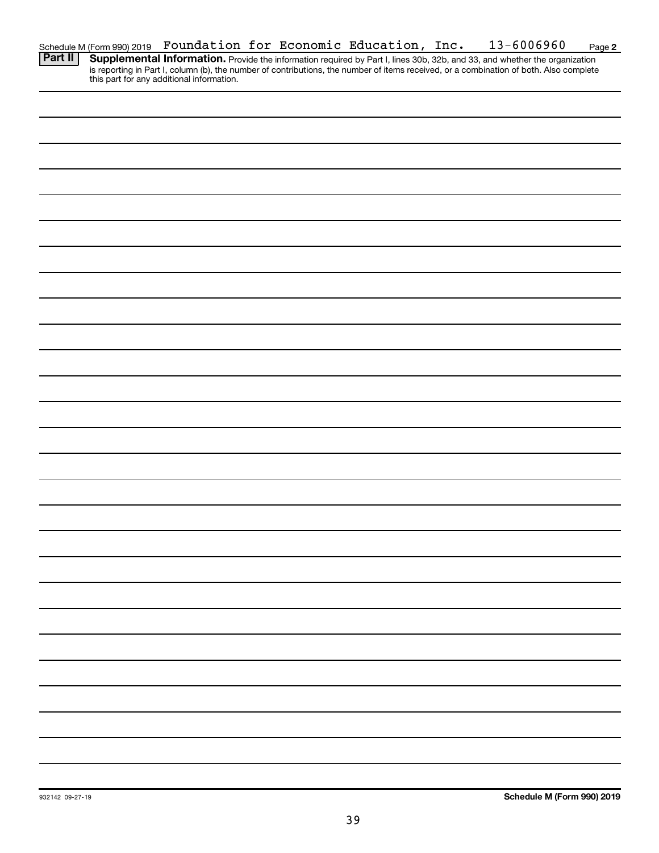| Schedule M (Form 990) 2019 |  |  |  | Foundation for Economic Education, Inc. |  | 13-6006960 | Page 2 |
|----------------------------|--|--|--|-----------------------------------------|--|------------|--------|
| <u>та п</u>                |  |  |  |                                         |  |            |        |

Provide the information required by Part I, lines 30b, 32b, and 33, and whether the organization is reporting in Part I, column (b), the number of contributions, the number of items received, or a combination of both. Also complete this part for any additional information. **Part II Supplemental Information.**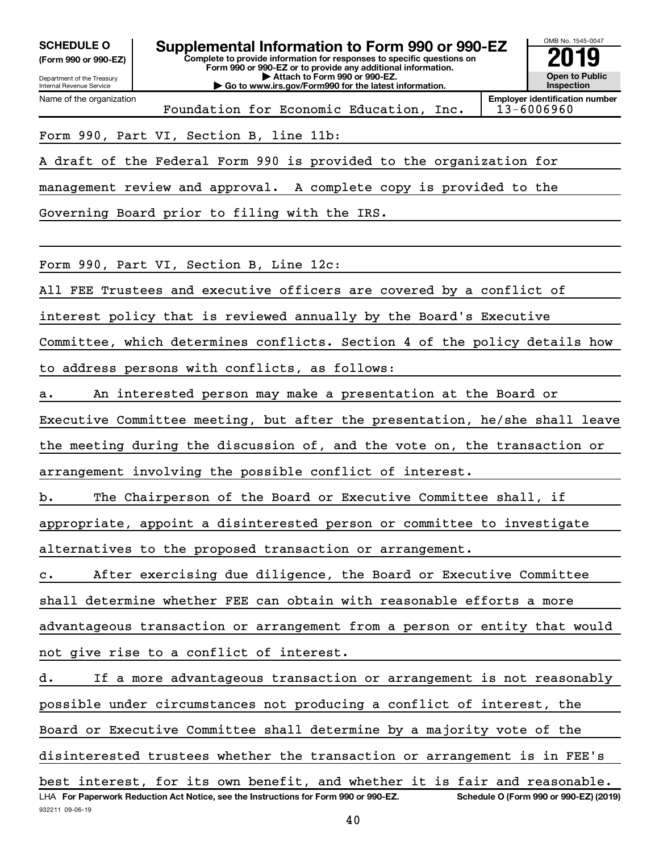**(Form 990 or 990-EZ)**

Department of the Treasury

Name of the organization

Internal Revenue Service

932211 09-06-19

**Complete to provide information for responses to specific questions on Form 990 or 990-EZ or to provide any additional information. | Attach to Form 990 or 990-EZ. | Go to www.irs.gov/Form990 for the latest information.** SCHEDULE O **Supplemental Information to Form 990 or 990-EZ** 2019<br>(Form 990 or 990-EZ)



Foundation for Economic Education, Inc.

**Employer identification number**

Form 990, Part VI, Section B, line 11b:

A draft of the Federal Form 990 is provided to the organization for

management review and approval. A complete copy is provided to the

Governing Board prior to filing with the IRS.

Form 990, Part VI, Section B, Line 12c:

All FEE Trustees and executive officers are covered by a conflict of

interest policy that is reviewed annually by the Board's Executive

Committee, which determines conflicts. Section 4 of the policy details how to address persons with conflicts, as follows:

a. An interested person may make a presentation at the Board or

Executive Committee meeting, but after the presentation, he/she shall leave the meeting during the discussion of, and the vote on, the transaction or arrangement involving the possible conflict of interest.

b. The Chairperson of the Board or Executive Committee shall, if

appropriate, appoint a disinterested person or committee to investigate

alternatives to the proposed transaction or arrangement.

c. After exercising due diligence, the Board or Executive Committee

shall determine whether FEE can obtain with reasonable efforts a more

advantageous transaction or arrangement from a person or entity that would not give rise to a conflict of interest.

LHA For Paperwork Reduction Act Notice, see the Instructions for Form 990 or 990-EZ. Schedule O (Form 990 or 990-EZ) (2019) d. If a more advantageous transaction or arrangement is not reasonably possible under circumstances not producing a conflict of interest, the Board or Executive Committee shall determine by a majority vote of the disinterested trustees whether the transaction or arrangement is in FEE's best interest, for its own benefit, and whether it is fair and reasonable.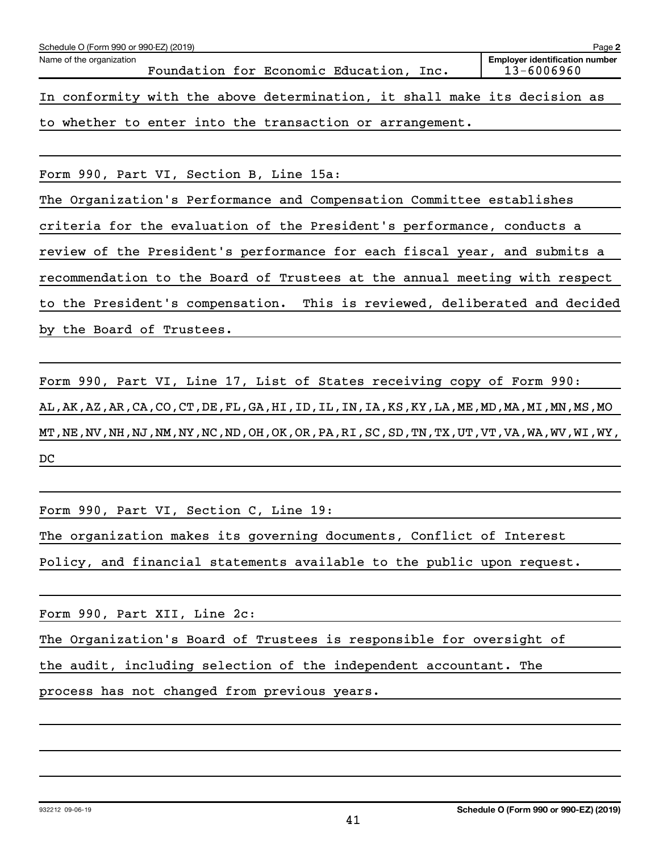| Schedule O (Form 990 or 990-EZ) (2019)                                     |                                                     | Page 2 |  |  |  |  |  |  |  |
|----------------------------------------------------------------------------|-----------------------------------------------------|--------|--|--|--|--|--|--|--|
| Name of the organization<br>Foundation for Economic Education, Inc.        | <b>Employer identification number</b><br>13-6006960 |        |  |  |  |  |  |  |  |
| In conformity with the above determination, it shall make its decision as  |                                                     |        |  |  |  |  |  |  |  |
| to whether to enter into the transaction or arrangement.                   |                                                     |        |  |  |  |  |  |  |  |
|                                                                            |                                                     |        |  |  |  |  |  |  |  |
| Form 990, Part VI, Section B, Line 15a:                                    |                                                     |        |  |  |  |  |  |  |  |
| The Organization's Performance and Compensation Committee establishes      |                                                     |        |  |  |  |  |  |  |  |
| criteria for the evaluation of the President's performance, conducts a     |                                                     |        |  |  |  |  |  |  |  |
| review of the President's performance for each fiscal year, and submits a  |                                                     |        |  |  |  |  |  |  |  |
| recommendation to the Board of Trustees at the annual meeting with respect |                                                     |        |  |  |  |  |  |  |  |
| to the President's compensation. This is reviewed, deliberated and decided |                                                     |        |  |  |  |  |  |  |  |

by the Board of Trustees.

Form 990, Part VI, Line 17, List of States receiving copy of Form 990: AL,AK,AZ,AR,CA,CO,CT,DE,FL,GA,HI,ID,IL,IN,IA,KS,KY,LA,ME,MD,MA,MI,MN,MS,MO MT,NE,NV,NH,NJ,NM,NY,NC,ND,OH,OK,OR,PA,RI,SC,SD,TN,TX,UT,VT,VA,WA,WV,WI,WY, DC

Form 990, Part VI, Section C, Line 19:

The organization makes its governing documents, Conflict of Interest

Policy, and financial statements available to the public upon request.

Form 990, Part XII, Line 2c:

The Organization's Board of Trustees is responsible for oversight of

the audit, including selection of the independent accountant. The

process has not changed from previous years.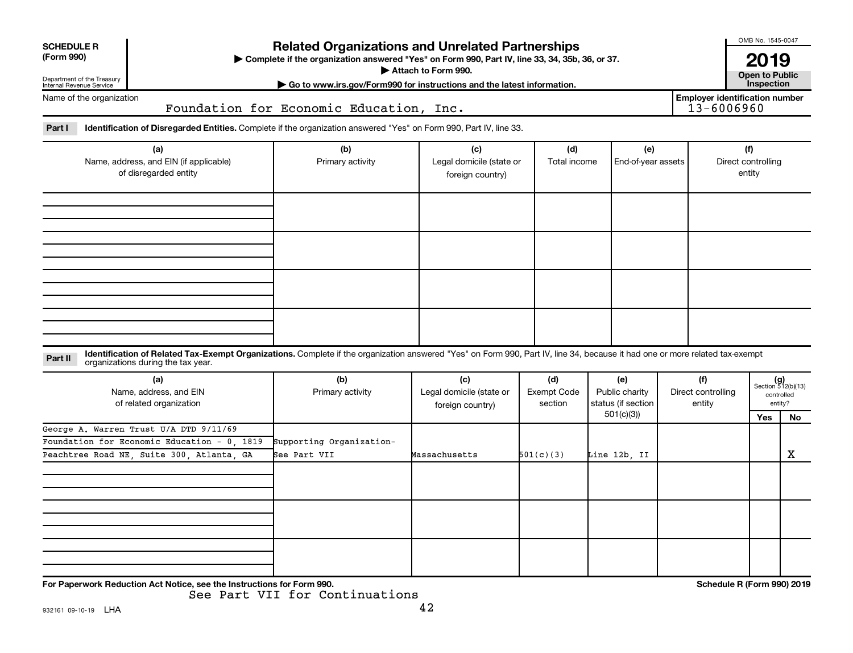| <b>SCHEDULE R</b>                                                                 |                                                                                                                                                                                                                    |                                          |                                                     |                                                                                     |                           |                                     |                            | OMB No. 1545-0047                                    |             |  |  |
|-----------------------------------------------------------------------------------|--------------------------------------------------------------------------------------------------------------------------------------------------------------------------------------------------------------------|------------------------------------------|-----------------------------------------------------|-------------------------------------------------------------------------------------|---------------------------|-------------------------------------|----------------------------|------------------------------------------------------|-------------|--|--|
| (Form 990)<br>Department of the Treasury                                          | <b>Related Organizations and Unrelated Partnerships</b><br>> Complete if the organization answered "Yes" on Form 990, Part IV, line 33, 34, 35b, 36, or 37.<br>Attach to Form 990.                                 |                                          |                                                     |                                                                                     |                           |                                     |                            |                                                      |             |  |  |
| Internal Revenue Service                                                          | Go to www.irs.gov/Form990 for instructions and the latest information.<br><b>Employer identification number</b>                                                                                                    |                                          |                                                     |                                                                                     |                           |                                     |                            |                                                      |             |  |  |
| Name of the organization<br>13-6006960<br>Foundation for Economic Education, Inc. |                                                                                                                                                                                                                    |                                          |                                                     |                                                                                     |                           |                                     |                            |                                                      |             |  |  |
| Part I                                                                            | Identification of Disregarded Entities. Complete if the organization answered "Yes" on Form 990, Part IV, line 33.                                                                                                 |                                          |                                                     |                                                                                     |                           |                                     |                            |                                                      |             |  |  |
| (a)<br>Name, address, and EIN (if applicable)<br>of disregarded entity            |                                                                                                                                                                                                                    | (b)<br>Primary activity                  | (c)<br>Legal domicile (state or<br>foreign country) | (d)<br>Total income                                                                 | (e)<br>End-of-year assets |                                     |                            | (f)<br>Direct controlling<br>entity                  |             |  |  |
|                                                                                   |                                                                                                                                                                                                                    |                                          |                                                     |                                                                                     |                           |                                     |                            |                                                      |             |  |  |
| Part II                                                                           | Identification of Related Tax-Exempt Organizations. Complete if the organization answered "Yes" on Form 990, Part IV, line 34, because it had one or more related tax-exempt<br>organizations during the tax year. |                                          |                                                     |                                                                                     |                           |                                     |                            |                                                      |             |  |  |
|                                                                                   | (a)<br>Name, address, and EIN<br>of related organization                                                                                                                                                           | (b)<br>Primary activity                  | (c)<br>Legal domicile (state or<br>foreign country) | (d)<br>(e)<br><b>Exempt Code</b><br>Public charity<br>status (if section<br>section |                           | (f)<br>Direct controlling<br>entity |                            | $(g)$<br>Section 512(b)(13)<br>controlled<br>entity? |             |  |  |
|                                                                                   |                                                                                                                                                                                                                    |                                          |                                                     |                                                                                     | 501(c)(3)                 |                                     |                            | Yes                                                  | No.         |  |  |
|                                                                                   | George A. Warren Trust U/A DTD 9/11/69<br>Foundation for Economic Education - 0, 1819<br>Peachtree Road NE, Suite 300, Atlanta, GA                                                                                 | Supporting Organization-<br>See Part VII | Massachusetts                                       | 501(c)(3)<br>Line 12b, II                                                           |                           |                                     |                            |                                                      | $\mathbf X$ |  |  |
|                                                                                   |                                                                                                                                                                                                                    |                                          |                                                     |                                                                                     |                           |                                     |                            |                                                      |             |  |  |
|                                                                                   |                                                                                                                                                                                                                    |                                          |                                                     |                                                                                     |                           |                                     |                            |                                                      |             |  |  |
|                                                                                   |                                                                                                                                                                                                                    |                                          |                                                     |                                                                                     |                           |                                     |                            |                                                      |             |  |  |
|                                                                                   | For Paperwork Reduction Act Notice, see the Instructions for Form 990.                                                                                                                                             |                                          |                                                     |                                                                                     |                           |                                     | Schedule R (Form 990) 2019 |                                                      |             |  |  |

See Part VII for Continuations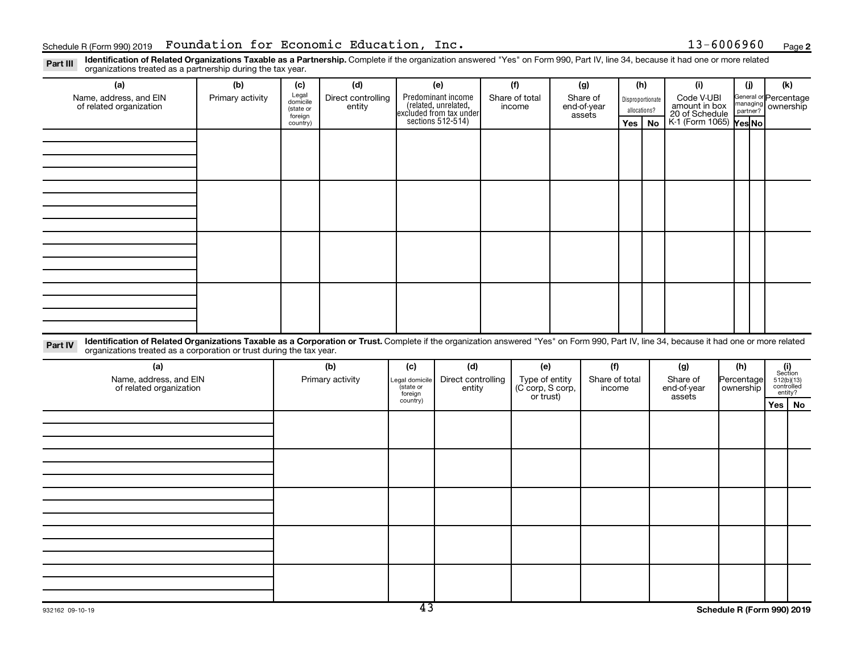Part III Identification of Related Organizations Taxable as a Partnership. Complete if the organization answered "Yes" on Form 990, Part IV, line 34, because it had one or more related<br>Read to the organizations tracted as organizations treated as a partnership during the tax year.

| organizations treated as a partnership during the tax year.                                                                                                                                                                                                                 |                  |                     |                    |                     |                                                                                            |                    |                |                |             |                |              |                                               |            |                    |                                                                                                                                  |                       |  |  |
|-----------------------------------------------------------------------------------------------------------------------------------------------------------------------------------------------------------------------------------------------------------------------------|------------------|---------------------|--------------------|---------------------|--------------------------------------------------------------------------------------------|--------------------|----------------|----------------|-------------|----------------|--------------|-----------------------------------------------|------------|--------------------|----------------------------------------------------------------------------------------------------------------------------------|-----------------------|--|--|
| (a)                                                                                                                                                                                                                                                                         | (b)              | (c)                 | (d)                |                     | (e)                                                                                        |                    | (f)            |                | (g)         | (h)            |              | (i)                                           |            | (j)                | (k)                                                                                                                              |                       |  |  |
| Name, address, and EIN                                                                                                                                                                                                                                                      | Primary activity | Legal<br>domicile   | Direct controlling |                     | Predominant income<br>(related, unrelated,<br>excluded from tax under<br>sections 512-514) |                    | Share of total |                | Share of    |                |              | Disproportionate                              |            |                    |                                                                                                                                  | General or Percentage |  |  |
| of related organization                                                                                                                                                                                                                                                     |                  | (state or           | entity             |                     |                                                                                            |                    | income         |                | end-of-year |                | allocations? | Code V-UBI<br>amount in box<br>20 of Schedule |            | managing ownership |                                                                                                                                  |                       |  |  |
|                                                                                                                                                                                                                                                                             |                  | foreign<br>country) |                    |                     |                                                                                            |                    |                |                | assets      | Yes            | <b>No</b>    | K-1 (Form 1065) Yes No                        |            |                    |                                                                                                                                  |                       |  |  |
|                                                                                                                                                                                                                                                                             |                  |                     |                    |                     |                                                                                            |                    |                |                |             |                |              |                                               |            |                    |                                                                                                                                  |                       |  |  |
|                                                                                                                                                                                                                                                                             |                  |                     |                    |                     |                                                                                            |                    |                |                |             |                |              |                                               |            |                    |                                                                                                                                  |                       |  |  |
|                                                                                                                                                                                                                                                                             |                  |                     |                    |                     |                                                                                            |                    |                |                |             |                |              |                                               |            |                    |                                                                                                                                  |                       |  |  |
|                                                                                                                                                                                                                                                                             |                  |                     |                    |                     |                                                                                            |                    |                |                |             |                |              |                                               |            |                    |                                                                                                                                  |                       |  |  |
|                                                                                                                                                                                                                                                                             |                  |                     |                    |                     |                                                                                            |                    |                |                |             |                |              |                                               |            |                    |                                                                                                                                  |                       |  |  |
|                                                                                                                                                                                                                                                                             |                  |                     |                    |                     |                                                                                            |                    |                |                |             |                |              |                                               |            |                    |                                                                                                                                  |                       |  |  |
|                                                                                                                                                                                                                                                                             |                  |                     |                    |                     |                                                                                            |                    |                |                |             |                |              |                                               |            |                    |                                                                                                                                  |                       |  |  |
|                                                                                                                                                                                                                                                                             |                  |                     |                    |                     |                                                                                            |                    |                |                |             |                |              |                                               |            |                    |                                                                                                                                  |                       |  |  |
|                                                                                                                                                                                                                                                                             |                  |                     |                    |                     |                                                                                            |                    |                |                |             |                |              |                                               |            |                    |                                                                                                                                  |                       |  |  |
|                                                                                                                                                                                                                                                                             |                  |                     |                    |                     |                                                                                            |                    |                |                |             |                |              |                                               |            |                    |                                                                                                                                  |                       |  |  |
|                                                                                                                                                                                                                                                                             |                  |                     |                    |                     |                                                                                            |                    |                |                |             |                |              |                                               |            |                    |                                                                                                                                  |                       |  |  |
|                                                                                                                                                                                                                                                                             |                  |                     |                    |                     |                                                                                            |                    |                |                |             |                |              |                                               |            |                    |                                                                                                                                  |                       |  |  |
|                                                                                                                                                                                                                                                                             |                  |                     |                    |                     |                                                                                            |                    |                |                |             |                |              |                                               |            |                    |                                                                                                                                  |                       |  |  |
|                                                                                                                                                                                                                                                                             |                  |                     |                    |                     |                                                                                            |                    |                |                |             |                |              |                                               |            |                    |                                                                                                                                  |                       |  |  |
|                                                                                                                                                                                                                                                                             |                  |                     |                    |                     |                                                                                            |                    |                |                |             |                |              |                                               |            |                    |                                                                                                                                  |                       |  |  |
|                                                                                                                                                                                                                                                                             |                  |                     |                    |                     |                                                                                            |                    |                |                |             |                |              |                                               |            |                    |                                                                                                                                  |                       |  |  |
|                                                                                                                                                                                                                                                                             |                  |                     |                    |                     |                                                                                            |                    |                |                |             |                |              |                                               |            |                    |                                                                                                                                  |                       |  |  |
| Identification of Related Organizations Taxable as a Corporation or Trust. Complete if the organization answered "Yes" on Form 990, Part IV, line 34, because it had one or more related<br>Part IV<br>organizations treated as a corporation or trust during the tax year. |                  |                     |                    |                     |                                                                                            |                    |                |                |             |                |              |                                               |            |                    |                                                                                                                                  |                       |  |  |
| (a)                                                                                                                                                                                                                                                                         |                  |                     | (b)                | (c)                 | (d)                                                                                        |                    | (e)            |                | (f)         |                |              | (g)                                           |            | (h)                |                                                                                                                                  |                       |  |  |
| Name, address, and EIN                                                                                                                                                                                                                                                      |                  | Primary activity    |                    | Legal domicile      |                                                                                            | Direct controlling |                | Type of entity |             | Share of total |              | Share of                                      | Percentage |                    | $\begin{array}{c} \textbf{(i)}\\ \text{Section}\\ 5\,12 \text{(b)} \text{(13)}\\ \text{controlled}\\ \text{entity?} \end{array}$ |                       |  |  |
| of related organization                                                                                                                                                                                                                                                     |                  |                     |                    | state or<br>foreign | entity                                                                                     | (C corp, S corp,   |                | income         |             | end-of-year    |              |                                               | ownership  |                    |                                                                                                                                  |                       |  |  |
|                                                                                                                                                                                                                                                                             |                  |                     |                    | country)            |                                                                                            |                    |                | or trust)      |             |                |              | assets                                        |            |                    | Yes                                                                                                                              | No                    |  |  |
|                                                                                                                                                                                                                                                                             |                  |                     |                    |                     |                                                                                            |                    |                |                |             |                |              |                                               |            |                    |                                                                                                                                  |                       |  |  |
|                                                                                                                                                                                                                                                                             |                  |                     |                    |                     |                                                                                            |                    |                |                |             |                |              |                                               |            |                    |                                                                                                                                  |                       |  |  |
|                                                                                                                                                                                                                                                                             |                  |                     |                    |                     |                                                                                            |                    |                |                |             |                |              |                                               |            |                    |                                                                                                                                  |                       |  |  |
|                                                                                                                                                                                                                                                                             |                  |                     |                    |                     |                                                                                            |                    |                |                |             |                |              |                                               |            |                    |                                                                                                                                  |                       |  |  |
|                                                                                                                                                                                                                                                                             |                  |                     |                    |                     |                                                                                            |                    |                |                |             |                |              |                                               |            |                    |                                                                                                                                  |                       |  |  |
|                                                                                                                                                                                                                                                                             |                  |                     |                    |                     |                                                                                            |                    |                |                |             |                |              |                                               |            |                    |                                                                                                                                  |                       |  |  |
|                                                                                                                                                                                                                                                                             |                  |                     |                    |                     |                                                                                            |                    |                |                |             |                |              |                                               |            |                    |                                                                                                                                  |                       |  |  |
|                                                                                                                                                                                                                                                                             |                  |                     |                    |                     |                                                                                            |                    |                |                |             |                |              |                                               |            |                    |                                                                                                                                  |                       |  |  |
|                                                                                                                                                                                                                                                                             |                  |                     |                    |                     |                                                                                            |                    |                |                |             |                |              |                                               |            |                    |                                                                                                                                  |                       |  |  |
|                                                                                                                                                                                                                                                                             |                  |                     |                    |                     |                                                                                            |                    |                |                |             |                |              |                                               |            |                    |                                                                                                                                  |                       |  |  |
|                                                                                                                                                                                                                                                                             |                  |                     |                    |                     |                                                                                            |                    |                |                |             |                |              |                                               |            |                    |                                                                                                                                  |                       |  |  |
|                                                                                                                                                                                                                                                                             |                  |                     |                    |                     |                                                                                            |                    |                |                |             |                |              |                                               |            |                    |                                                                                                                                  |                       |  |  |
|                                                                                                                                                                                                                                                                             |                  |                     |                    |                     |                                                                                            |                    |                |                |             |                |              |                                               |            |                    |                                                                                                                                  |                       |  |  |
|                                                                                                                                                                                                                                                                             |                  |                     |                    |                     |                                                                                            |                    |                |                |             |                |              |                                               |            |                    |                                                                                                                                  |                       |  |  |
|                                                                                                                                                                                                                                                                             |                  |                     |                    |                     |                                                                                            |                    |                |                |             |                |              |                                               |            |                    |                                                                                                                                  |                       |  |  |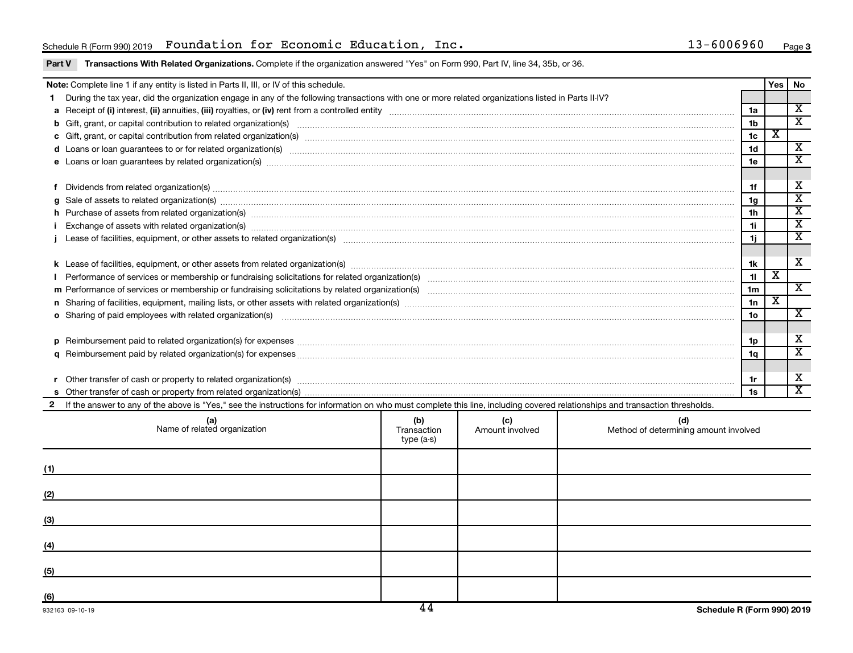### Schedule R(Form 990)2019 Foundation for Economic Education, Inc. 13-6006960 Page

### Part V Transactions With Related Organizations. Complete if the organization answered "Yes" on Form 990, Part IV, line 34, 35b, or 36.

| Note: Complete line 1 if any entity is listed in Parts II, III, or IV of this schedule. |                                                                                                                                                                                                                                |     |                      |     |                 |                             |                             |  |
|-----------------------------------------------------------------------------------------|--------------------------------------------------------------------------------------------------------------------------------------------------------------------------------------------------------------------------------|-----|----------------------|-----|-----------------|-----------------------------|-----------------------------|--|
|                                                                                         | During the tax year, did the organization engage in any of the following transactions with one or more related organizations listed in Parts II-IV?                                                                            |     |                      |     |                 | Yes                         | No                          |  |
|                                                                                         |                                                                                                                                                                                                                                |     |                      |     | 1a              |                             | $\overline{\mathbf{X}}$     |  |
|                                                                                         |                                                                                                                                                                                                                                |     |                      |     | 1 <sub>b</sub>  |                             | $\overline{\mathbf{x}}$     |  |
|                                                                                         | c Gift, grant, or capital contribution from related organization(s) manufaction contains and content of the contribution from related organization(s) manufactured content of the content of the content of the content of the |     |                      |     | 1 <sub>c</sub>  | х                           |                             |  |
|                                                                                         | d Loans or loan guarantees to or for related organization(s) www.communically.communically content to an analyzing content of the content of the content of the content of the content of the content of the content of the co |     |                      |     | 1 <sub>d</sub>  |                             | $\overline{\mathbf{x}}$     |  |
|                                                                                         | e Loans or loan guarantees by related organization(s) manufaction content to construct the loans or loan guarantees by related organization(s) manufactured content to construct the loans of loans of loans and the loans of  |     |                      |     | 1e              |                             | $\overline{\textnormal{x}}$ |  |
|                                                                                         |                                                                                                                                                                                                                                |     |                      |     |                 |                             |                             |  |
|                                                                                         |                                                                                                                                                                                                                                |     |                      |     | 1f              |                             | X                           |  |
| a                                                                                       | Sale of assets to related organization(s) www.assettion.com/www.assettion.com/www.assettion.com/www.assettion.com/www.assettion.com/www.assettion.com/www.assettion.com/www.assettion.com/www.assettion.com/www.assettion.com/ |     |                      |     | 1g              |                             | $\overline{\texttt{x}}$     |  |
|                                                                                         | h Purchase of assets from related organization(s) manufactured and content to content and content of assets from related organization(s)                                                                                       |     |                      |     | 1 <sub>h</sub>  |                             | $\overline{\mathbf{X}}$     |  |
|                                                                                         | Exchange of assets with related organization(s) manufactured content and content and content and content and content and content and content and content and content and content and content and content and content and conte |     |                      |     | 1i.             |                             | $\overline{\texttt{x}}$     |  |
|                                                                                         |                                                                                                                                                                                                                                |     |                      |     |                 |                             |                             |  |
|                                                                                         |                                                                                                                                                                                                                                |     |                      |     |                 |                             |                             |  |
|                                                                                         |                                                                                                                                                                                                                                |     |                      |     | 1k              |                             | X                           |  |
|                                                                                         |                                                                                                                                                                                                                                |     |                      |     | 11              | $\mathbf{x}$                |                             |  |
|                                                                                         |                                                                                                                                                                                                                                |     |                      |     | 1 <sub>m</sub>  |                             | $\overline{\mathbf{x}}$     |  |
|                                                                                         |                                                                                                                                                                                                                                |     |                      |     | 1n              | $\overline{\textnormal{x}}$ |                             |  |
|                                                                                         | <b>o</b> Sharing of paid employees with related organization(s)                                                                                                                                                                |     |                      |     | 10 <sub>o</sub> |                             | X                           |  |
|                                                                                         |                                                                                                                                                                                                                                |     |                      |     |                 |                             |                             |  |
| D                                                                                       | Reimbursement paid to related organization(s) for expenses [11111] Research Manuscritics Reimbursement paid to related organization(s) for expenses [11111] [1111] Reimbursem manuscritics Reimbursement paid to related organ |     |                      |     | 1p              |                             | X                           |  |
|                                                                                         |                                                                                                                                                                                                                                |     |                      |     |                 |                             | $\overline{\mathbf{x}}$     |  |
|                                                                                         |                                                                                                                                                                                                                                |     |                      |     |                 |                             |                             |  |
|                                                                                         | Other transfer of cash or property to related organization(s) www.communities.com/www.communities/communities/                                                                                                                 |     |                      |     |                 |                             |                             |  |
|                                                                                         |                                                                                                                                                                                                                                |     |                      |     |                 |                             | $\overline{\mathbf{x}}$     |  |
| $\mathbf{2}$                                                                            | If the answer to any of the above is "Yes," see the instructions for information on who must complete this line, including covered relationships and transaction thresholds.                                                   |     |                      |     |                 |                             |                             |  |
|                                                                                         | (a)                                                                                                                                                                                                                            | (h) | $\sim$ $\sim$ $\sim$ | 14) |                 |                             |                             |  |

|     | (a)<br>Name of related organization | (b)<br>Transaction<br>type (a-s) | (c)<br>Amount involved | (d)<br>Method of determining amount involved |
|-----|-------------------------------------|----------------------------------|------------------------|----------------------------------------------|
| (1) |                                     |                                  |                        |                                              |
| (2) |                                     |                                  |                        |                                              |
| (3) |                                     |                                  |                        |                                              |
| (4) |                                     |                                  |                        |                                              |
| (5) |                                     |                                  |                        |                                              |
| (6) |                                     | $\overline{11}$                  |                        |                                              |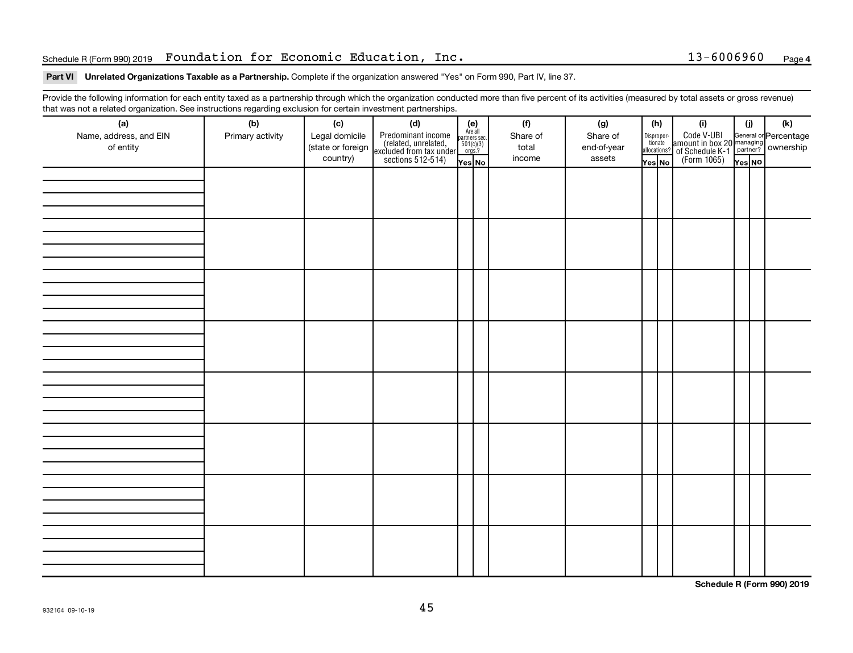### Schedule R(Form 990)2019 Foundation for Economic Education, Inc. 13-6006960 Page

### Part VI Unrelated Organizations Taxable as a Partnership. Complete if the organization answered "Yes" on Form 990, Part IV, line 37.

Provide the following information for each entity taxed as a partnership through which the organization conducted more than five percent of its activities (measured by total assets or gross revenue) that was not a related organization. See instructions regarding exclusion for certain investment partnerships.

| (a)<br>Name, address, and EIN<br>of entity | - -<br>(b)<br>Primary activity | (c)<br>Legal domicile<br>(state or foreign<br>country) | - . - p - .<br>(d)<br>Predominant income<br>(related, unrelated,<br>excluded from tax under,<br>sections 512-514) | (e)<br>Are all<br>partners sec.<br>$\frac{501(c)(3)}{0rgs?}$<br>Yes No | (f)<br>Share of<br>total<br>income | (g)<br>Share of<br>end-of-year<br>assets | (h)<br>Dispropor-<br>tionate<br>allocations?<br>Yes No | (i)<br>Code V-UBI<br>amount in box 20 managing<br>of Schedule K-1<br>(Form 1065)<br>$\overline{Y_{\text{res}}}\overline{N\text{o}}$ | (i)<br>Yes NO | (k) |
|--------------------------------------------|--------------------------------|--------------------------------------------------------|-------------------------------------------------------------------------------------------------------------------|------------------------------------------------------------------------|------------------------------------|------------------------------------------|--------------------------------------------------------|-------------------------------------------------------------------------------------------------------------------------------------|---------------|-----|
|                                            |                                |                                                        |                                                                                                                   |                                                                        |                                    |                                          |                                                        |                                                                                                                                     |               |     |
|                                            |                                |                                                        |                                                                                                                   |                                                                        |                                    |                                          |                                                        |                                                                                                                                     |               |     |
|                                            |                                |                                                        |                                                                                                                   |                                                                        |                                    |                                          |                                                        |                                                                                                                                     |               |     |
|                                            |                                |                                                        |                                                                                                                   |                                                                        |                                    |                                          |                                                        |                                                                                                                                     |               |     |
|                                            |                                |                                                        |                                                                                                                   |                                                                        |                                    |                                          |                                                        |                                                                                                                                     |               |     |
|                                            |                                |                                                        |                                                                                                                   |                                                                        |                                    |                                          |                                                        |                                                                                                                                     |               |     |
|                                            |                                |                                                        |                                                                                                                   |                                                                        |                                    |                                          |                                                        |                                                                                                                                     |               |     |
|                                            |                                |                                                        |                                                                                                                   |                                                                        |                                    |                                          |                                                        |                                                                                                                                     |               |     |

**Schedule R (Form 990) 2019**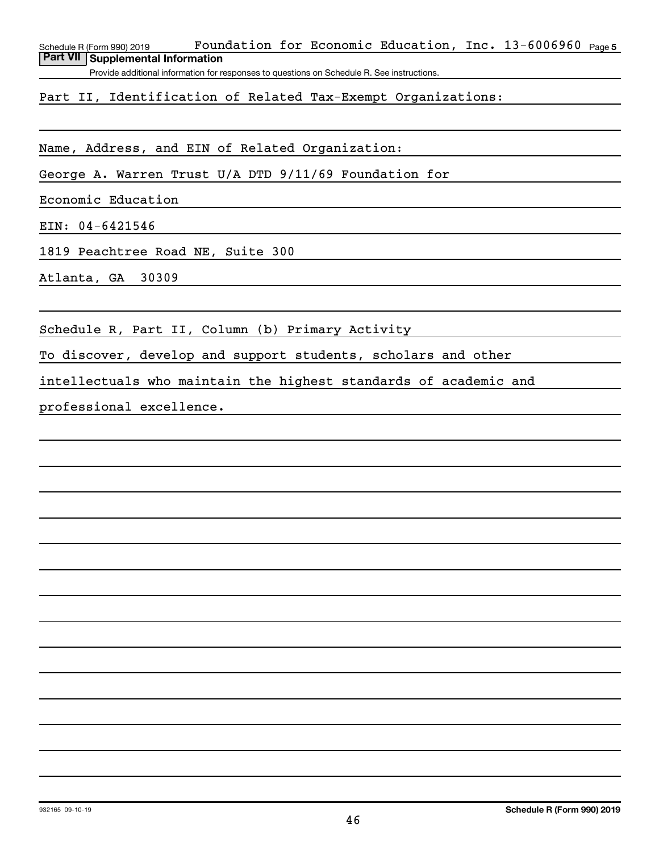Schedule R (Form 990) 2019 Fo**undation for Economic Education, Inc.** 13-6006960 <sub>Page 5</sub> **Part VII Supplemental Information**

Provide additional information for responses to questions on Schedule R. See instructions.

Part II, Identification of Related Tax-Exempt Organizations:

Name, Address, and EIN of Related Organization:

George A. Warren Trust U/A DTD 9/11/69 Foundation for

Economic Education

EIN: 04-6421546

1819 Peachtree Road NE, Suite 300

Atlanta, GA 30309

Schedule R, Part II, Column (b) Primary Activity

To discover, develop and support students, scholars and other

intellectuals who maintain the highest standards of academic and

professional excellence.